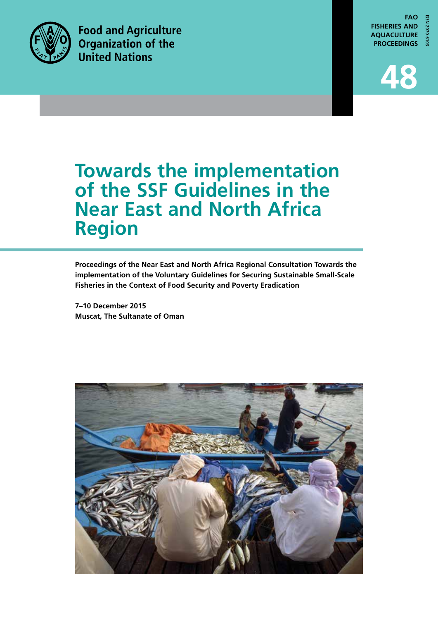

**Food and Agriculture Organization of the United Nations** 

**FAO FISHERIES AND AQUACULTURE PROCEEDINGS**



# **Towards the implementation of the SSF Guidelines in the Near East and North Africa Region**

**Proceedings of the Near East and North Africa Regional Consultation Towards the implementation of the Voluntary Guidelines for Securing Sustainable Small-Scale Fisheries in the Context of Food Security and Poverty Eradication**

**7–10 December 2015 Muscat, The Sultanate of Oman**

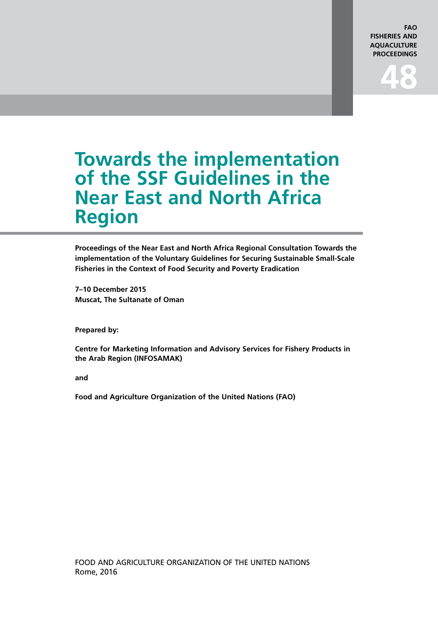#### **FAO FISHERIES AND AQUACULTURE PROCEEDINGS**

# **Towards the implementation of the SSF Guidelines in the Near East and North Africa Region**

**Proceedings of the Near East and North Africa Regional Consultation Towards the implementation of the Voluntary Guidelines for Securing Sustainable Small-Scale Fisheries in the Context of Food Security and Poverty Eradication**

**7–10 December 2015 Muscat, The Sultanate of Oman**

**Prepared by:**

**Centre for Marketing Information and Advisory Services for Fishery Products in the Arab Region (INFOSAMAK)**

**and**

**Food and Agriculture Organization of the United Nations (FAO)**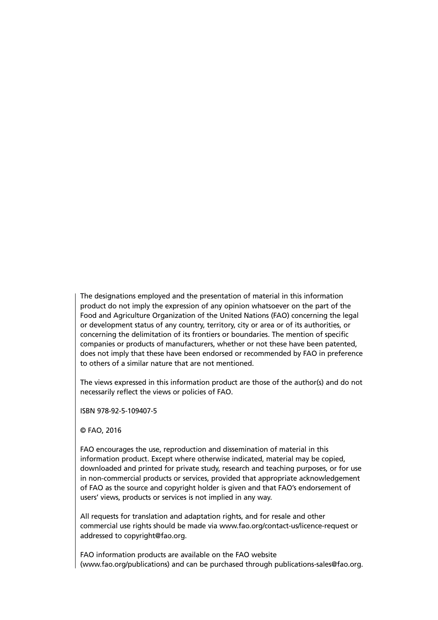The designations employed and the presentation of material in this information product do not imply the expression of any opinion whatsoever on the part of the Food and Agriculture Organization of the United Nations (FAO) concerning the legal or development status of any country, territory, city or area or of its authorities, or concerning the delimitation of its frontiers or boundaries. The mention of specific companies or products of manufacturers, whether or not these have been patented, does not imply that these have been endorsed or recommended by FAO in preference to others of a similar nature that are not mentioned.

The views expressed in this information product are those of the author(s) and do not necessarily reflect the views or policies of FAO.

ISBN 978-92-5-109407-5

© FAO, 2016

FAO encourages the use, reproduction and dissemination of material in this information product. Except where otherwise indicated, material may be copied, downloaded and printed for private study, research and teaching purposes, or for use in non-commercial products or services, provided that appropriate acknowledgement of FAO as the source and copyright holder is given and that FAO's endorsement of users' views, products or services is not implied in any way.

All requests for translation and adaptation rights, and for resale and other commercial use rights should be made via www.fao.org/contact-us/licence-request or addressed to copyright@fao.org.

FAO information products are available on the FAO website (www.fao.org/publications) and can be purchased through publications-sales@fao.org.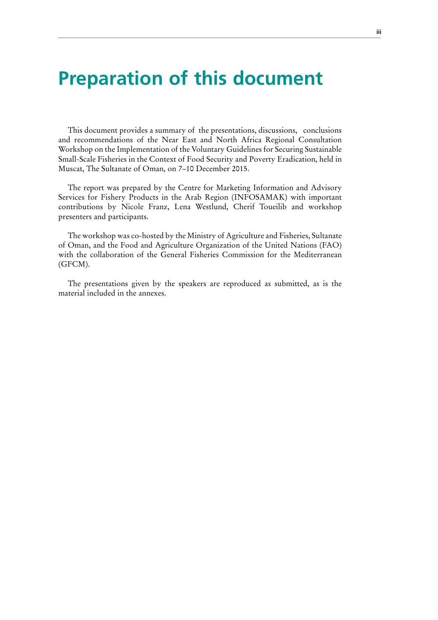# **Preparation of this document**

This document provides a summary of the presentations, discussions, conclusions and recommendations of the Near East and North Africa Regional Consultation Workshop on the Implementation of the Voluntary Guidelines for Securing Sustainable Small-Scale Fisheries in the Context of Food Security and Poverty Eradication, held in Muscat, The Sultanate of Oman, on 7–10 December 2015.

The report was prepared by the Centre for Marketing Information and Advisory Services for Fishery Products in the Arab Region (INFOSAMAK) with important contributions by Nicole Franz, Lena Westlund, Cherif Toueilib and workshop presenters and participants.

The workshop was co-hosted by the Ministry of Agriculture and Fisheries, Sultanate of Oman, and the Food and Agriculture Organization of the United Nations (FAO) with the collaboration of the General Fisheries Commission for the Mediterranean (GFCM).

The presentations given by the speakers are reproduced as submitted, as is the material included in the annexes.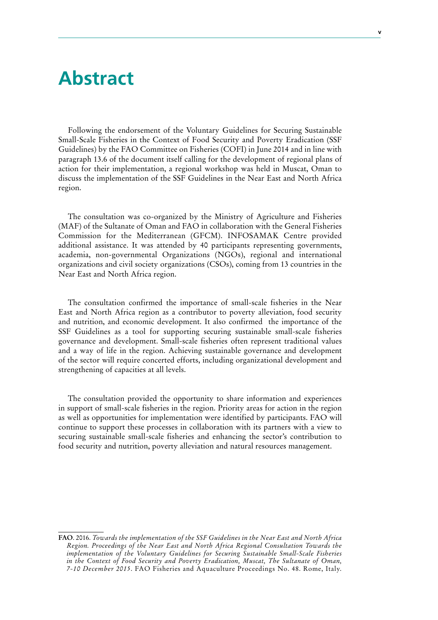## **Abstract**

Following the endorsement of the Voluntary Guidelines for Securing Sustainable Small-Scale Fisheries in the Context of Food Security and Poverty Eradication (SSF Guidelines) by the FAO Committee on Fisheries (COFI) in June 2014 and in line with paragraph 13.6 of the document itself calling for the development of regional plans of action for their implementation, a regional workshop was held in Muscat, Oman to discuss the implementation of the SSF Guidelines in the Near East and North Africa region.

The consultation was co-organized by the Ministry of Agriculture and Fisheries (MAF) of the Sultanate of Oman and FAO in collaboration with the General Fisheries Commission for the Mediterranean (GFCM). INFOSAMAK Centre provided additional assistance. It was attended by 40 participants representing governments, academia, non-governmental Organizations (NGOs), regional and international organizations and civil society organizations (CSOs), coming from 13 countries in the Near East and North Africa region.

The consultation confirmed the importance of small-scale fisheries in the Near East and North Africa region as a contributor to poverty alleviation, food security and nutrition, and economic development. It also confirmed the importance of the SSF Guidelines as a tool for supporting securing sustainable small-scale fisheries governance and development. Small-scale fisheries often represent traditional values and a way of life in the region. Achieving sustainable governance and development of the sector will require concerted efforts, including organizational development and strengthening of capacities at all levels.

The consultation provided the opportunity to share information and experiences in support of small-scale fisheries in the region. Priority areas for action in the region as well as opportunities for implementation were identified by participants. FAO will continue to support these processes in collaboration with its partners with a view to securing sustainable small-scale fisheries and enhancing the sector's contribution to food security and nutrition, poverty alleviation and natural resources management.

**FAO**. 2016. *Towards the implementation of the SSF Guidelines in the Near East and North Africa Region. Proceedings of the Near East and North Africa Regional Consultation Towards the implementation of the Voluntary Guidelines for Securing Sustainable Small-Scale Fisheries in the Context of Food Security and Poverty Eradication, Muscat, The Sultanate of Oman, 7-10 December 2015*. FAO Fisheries and Aquaculture Proceedings No. 48. Rome, Italy.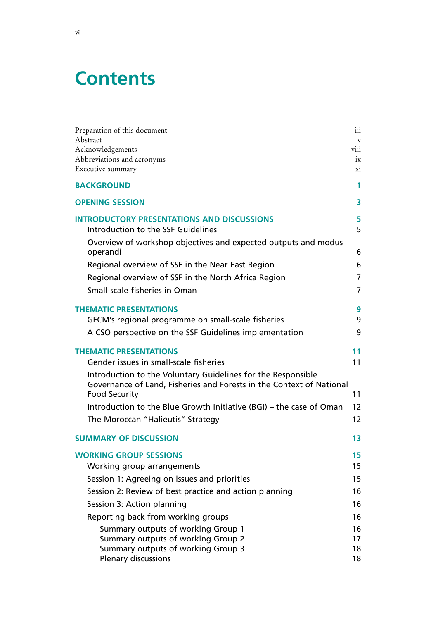# **Contents**

| Preparation of this document                                                                 | 111              |
|----------------------------------------------------------------------------------------------|------------------|
| Abstract                                                                                     | $\mathbf v$      |
| Acknowledgements<br>Abbreviations and acronyms                                               | viii<br>$1\rm X$ |
| Executive summary                                                                            | X1               |
| <b>BACKGROUND</b>                                                                            | 1                |
| <b>OPENING SESSION</b>                                                                       | 3                |
| <b>INTRODUCTORY PRESENTATIONS AND DISCUSSIONS</b>                                            | 5                |
| Introduction to the SSF Guidelines                                                           | 5                |
| Overview of workshop objectives and expected outputs and modus<br>operandi                   | 6                |
| Regional overview of SSF in the Near East Region                                             | 6                |
| Regional overview of SSF in the North Africa Region                                          | $\overline{7}$   |
| Small-scale fisheries in Oman                                                                | $\overline{7}$   |
| <b>THEMATIC PRESENTATIONS</b>                                                                | 9                |
| GFCM's regional programme on small-scale fisheries                                           | 9                |
| A CSO perspective on the SSF Guidelines implementation                                       | 9                |
| <b>THEMATIC PRESENTATIONS</b>                                                                | 11               |
| Gender issues in small-scale fisheries                                                       | 11               |
| Introduction to the Voluntary Guidelines for the Responsible                                 |                  |
| Governance of Land, Fisheries and Forests in the Context of National<br><b>Food Security</b> | 11               |
| Introduction to the Blue Growth Initiative (BGI) – the case of Oman                          | 12               |
| The Moroccan "Halieutis" Strategy                                                            | 12               |
| <b>SUMMARY OF DISCUSSION</b>                                                                 | 13               |
| <b>WORKING GROUP SESSIONS</b>                                                                | 15               |
| Working group arrangements                                                                   | 15               |
| Session 1: Agreeing on issues and priorities                                                 | 15               |
| Session 2: Review of best practice and action planning                                       | 16               |
| Session 3: Action planning                                                                   | 16               |
| Reporting back from working groups                                                           | 16               |
| Summary outputs of working Group 1                                                           | 16               |
| Summary outputs of working Group 2                                                           | 17               |
| Summary outputs of working Group 3<br><b>Plenary discussions</b>                             | 18<br>18         |

<u> 1989 - Johann Barbara, martxa alemaniar a</u>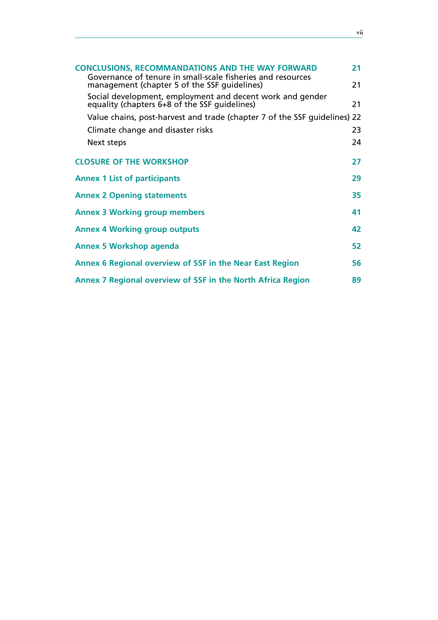| <b>CONCLUSIONS, RECOMMANDATIONS AND THE WAY FORWARD</b>                                                     |    |  |
|-------------------------------------------------------------------------------------------------------------|----|--|
| Governance of tenure in small-scale fisheries and resources<br>management (chapter 5 of the SSF quidelines) | 21 |  |
| Social development, employment and decent work and gender                                                   |    |  |
| equality (chapters 6+8 of the SSF quidelines)                                                               | 21 |  |
| Value chains, post-harvest and trade (chapter 7 of the SSF quidelines) 22                                   |    |  |
| Climate change and disaster risks                                                                           | 23 |  |
| Next steps                                                                                                  | 24 |  |
| <b>CLOSURE OF THE WORKSHOP</b>                                                                              | 27 |  |
| <b>Annex 1 List of participants</b>                                                                         | 29 |  |
| <b>Annex 2 Opening statements</b>                                                                           | 35 |  |
| <b>Annex 3 Working group members</b>                                                                        | 41 |  |
| <b>Annex 4 Working group outputs</b>                                                                        | 42 |  |
| <b>Annex 5 Workshop agenda</b>                                                                              | 52 |  |
| Annex 6 Regional overview of SSF in the Near East Region                                                    | 56 |  |
| Annex 7 Regional overview of SSF in the North Africa Region<br>89                                           |    |  |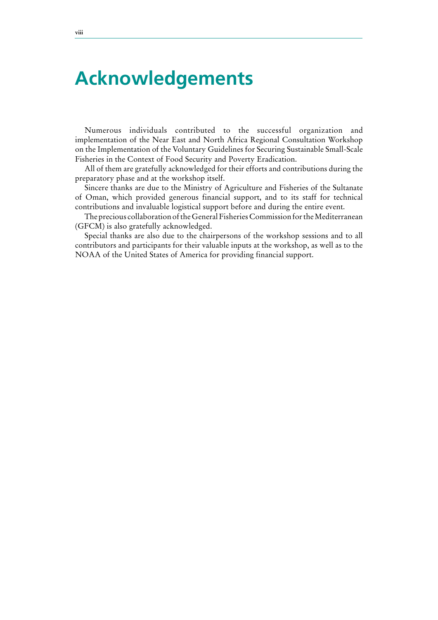# **Acknowledgements**

Numerous individuals contributed to the successful organization and implementation of the Near East and North Africa Regional Consultation Workshop on the Implementation of the Voluntary Guidelines for Securing Sustainable Small-Scale Fisheries in the Context of Food Security and Poverty Eradication.

All of them are gratefully acknowledged for their efforts and contributions during the preparatory phase and at the workshop itself.

Sincere thanks are due to the Ministry of Agriculture and Fisheries of the Sultanate of Oman, which provided generous financial support, and to its staff for technical contributions and invaluable logistical support before and during the entire event.

The precious collaboration of the General Fisheries Commission for the Mediterranean (GFCM) is also gratefully acknowledged.

Special thanks are also due to the chairpersons of the workshop sessions and to all contributors and participants for their valuable inputs at the workshop, as well as to the NOAA of the United States of America for providing financial support.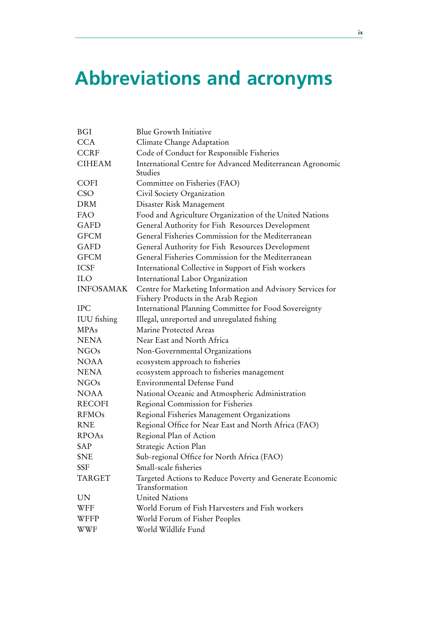# **Abbreviations and acronyms**

| <b>BGI</b>         | <b>Blue Growth Initiative</b>                              |
|--------------------|------------------------------------------------------------|
| <b>CCA</b>         | Climate Change Adaptation                                  |
| <b>CCRF</b>        | Code of Conduct for Responsible Fisheries                  |
| <b>CIHEAM</b>      | International Centre for Advanced Mediterranean Agronomic  |
|                    | Studies                                                    |
| COFI               | Committee on Fisheries (FAO)                               |
| <b>CSO</b>         | Civil Society Organization                                 |
| <b>DRM</b>         | Disaster Risk Management                                   |
| <b>FAO</b>         | Food and Agriculture Organization of the United Nations    |
| <b>GAFD</b>        | General Authority for Fish Resources Development           |
| <b>GFCM</b>        | General Fisheries Commission for the Mediterranean         |
| GAFD               | General Authority for Fish Resources Development           |
| <b>GFCM</b>        | General Fisheries Commission for the Mediterranean         |
| <b>ICSF</b>        | International Collective in Support of Fish workers        |
| <b>ILO</b>         | International Labor Organization                           |
| <b>INFOSAMAK</b>   | Centre for Marketing Information and Advisory Services for |
|                    | Fishery Products in the Arab Region                        |
| <b>IPC</b>         | International Planning Committee for Food Sovereignty      |
| <b>IUU</b> fishing | Illegal, unreported and unregulated fishing                |
| <b>MPAs</b>        | Marine Protected Areas                                     |
| <b>NENA</b>        | Near East and North Africa                                 |
| <b>NGOs</b>        | Non-Governmental Organizations                             |
| <b>NOAA</b>        | ecosystem approach to fisheries                            |
| <b>NENA</b>        | ecosystem approach to fisheries management                 |
| <b>NGOs</b>        | <b>Environmental Defense Fund</b>                          |
| <b>NOAA</b>        | National Oceanic and Atmospheric Administration            |
| <b>RECOFI</b>      | Regional Commission for Fisheries                          |
| <b>RFMOs</b>       | Regional Fisheries Management Organizations                |
| <b>RNE</b>         | Regional Office for Near East and North Africa (FAO)       |
| <b>RPOAs</b>       | Regional Plan of Action                                    |
| SAP                | Strategic Action Plan                                      |
| <b>SNE</b>         | Sub-regional Office for North Africa (FAO)                 |
| SSF                | Small-scale fisheries                                      |
| <b>TARGET</b>      | Targeted Actions to Reduce Poverty and Generate Economic   |
|                    | Transformation                                             |
| UN                 | <b>United Nations</b>                                      |
| WFF                | World Forum of Fish Harvesters and Fish workers            |
| WFFP               | World Forum of Fisher Peoples                              |
| WWF                | World Wildlife Fund                                        |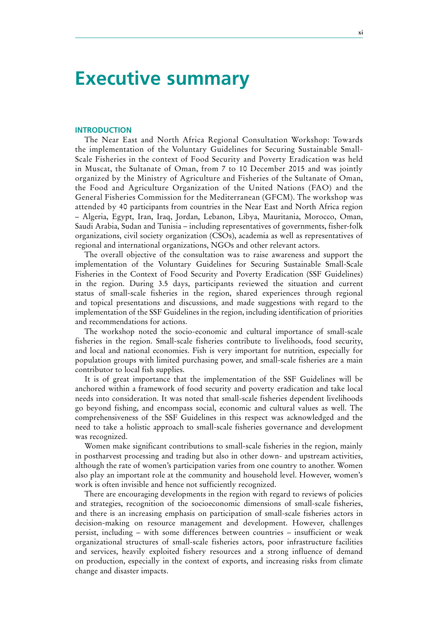### **Executive summary**

#### **INTRODUCTION**

The Near East and North Africa Regional Consultation Workshop: Towards the implementation of the Voluntary Guidelines for Securing Sustainable Small-Scale Fisheries in the context of Food Security and Poverty Eradication was held in Muscat, the Sultanate of Oman, from 7 to 10 December 2015 and was jointly organized by the Ministry of Agriculture and Fisheries of the Sultanate of Oman, the Food and Agriculture Organization of the United Nations (FAO) and the General Fisheries Commission for the Mediterranean (GFCM). The workshop was attended by 40 participants from countries in the Near East and North Africa region – Algeria, Egypt, Iran, Iraq, Jordan, Lebanon, Libya, Mauritania, Morocco, Oman, Saudi Arabia, Sudan and Tunisia – including representatives of governments, fisher-folk organizations, civil society organization (CSOs), academia as well as representatives of regional and international organizations, NGOs and other relevant actors.

The overall objective of the consultation was to raise awareness and support the implementation of the Voluntary Guidelines for Securing Sustainable Small-Scale Fisheries in the Context of Food Security and Poverty Eradication (SSF Guidelines) in the region. During 3.5 days, participants reviewed the situation and current status of small-scale fisheries in the region, shared experiences through regional and topical presentations and discussions, and made suggestions with regard to the implementation of the SSF Guidelines in the region, including identification of priorities and recommendations for actions.

The workshop noted the socio-economic and cultural importance of small-scale fisheries in the region. Small-scale fisheries contribute to livelihoods, food security, and local and national economies. Fish is very important for nutrition, especially for population groups with limited purchasing power, and small-scale fisheries are a main contributor to local fish supplies.

It is of great importance that the implementation of the SSF Guidelines will be anchored within a framework of food security and poverty eradication and take local needs into consideration. It was noted that small-scale fisheries dependent livelihoods go beyond fishing, and encompass social, economic and cultural values as well. The comprehensiveness of the SSF Guidelines in this respect was acknowledged and the need to take a holistic approach to small-scale fisheries governance and development was recognized.

Women make significant contributions to small-scale fisheries in the region, mainly in postharvest processing and trading but also in other down- and upstream activities, although the rate of women's participation varies from one country to another. Women also play an important role at the community and household level. However, women's work is often invisible and hence not sufficiently recognized.

There are encouraging developments in the region with regard to reviews of policies and strategies, recognition of the socioeconomic dimensions of small-scale fisheries, and there is an increasing emphasis on participation of small-scale fisheries actors in decision-making on resource management and development. However, challenges persist, including – with some differences between countries – insufficient or weak organizational structures of small-scale fisheries actors, poor infrastructure facilities and services, heavily exploited fishery resources and a strong influence of demand on production, especially in the context of exports, and increasing risks from climate change and disaster impacts.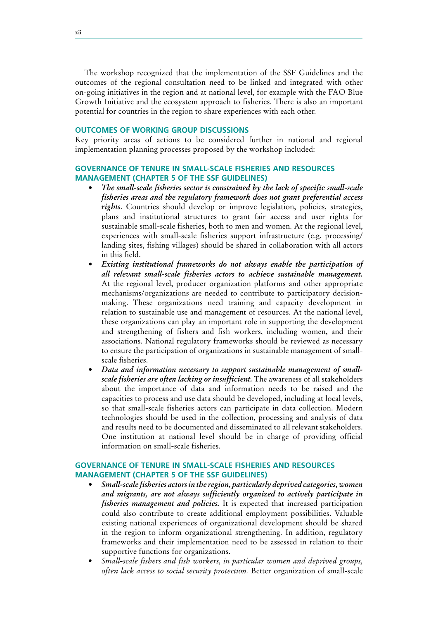The workshop recognized that the implementation of the SSF Guidelines and the outcomes of the regional consultation need to be linked and integrated with other on-going initiatives in the region and at national level, for example with the FAO Blue Growth Initiative and the ecosystem approach to fisheries. There is also an important potential for countries in the region to share experiences with each other.

#### **OUTCOMES OF WORKING GROUP DISCUSSIONS**

Key priority areas of actions to be considered further in national and regional implementation planning processes proposed by the workshop included:

### **GOVERNANCE OF TENURE IN SMALL-SCALE FISHERIES AND RESOURCES MANAGEMENT (CHAPTER 5 OF THE SSF GUIDELINES)**

- The small-scale fisheries sector is constrained by the lack of specific small-scale *fisheries areas and the regulatory framework does not grant preferential access rights*. Countries should develop or improve legislation, policies, strategies, plans and institutional structures to grant fair access and user rights for sustainable small-scale fisheries, both to men and women. At the regional level, experiences with small-scale fisheries support infrastructure (e.g. processing/ landing sites, fishing villages) should be shared in collaboration with all actors in this field.
- *Existing institutional frameworks do not always enable the participation of all relevant small-scale fisheries actors to achieve sustainable management.* At the regional level, producer organization platforms and other appropriate mechanisms/organizations are needed to contribute to participatory decisionmaking. These organizations need training and capacity development in relation to sustainable use and management of resources. At the national level, these organizations can play an important role in supporting the development and strengthening of fishers and fish workers, including women, and their associations. National regulatory frameworks should be reviewed as necessary to ensure the participation of organizations in sustainable management of smallscale fisheries.
- Data and information necessary to support sustainable management of small*scale fisheries are often lacking or insufficient*. The awareness of all stakeholders about the importance of data and information needs to be raised and the capacities to process and use data should be developed, including at local levels, so that small-scale fisheries actors can participate in data collection. Modern technologies should be used in the collection, processing and analysis of data and results need to be documented and disseminated to all relevant stakeholders. One institution at national level should be in charge of providing official information on small-scale fisheries.

### **GOVERNANCE OF TENURE IN SMALL-SCALE FISHERIES AND RESOURCES MANAGEMENT (CHAPTER 5 OF THE SSF GUIDELINES)**

- *Small-scale fisheries actors in the region, particularly deprived categories, women* and migrants, are not always sufficiently organized to actively participate in *fisheries management and policies*. It is expected that increased participation could also contribute to create additional employment possibilities. Valuable existing national experiences of organizational development should be shared in the region to inform organizational strengthening. In addition, regulatory frameworks and their implementation need to be assessed in relation to their supportive functions for organizations.
- *Small-scale fishers and fish workers, in particular women and deprived groups, often lack access to social security protection.* Better organization of small-scale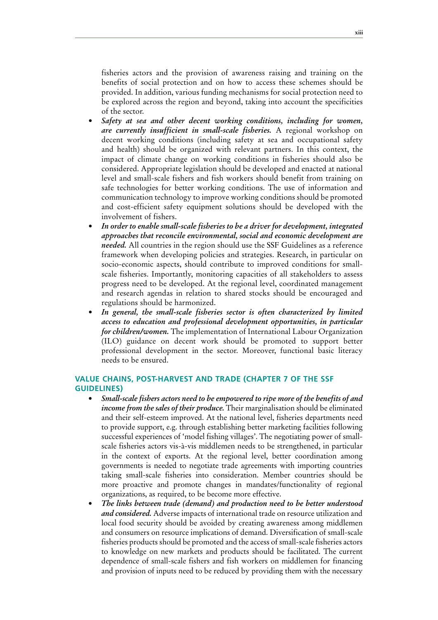fisheries actors and the provision of awareness raising and training on the benefits of social protection and on how to access these schemes should be provided. In addition, various funding mechanisms for social protection need to be explored across the region and beyond, taking into account the specificities of the sector.

- *Safety* at sea and other decent working conditions, including for women, *are currently insufficient in small-scale fisheries*. A regional workshop on decent working conditions (including safety at sea and occupational safety and health) should be organized with relevant partners. In this context, the impact of climate change on working conditions in fisheries should also be considered. Appropriate legislation should be developed and enacted at national level and small-scale fishers and fish workers should benefit from training on safe technologies for better working conditions. The use of information and communication technology to improve working conditions should be promoted and cost-efficient safety equipment solutions should be developed with the involvement of fishers.
- *In* order to enable small-scale fisheries to be a driver for development, integrated *approaches* that reconcile environmental, social and economic development are *needed.* All countries in the region should use the SSF Guidelines as a reference framework when developing policies and strategies. Research, in particular on socio-economic aspects, should contribute to improved conditions for smallscale fisheries. Importantly, monitoring capacities of all stakeholders to assess progress need to be developed. At the regional level, coordinated management and research agendas in relation to shared stocks should be encouraged and regulations should be harmonized.
- In general, the small-scale fisheries sector is often characterized by limited *access to education and professional development opportunities, in particular for children/women.* The implementation of International Labour Organization (ILO) guidance on decent work should be promoted to support better professional development in the sector. Moreover, functional basic literacy needs to be ensured.

### **VALUE CHAINS, POST-HARVEST AND TRADE (CHAPTER 7 OF THE SSF GUIDELINES)**

- *Small-scale fishers actors need to be empowered to ripe more of the benefits of and income from the sales of their produce.* Their marginalisation should be eliminated and their self-esteem improved. At the national level, fisheries departments need to provide support, e.g. through establishing better marketing facilities following successful experiences of 'model fishing villages'. The negotiating power of smallscale fisheries actors vis-à-vis middlemen needs to be strengthened, in particular in the context of exports. At the regional level, better coordination among governments is needed to negotiate trade agreements with importing countries taking small-scale fisheries into consideration. Member countries should be more proactive and promote changes in mandates/functionality of regional organizations, as required, to be become more effective.
- *The links between trade (demand) and production need to be better understood and considered.* Adverse impacts of international trade on resource utilization and local food security should be avoided by creating awareness among middlemen and consumers on resource implications of demand. Diversification of small-scale fisheries products should be promoted and the access of small-scale fisheries actors to knowledge on new markets and products should be facilitated. The current dependence of small-scale fishers and fish workers on middlemen for financing and provision of inputs need to be reduced by providing them with the necessary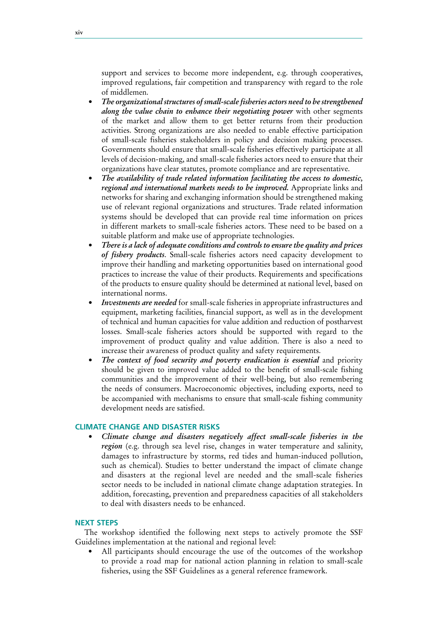support and services to become more independent, e.g. through cooperatives, improved regulations, fair competition and transparency with regard to the role of middlemen.

- *• The organizational structures of small-scale fisheries actors need to be strengthened along the value chain to enhance their negotiating power* with other segments of the market and allow them to get better returns from their production activities. Strong organizations are also needed to enable effective participation of small-scale fisheries stakeholders in policy and decision making processes. Governments should ensure that small-scale fisheries effectively participate at all levels of decision-making, and small-scale fisheries actors need to ensure that their organizations have clear statutes, promote compliance and are representative.
- *• The availability of trade related information facilitating the access to domestic, regional and international markets needs to be improved.* Appropriate links and networks for sharing and exchanging information should be strengthened making use of relevant regional organizations and structures. Trade related information systems should be developed that can provide real time information on prices in different markets to small-scale fisheries actors. These need to be based on a suitable platform and make use of appropriate technologies.
- *• There is a lack of adequate conditions and controls to ensure the quality and prices of fishery products*. Small-scale fisheries actors need capacity development to improve their handling and marketing opportunities based on international good practices to increase the value of their products. Requirements and specifications of the products to ensure quality should be determined at national level, based on international norms.
- *Investments are needed* for small-scale fisheries in appropriate infrastructures and equipment, marketing facilities, financial support, as well as in the development of technical and human capacities for value addition and reduction of postharvest losses. Small-scale fisheries actors should be supported with regard to the improvement of product quality and value addition. There is also a need to increase their awareness of product quality and safety requirements.
- *• The context of food security and poverty eradication is essential* and priority should be given to improved value added to the benefit of small-scale fishing communities and the improvement of their well-being, but also remembering the needs of consumers. Macroeconomic objectives, including exports, need to be accompanied with mechanisms to ensure that small-scale fishing community development needs are satisfied.

### **CLIMATE CHANGE AND DISASTER RISKS**

*Climate change and disasters negatively affect small-scale fisheries in the region* (e.g. through sea level rise, changes in water temperature and salinity, damages to infrastructure by storms, red tides and human-induced pollution, such as chemical). Studies to better understand the impact of climate change and disasters at the regional level are needed and the small-scale fisheries sector needs to be included in national climate change adaptation strategies. In addition, forecasting, prevention and preparedness capacities of all stakeholders to deal with disasters needs to be enhanced.

#### **NEXT STEPS**

The workshop identified the following next steps to actively promote the SSF Guidelines implementation at the national and regional level:

All participants should encourage the use of the outcomes of the workshop to provide a road map for national action planning in relation to small-scale fisheries, using the SSF Guidelines as a general reference framework.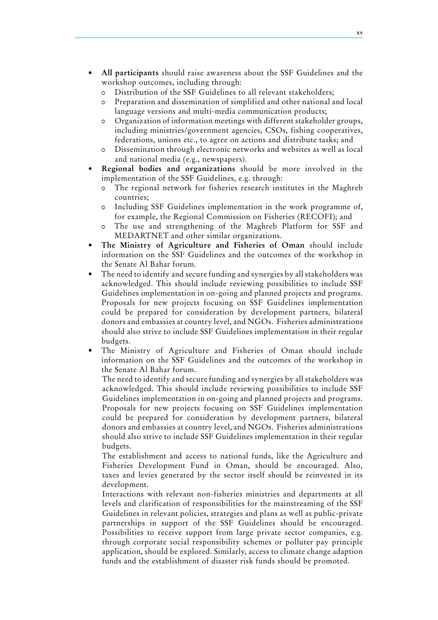- All participants should raise awareness about the SSF Guidelines and the workshop outcomes, including through:
	- 0 Distribution of the SSF Guidelines to all relevant stakeholders;
	- 0 Preparation and dissemination of simplified and other national and local language versions and multi-media communication products;
	- 0 Organization of information meetings with different stakeholder groups, including ministries/government agencies, CSOs, fishing cooperatives, federations, unions etc., to agree on actions and distribute tasks; and
	- 0 Dissemination through electronic networks and websites as well as local and national media (e.g., newspapers).
- **Regional bodies and organizations** should be more involved in the implementation of the SSF Guidelines, e.g. through:
	- The regional network for fisheries research institutes in the Maghreb countries;
	- 0 Including SSF Guidelines implementation in the work programme of, for example, the Regional Commission on Fisheries (RECOFI); and
	- 0 The use and strengthening of the Maghreb Platform for SSF and MEDARTNET and other similar organizations.
- **• The Ministry of Agriculture and Fisheries of Oman** should include information on the SSF Guidelines and the outcomes of the workshop in the Senate Al Bahar forum.
- The need to identify and secure funding and synergies by all stakeholders was acknowledged. This should include reviewing possibilities to include SSF Guidelines implementation in on-going and planned projects and programs. Proposals for new projects focusing on SSF Guidelines implementation could be prepared for consideration by development partners, bilateral donors and embassies at country level, and NGOs. Fisheries administrations should also strive to include SSF Guidelines implementation in their regular budgets.
- The Ministry of Agriculture and Fisheries of Oman should include information on the SSF Guidelines and the outcomes of the workshop in the Senate Al Bahar forum.

The need to identify and secure funding and synergies by all stakeholders was acknowledged. This should include reviewing possibilities to include SSF Guidelines implementation in on-going and planned projects and programs. Proposals for new projects focusing on SSF Guidelines implementation could be prepared for consideration by development partners, bilateral donors and embassies at country level, and NGOs. Fisheries administrations should also strive to include SSF Guidelines implementation in their regular budgets.

The establishment and access to national funds, like the Agriculture and Fisheries Development Fund in Oman, should be encouraged. Also, taxes and levies generated by the sector itself should be reinvested in its development.

Interactions with relevant non-fisheries ministries and departments at all levels and clarification of responsibilities for the mainstreaming of the SSF Guidelines in relevant policies, strategies and plans as well as public-private partnerships in support of the SSF Guidelines should be encouraged. Possibilities to receive support from large private sector companies, e.g. through corporate social responsibility schemes or polluter pay principle application, should be explored. Similarly, access to climate change adaption funds and the establishment of disaster risk funds should be promoted.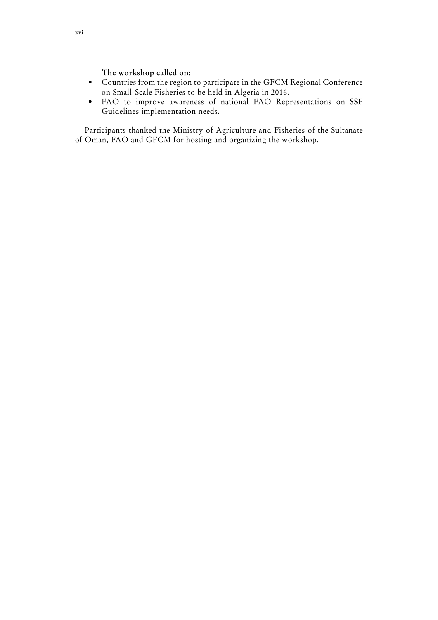**The workshop called on:**

- • Countries from the region to participate in the GFCM Regional Conference on Small-Scale Fisheries to be held in Algeria in 2016.
- • FAO to improve awareness of national FAO Representations on SSF Guidelines implementation needs.

Participants thanked the Ministry of Agriculture and Fisheries of the Sultanate of Oman, FAO and GFCM for hosting and organizing the workshop.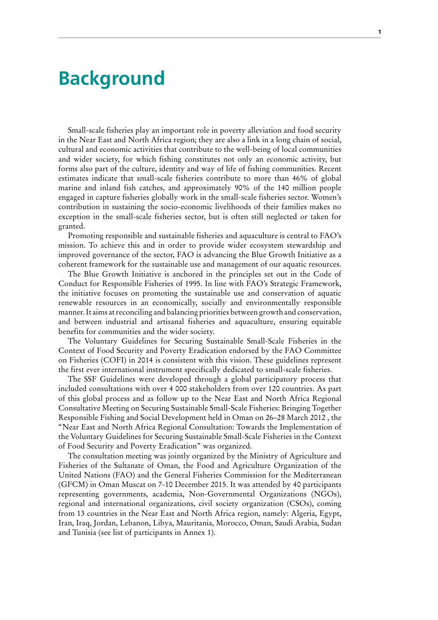# **Background**

Small-scale fisheries play an important role in poverty alleviation and food security in the Near East and North Africa region; they are also a link in a long chain of social, cultural and economic activities that contribute to the well-being of local communities and wider society, for which fishing constitutes not only an economic activity, but forms also part of the culture, identity and way of life of fishing communities. Recent estimates indicate that small-scale fisheries contribute to more than 46% of global marine and inland fish catches, and approximately 90% of the 140 million people engaged in capture fisheries globally work in the small-scale fisheries sector. Women's contribution in sustaining the socio-economic livelihoods of their families makes no exception in the small-scale fisheries sector, but is often still neglected or taken for granted.

Promoting responsible and sustainable fisheries and aquaculture is central to FAO's mission. To achieve this and in order to provide wider ecosystem stewardship and improved governance of the sector, FAO is advancing the Blue Growth Initiative as a coherent framework for the sustainable use and management of our aquatic resources.

The Blue Growth Initiative is anchored in the principles set out in the Code of Conduct for Responsible Fisheries of 1995. In line with FAO's Strategic Framework, the initiative focuses on promoting the sustainable use and conservation of aquatic renewable resources in an economically, socially and environmentally responsible manner. It aims at reconciling and balancing priorities between growth and conservation, and between industrial and artisanal fisheries and aquaculture, ensuring equitable benefits for communities and the wider society.

The Voluntary Guidelines for Securing Sustainable Small-Scale Fisheries in the Context of Food Security and Poverty Eradication endorsed by the FAO Committee on Fisheries (COFI) in 2014 is consistent with this vision. These guidelines represent the first ever international instrument specifically dedicated to small-scale fisheries.

The SSF Guidelines were developed through a global participatory process that included consultations with over 4 000 stakeholders from over 120 countries. As part of this global process and as follow up to the Near East and North Africa Regional Consultative Meeting on Securing Sustainable Small-Scale Fisheries: Bringing Together Responsible Fishing and Social Development held in Oman on 26–28 March 2012 , the "Near East and North Africa Regional Consultation: Towards the Implementation of the Voluntary Guidelines for Securing Sustainable Small-Scale Fisheries in the Context of Food Security and Poverty Eradication" was organized.

The consultation meeting was jointly organized by the Ministry of Agriculture and Fisheries of the Sultanate of Oman, the Food and Agriculture Organization of the United Nations (FAO) and the General Fisheries Commission for the Mediterranean (GFCM) in Oman Muscat on 7-10 December 2015. It was attended by 40 participants representing governments, academia, Non-Governmental Organizations (NGOs), regional and international organizations, civil society organization (CSOs), coming from 13 countries in the Near East and North Africa region, namely: Algeria, Egypt, Iran, Iraq, Jordan, Lebanon, Libya, Mauritania, Morocco, Oman, Saudi Arabia, Sudan and Tunisia (see list of participants in Annex 1).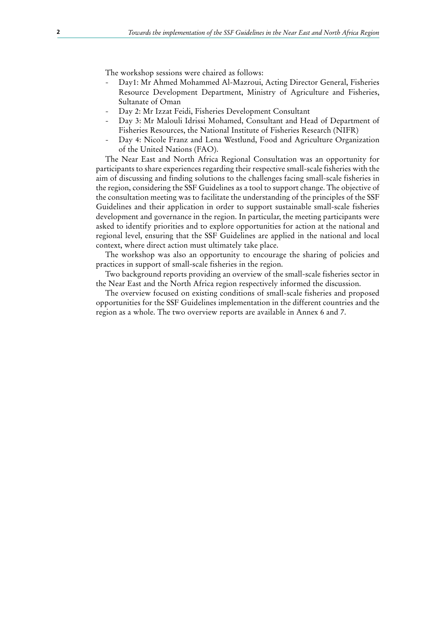The workshop sessions were chaired as follows:

- Day1: Mr Ahmed Mohammed Al-Mazroui, Acting Director General, Fisheries Resource Development Department, Ministry of Agriculture and Fisheries, Sultanate of Oman
- Day 2: Mr Izzat Feidi, Fisheries Development Consultant
- Day 3: Mr Malouli Idrissi Mohamed, Consultant and Head of Department of Fisheries Resources, the National Institute of Fisheries Research (NIFR)
- Day 4: Nicole Franz and Lena Westlund, Food and Agriculture Organization of the United Nations (FAO).

The Near East and North Africa Regional Consultation was an opportunity for participants to share experiences regarding their respective small-scale fisheries with the aim of discussing and finding solutions to the challenges facing small-scale fisheries in the region, considering the SSF Guidelines as a tool to support change. The objective of the consultation meeting was to facilitate the understanding of the principles of the SSF Guidelines and their application in order to support sustainable small-scale fisheries development and governance in the region. In particular, the meeting participants were asked to identify priorities and to explore opportunities for action at the national and regional level, ensuring that the SSF Guidelines are applied in the national and local context, where direct action must ultimately take place.

The workshop was also an opportunity to encourage the sharing of policies and practices in support of small-scale fisheries in the region.

Two background reports providing an overview of the small-scale fisheries sector in the Near East and the North Africa region respectively informed the discussion.

The overview focused on existing conditions of small-scale fisheries and proposed opportunities for the SSF Guidelines implementation in the different countries and the region as a whole. The two overview reports are available in Annex 6 and 7.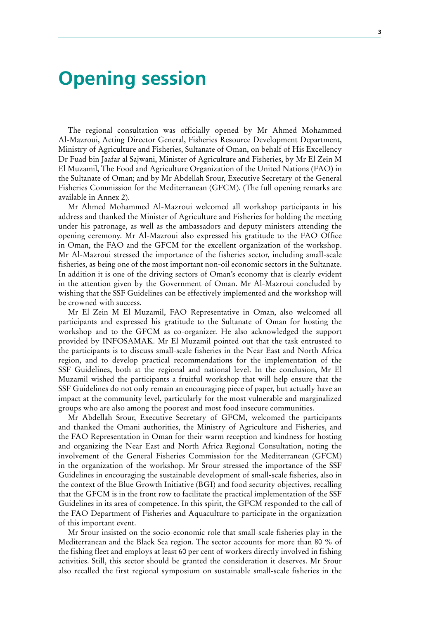# **Opening session**

The regional consultation was officially opened by Mr Ahmed Mohammed Al-Mazroui, Acting Director General, Fisheries Resource Development Department, Ministry of Agriculture and Fisheries, Sultanate of Oman, on behalf of His Excellency Dr Fuad bin Jaafar al Sajwani, Minister of Agriculture and Fisheries, by Mr El Zein M El Muzamil, The Food and Agriculture Organization of the United Nations (FAO) in the Sultanate of Oman; and by Mr Abdellah Srour, Executive Secretary of the General Fisheries Commission for the Mediterranean (GFCM). (The full opening remarks are available in Annex 2).

Mr Ahmed Mohammed Al-Mazroui welcomed all workshop participants in his address and thanked the Minister of Agriculture and Fisheries for holding the meeting under his patronage, as well as the ambassadors and deputy ministers attending the opening ceremony. Mr Al-Mazroui also expressed his gratitude to the FAO Office in Oman, the FAO and the GFCM for the excellent organization of the workshop. Mr Al-Mazroui stressed the importance of the fisheries sector, including small-scale fisheries, as being one of the most important non-oil economic sectors in the Sultanate. In addition it is one of the driving sectors of Oman's economy that is clearly evident in the attention given by the Government of Oman. Mr Al-Mazroui concluded by wishing that the SSF Guidelines can be effectively implemented and the workshop will be crowned with success.

Mr El Zein M El Muzamil, FAO Representative in Oman, also welcomed all participants and expressed his gratitude to the Sultanate of Oman for hosting the workshop and to the GFCM as co-organizer. He also acknowledged the support provided by INFOSAMAK. Mr El Muzamil pointed out that the task entrusted to the participants is to discuss small-scale fisheries in the Near East and North Africa region, and to develop practical recommendations for the implementation of the SSF Guidelines, both at the regional and national level. In the conclusion, Mr El Muzamil wished the participants a fruitful workshop that will help ensure that the SSF Guidelines do not only remain an encouraging piece of paper, but actually have an impact at the community level, particularly for the most vulnerable and marginalized groups who are also among the poorest and most food insecure communities.

Mr Abdellah Srour, Executive Secretary of GFCM, welcomed the participants and thanked the Omani authorities, the Ministry of Agriculture and Fisheries, and the FAO Representation in Oman for their warm reception and kindness for hosting and organizing the Near East and North Africa Regional Consultation, noting the involvement of the General Fisheries Commission for the Mediterranean (GFCM) in the organization of the workshop. Mr Srour stressed the importance of the SSF Guidelines in encouraging the sustainable development of small-scale fisheries, also in the context of the Blue Growth Initiative (BGI) and food security objectives, recalling that the GFCM is in the front row to facilitate the practical implementation of the SSF Guidelines in its area of competence. In this spirit, the GFCM responded to the call of the FAO Department of Fisheries and Aquaculture to participate in the organization of this important event.

Mr Srour insisted on the socio-economic role that small-scale fisheries play in the Mediterranean and the Black Sea region. The sector accounts for more than 80 % of the fishing fleet and employs at least 60 per cent of workers directly involved in fishing activities. Still, this sector should be granted the consideration it deserves. Mr Srour also recalled the first regional symposium on sustainable small-scale fisheries in the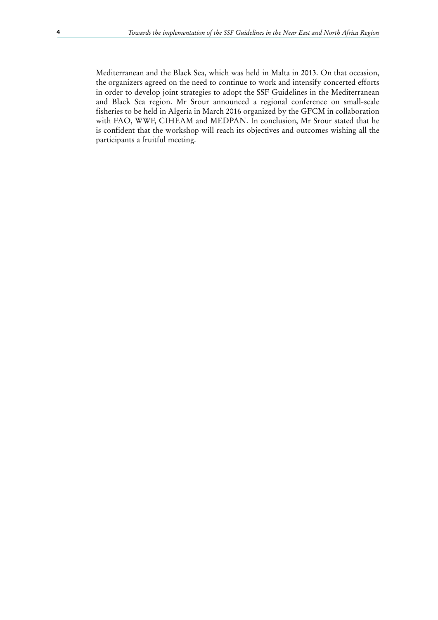Mediterranean and the Black Sea, which was held in Malta in 2013. On that occasion, the organizers agreed on the need to continue to work and intensify concerted efforts in order to develop joint strategies to adopt the SSF Guidelines in the Mediterranean and Black Sea region. Mr Srour announced a regional conference on small-scale fisheries to be held in Algeria in March 2016 organized by the GFCM in collaboration with FAO, WWF, CIHEAM and MEDPAN. In conclusion, Mr Srour stated that he is confident that the workshop will reach its objectives and outcomes wishing all the participants a fruitful meeting.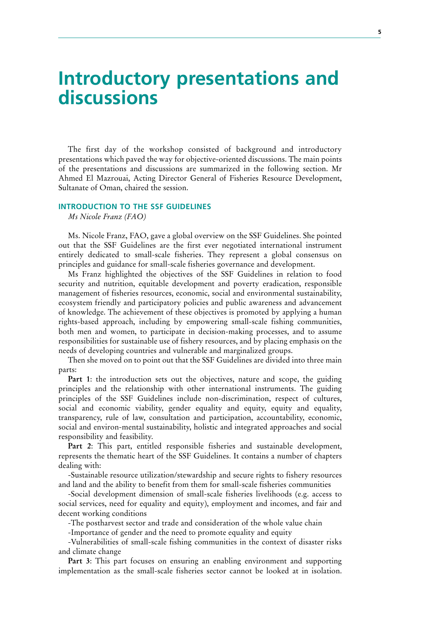# **Introductory presentations and discussions**

The first day of the workshop consisted of background and introductory presentations which paved the way for objective-oriented discussions. The main points of the presentations and discussions are summarized in the following section. Mr Ahmed El Mazrouai, Acting Director General of Fisheries Resource Development, Sultanate of Oman, chaired the session.

#### **INTRODUCTION TO THE SSF GUIDELINES**

*Ms Nicole Franz (FAO)*

Ms. Nicole Franz, FAO, gave a global overview on the SSF Guidelines. She pointed out that the SSF Guidelines are the first ever negotiated international instrument entirely dedicated to small-scale fisheries. They represent a global consensus on principles and guidance for small-scale fisheries governance and development.

Ms Franz highlighted the objectives of the SSF Guidelines in relation to food security and nutrition, equitable development and poverty eradication, responsible management of fisheries resources, economic, social and environmental sustainability, ecosystem friendly and participatory policies and public awareness and advancement of knowledge. The achievement of these objectives is promoted by applying a human rights-based approach, including by empowering small-scale fishing communities, both men and women, to participate in decision-making processes, and to assume responsibilities for sustainable use of fishery resources, and by placing emphasis on the needs of developing countries and vulnerable and marginalized groups.

Then she moved on to point out that the SSF Guidelines are divided into three main parts:

**Part 1**: the introduction sets out the objectives, nature and scope, the guiding principles and the relationship with other international instruments. The guiding principles of the SSF Guidelines include non-discrimination, respect of cultures, social and economic viability, gender equality and equity, equity and equality, transparency, rule of law, consultation and participation, accountability, economic, social and environ-mental sustainability, holistic and integrated approaches and social responsibility and feasibility.

Part 2: This part, entitled responsible fisheries and sustainable development, represents the thematic heart of the SSF Guidelines. It contains a number of chapters dealing with:

-Sustainable resource utilization/stewardship and secure rights to fishery resources and land and the ability to benefit from them for small-scale fisheries communities

-Social development dimension of small-scale fisheries livelihoods (e.g. access to social services, need for equality and equity), employment and incomes, and fair and decent working conditions

-The postharvest sector and trade and consideration of the whole value chain

-Importance of gender and the need to promote equality and equity

-Vulnerabilities of small-scale fishing communities in the context of disaster risks and climate change

**Part 3**: This part focuses on ensuring an enabling environment and supporting implementation as the small-scale fisheries sector cannot be looked at in isolation.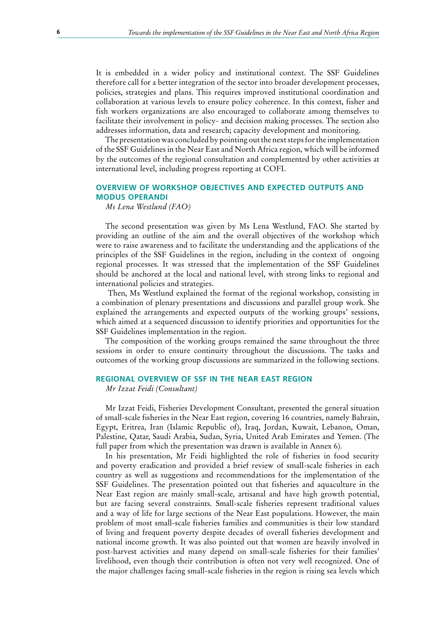It is embedded in a wider policy and institutional context. The SSF Guidelines therefore call for a better integration of the sector into broader development processes, policies, strategies and plans. This requires improved institutional coordination and collaboration at various levels to ensure policy coherence. In this context, fisher and fish workers organizations are also encouraged to collaborate among themselves to facilitate their involvement in policy- and decision making processes. The section also addresses information, data and research; capacity development and monitoring.

The presentation was concluded by pointing out the next steps for the implementation of the SSF Guidelines in the Near East and North Africa region, which will be informed by the outcomes of the regional consultation and complemented by other activities at international level, including progress reporting at COFI.

#### **OVERVIEW OF WORKSHOP OBJECTIVES AND EXPECTED OUTPUTS AND MODUS OPERANDI**

*Ms Lena Westlund (FAO)*

The second presentation was given by Ms Lena Westlund, FAO. She started by providing an outline of the aim and the overall objectives of the workshop which were to raise awareness and to facilitate the understanding and the applications of the principles of the SSF Guidelines in the region, including in the context of ongoing regional processes. It was stressed that the implementation of the SSF Guidelines should be anchored at the local and national level, with strong links to regional and international policies and strategies.

 Then, Ms Westlund explained the format of the regional workshop, consisting in a combination of plenary presentations and discussions and parallel group work. She explained the arrangements and expected outputs of the working groups' sessions, which aimed at a sequenced discussion to identify priorities and opportunities for the SSF Guidelines implementation in the region.

The composition of the working groups remained the same throughout the three sessions in order to ensure continuity throughout the discussions. The tasks and outcomes of the working group discussions are summarized in the following sections.

### **REGIONAL OVERVIEW OF SSF IN THE NEAR EAST REGION**

*Mr Izzat Feidi (Consultant)*

Mr Izzat Feidi, Fisheries Development Consultant, presented the general situation of small-scale fisheries in the Near East region, covering 16 countries, namely Bahrain, Egypt, Eritrea, Iran (Islamic Republic of), Iraq, Jordan, Kuwait, Lebanon, Oman, Palestine, Qatar, Saudi Arabia, Sudan, Syria, United Arab Emirates and Yemen. (The full paper from which the presentation was drawn is available in Annex 6).

In his presentation, Mr Feidi highlighted the role of fisheries in food security and poverty eradication and provided a brief review of small-scale fisheries in each country as well as suggestions and recommendations for the implementation of the SSF Guidelines. The presentation pointed out that fisheries and aquaculture in the Near East region are mainly small-scale, artisanal and have high growth potential, but are facing several constraints. Small-scale fisheries represent traditional values and a way of life for large sections of the Near East populations. However, the main problem of most small-scale fisheries families and communities is their low standard of living and frequent poverty despite decades of overall fisheries development and national income growth. It was also pointed out that women are heavily involved in post-harvest activities and many depend on small-scale fisheries for their families' livelihood, even though their contribution is often not very well recognized. One of the major challenges facing small-scale fisheries in the region is rising sea levels which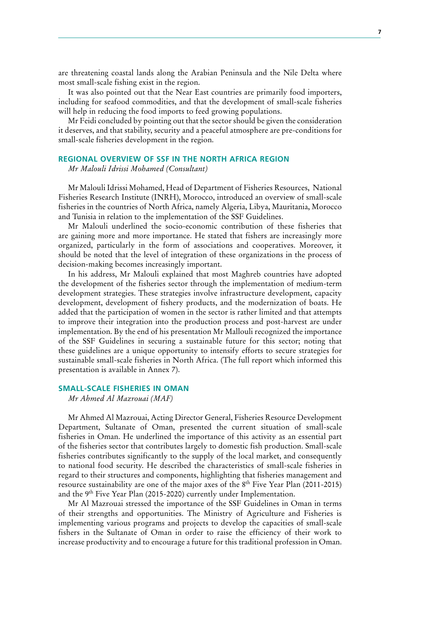are threatening coastal lands along the Arabian Peninsula and the Nile Delta where most small-scale fishing exist in the region.

It was also pointed out that the Near East countries are primarily food importers, including for seafood commodities, and that the development of small-scale fisheries will help in reducing the food imports to feed growing populations.

Mr Feidi concluded by pointing out that the sector should be given the consideration it deserves, and that stability, security and a peaceful atmosphere are pre-conditions for small-scale fisheries development in the region.

#### **REGIONAL OVERVIEW OF SSF IN THE NORTH AFRICA REGION**

*Mr Malouli Idrissi Mohamed (Consultant)*

Mr Malouli Idrissi Mohamed, Head of Department of Fisheries Resources, National Fisheries Research Institute (INRH), Morocco, introduced an overview of small-scale fisheries in the countries of North Africa, namely Algeria, Libya, Mauritania, Morocco and Tunisia in relation to the implementation of the SSF Guidelines.

Mr Malouli underlined the socio-economic contribution of these fisheries that are gaining more and more importance. He stated that fishers are increasingly more organized, particularly in the form of associations and cooperatives. Moreover, it should be noted that the level of integration of these organizations in the process of decision-making becomes increasingly important.

In his address, Mr Malouli explained that most Maghreb countries have adopted the development of the fisheries sector through the implementation of medium-term development strategies. These strategies involve infrastructure development, capacity development, development of fishery products, and the modernization of boats. He added that the participation of women in the sector is rather limited and that attempts to improve their integration into the production process and post-harvest are under implementation. By the end of his presentation Mr Mallouli recognized the importance of the SSF Guidelines in securing a sustainable future for this sector; noting that these guidelines are a unique opportunity to intensify efforts to secure strategies for sustainable small-scale fisheries in North Africa. (The full report which informed this presentation is available in Annex 7).

#### **SMALL-SCALE FISHERIES IN OMAN**

*Mr Ahmed Al Mazrouai (MAF)*

Mr Ahmed Al Mazrouai, Acting Director General, Fisheries Resource Development Department, Sultanate of Oman, presented the current situation of small-scale fisheries in Oman. He underlined the importance of this activity as an essential part of the fisheries sector that contributes largely to domestic fish production. Small-scale fisheries contributes significantly to the supply of the local market, and consequently to national food security. He described the characteristics of small-scale fisheries in regard to their structures and components, highlighting that fisheries management and resource sustainability are one of the major axes of the 8<sup>th</sup> Five Year Plan (2011-2015) and the 9<sup>th</sup> Five Year Plan (2015-2020) currently under Implementation.

Mr Al Mazrouai stressed the importance of the SSF Guidelines in Oman in terms of their strengths and opportunities. The Ministry of Agriculture and Fisheries is implementing various programs and projects to develop the capacities of small-scale fishers in the Sultanate of Oman in order to raise the efficiency of their work to increase productivity and to encourage a future for this traditional profession in Oman.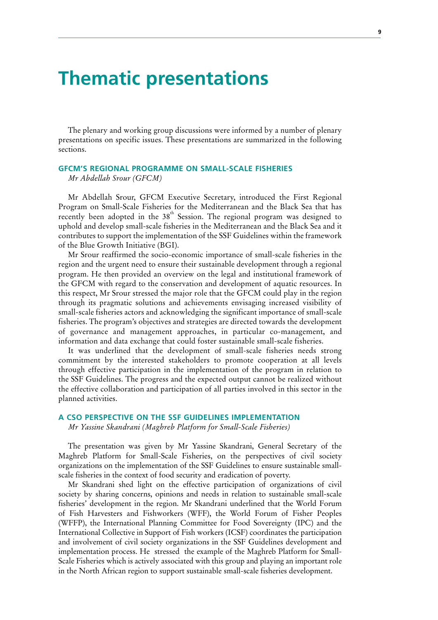# **Thematic presentations**

The plenary and working group discussions were informed by a number of plenary presentations on specific issues. These presentations are summarized in the following sections.

### **GFCM'S REGIONAL PROGRAMME ON SMALL-SCALE FISHERIES**

*Mr Abdellah Srour (GFCM)*

Mr Abdellah Srour, GFCM Executive Secretary, introduced the First Regional Program on Small-Scale Fisheries for the Mediterranean and the Black Sea that has recently been adopted in the  $38<sup>th</sup>$  Session. The regional program was designed to uphold and develop small-scale fisheries in the Mediterranean and the Black Sea and it contributes to support the implementation of the SSF Guidelines within the framework of the Blue Growth Initiative (BGI).

Mr Srour reaffirmed the socio-economic importance of small-scale fisheries in the region and the urgent need to ensure their sustainable development through a regional program. He then provided an overview on the legal and institutional framework of the GFCM with regard to the conservation and development of aquatic resources. In this respect, Mr Srour stressed the major role that the GFCM could play in the region through its pragmatic solutions and achievements envisaging increased visibility of small-scale fisheries actors and acknowledging the significant importance of small-scale fisheries. The program's objectives and strategies are directed towards the development of governance and management approaches, in particular co-management, and information and data exchange that could foster sustainable small-scale fisheries.

It was underlined that the development of small-scale fisheries needs strong commitment by the interested stakeholders to promote cooperation at all levels through effective participation in the implementation of the program in relation to the SSF Guidelines. The progress and the expected output cannot be realized without the effective collaboration and participation of all parties involved in this sector in the planned activities.

#### **A CSO PERSPECTIVE ON THE SSF GUIDELINES IMPLEMENTATION**

*Mr Yassine Skandrani (Maghreb Platform for Small-Scale Fisheries)*

The presentation was given by Mr Yassine Skandrani, General Secretary of the Maghreb Platform for Small-Scale Fisheries, on the perspectives of civil society organizations on the implementation of the SSF Guidelines to ensure sustainable smallscale fisheries in the context of food security and eradication of poverty.

Mr Skandrani shed light on the effective participation of organizations of civil society by sharing concerns, opinions and needs in relation to sustainable small-scale fisheries' development in the region. Mr Skandrani underlined that the World Forum of Fish Harvesters and Fishworkers (WFF), the World Forum of Fisher Peoples (WFFP), the International Planning Committee for Food Sovereignty (IPC) and the International Collective in Support of Fish workers (ICSF) coordinates the participation and involvement of civil society organizations in the SSF Guidelines development and implementation process. He stressed the example of the Maghreb Platform for Small-Scale Fisheries which is actively associated with this group and playing an important role in the North African region to support sustainable small-scale fisheries development.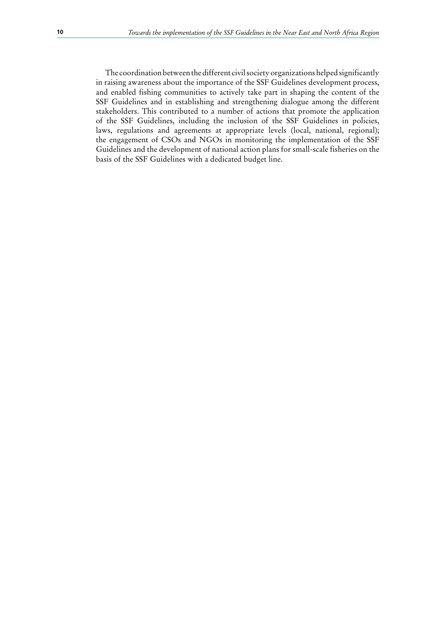The coordination between the different civil society organizations helped significantly in raising awareness about the importance of the SSF Guidelines development process, and enabled fishing communities to actively take part in shaping the content of the SSF Guidelines and in establishing and strengthening dialogue among the different stakeholders. This contributed to a number of actions that promote the application of the SSF Guidelines, including the inclusion of the SSF Guidelines in policies, laws, regulations and agreements at appropriate levels (local, national, regional); the engagement of CSOs and NGOs in monitoring the implementation of the SSF Guidelines and the development of national action plans for small-scale fisheries on the basis of the SSF Guidelines with a dedicated budget line.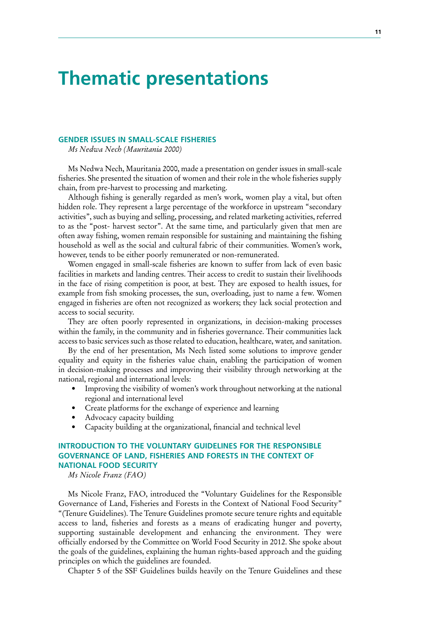# **Thematic presentations**

#### **GENDER ISSUES IN SMALL-SCALE FISHERIES**

*Ms Nedwa Nech (Mauritania 2000)*

Ms Nedwa Nech, Mauritania 2000, made a presentation on gender issues in small-scale fisheries. She presented the situation of women and their role in the whole fisheries supply chain, from pre-harvest to processing and marketing.

Although fishing is generally regarded as men's work, women play a vital, but often hidden role. They represent a large percentage of the workforce in upstream "secondary activities", such as buying and selling, processing, and related marketing activities, referred to as the "post- harvest sector". At the same time, and particularly given that men are often away fishing, women remain responsible for sustaining and maintaining the fishing household as well as the social and cultural fabric of their communities. Women's work, however, tends to be either poorly remunerated or non-remunerated.

Women engaged in small-scale fisheries are known to suffer from lack of even basic facilities in markets and landing centres. Their access to credit to sustain their livelihoods in the face of rising competition is poor, at best. They are exposed to health issues, for example from fish smoking processes, the sun, overloading, just to name a few. Women engaged in fisheries are often not recognized as workers; they lack social protection and access to social security.

They are often poorly represented in organizations, in decision-making processes within the family, in the community and in fisheries governance. Their communities lack access to basic services such as those related to education, healthcare, water, and sanitation.

By the end of her presentation, Ms Nech listed some solutions to improve gender equality and equity in the fisheries value chain, enabling the participation of women in decision-making processes and improving their visibility through networking at the national, regional and international levels:

- Improving the visibility of women's work throughout networking at the national regional and international level
- Create platforms for the exchange of experience and learning
- Advocacy capacity building
- Capacity building at the organizational, financial and technical level

### **INTRODUCTION TO THE VOLUNTARY GUIDELINES FOR THE RESPONSIBLE GOVERNANCE OF LAND, FISHERIES AND FORESTS IN THE CONTEXT OF NATIONAL FOOD SECURITY**

*Ms Nicole Franz (FAO)*

Ms Nicole Franz, FAO, introduced the "Voluntary Guidelines for the Responsible Governance of Land, Fisheries and Forests in the Context of National Food Security" "(Tenure Guidelines). The Tenure Guidelines promote secure tenure rights and equitable access to land, fisheries and forests as a means of eradicating hunger and poverty, supporting sustainable development and enhancing the environment. They were officially endorsed by the Committee on World Food Security in 2012. She spoke about the goals of the guidelines, explaining the human rights-based approach and the guiding principles on which the guidelines are founded.

Chapter 5 of the SSF Guidelines builds heavily on the Tenure Guidelines and these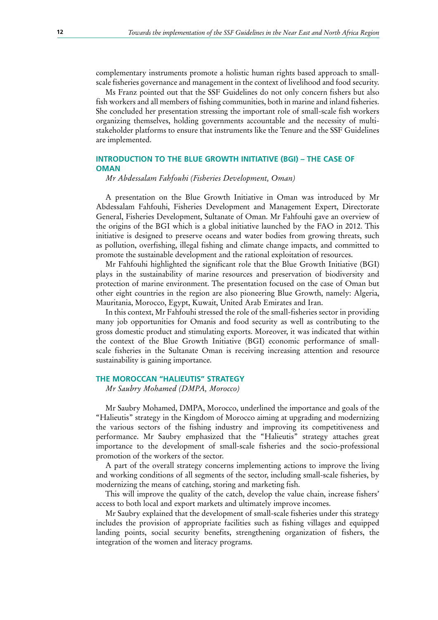complementary instruments promote a holistic human rights based approach to smallscale fisheries governance and management in the context of livelihood and food security.

Ms Franz pointed out that the SSF Guidelines do not only concern fishers but also fish workers and all members of fishing communities, both in marine and inland fisheries. She concluded her presentation stressing the important role of small-scale fish workers organizing themselves, holding governments accountable and the necessity of multistakeholder platforms to ensure that instruments like the Tenure and the SSF Guidelines are implemented.

### **INTRODUCTION TO THE BLUE GROWTH INITIATIVE (BGI) – THE CASE OF OMAN**

*Mr Abdessalam Fahfouhi (Fisheries Development, Oman)*

A presentation on the Blue Growth Initiative in Oman was introduced by Mr Abdessalam Fahfouhi, Fisheries Development and Management Expert, Directorate General, Fisheries Development, Sultanate of Oman. Mr Fahfouhi gave an overview of the origins of the BGI which is a global initiative launched by the FAO in 2012. This initiative is designed to preserve oceans and water bodies from growing threats, such as pollution, overfishing, illegal fishing and climate change impacts, and committed to promote the sustainable development and the rational exploitation of resources.

Mr Fahfouhi highlighted the significant role that the Blue Growth Initiative (BGI) plays in the sustainability of marine resources and preservation of biodiversity and protection of marine environment. The presentation focused on the case of Oman but other eight countries in the region are also pioneering Blue Growth, namely: Algeria, Mauritania, Morocco, Egypt, Kuwait, United Arab Emirates and Iran.

In this context, Mr Fahfouhi stressed the role of the small-fisheries sector in providing many job opportunities for Omanis and food security as well as contributing to the gross domestic product and stimulating exports. Moreover, it was indicated that within the context of the Blue Growth Initiative (BGI) economic performance of smallscale fisheries in the Sultanate Oman is receiving increasing attention and resource sustainability is gaining importance.

#### **THE MOROCCAN "HALIEUTIS" STRATEGY**

*Mr Saubry Mohamed (DMPA, Morocco)*

Mr Saubry Mohamed, DMPA, Morocco, underlined the importance and goals of the "Halieutis" strategy in the Kingdom of Morocco aiming at upgrading and modernizing the various sectors of the fishing industry and improving its competitiveness and performance. Mr Saubry emphasized that the "Halieutis" strategy attaches great importance to the development of small-scale fisheries and the socio-professional promotion of the workers of the sector.

A part of the overall strategy concerns implementing actions to improve the living and working conditions of all segments of the sector, including small-scale fisheries, by modernizing the means of catching, storing and marketing fish.

This will improve the quality of the catch, develop the value chain, increase fishers' access to both local and export markets and ultimately improve incomes.

Mr Saubry explained that the development of small-scale fisheries under this strategy includes the provision of appropriate facilities such as fishing villages and equipped landing points, social security benefits, strengthening organization of fishers, the integration of the women and literacy programs.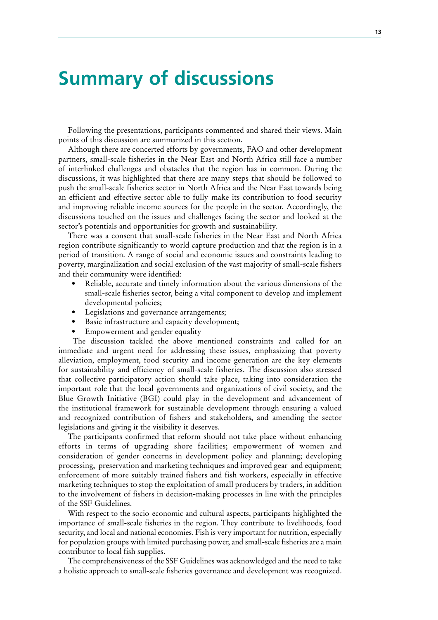# **Summary of discussions**

Following the presentations, participants commented and shared their views. Main points of this discussion are summarized in this section.

Although there are concerted efforts by governments, FAO and other development partners, small-scale fisheries in the Near East and North Africa still face a number of interlinked challenges and obstacles that the region has in common. During the discussions, it was highlighted that there are many steps that should be followed to push the small-scale fisheries sector in North Africa and the Near East towards being an efficient and effective sector able to fully make its contribution to food security and improving reliable income sources for the people in the sector. Accordingly, the discussions touched on the issues and challenges facing the sector and looked at the sector's potentials and opportunities for growth and sustainability.

There was a consent that small-scale fisheries in the Near East and North Africa region contribute significantly to world capture production and that the region is in a period of transition. A range of social and economic issues and constraints leading to poverty, marginalization and social exclusion of the vast majority of small-scale fishers and their community were identified:

- Reliable, accurate and timely information about the various dimensions of the small-scale fisheries sector, being a vital component to develop and implement developmental policies;
- Legislations and governance arrangements;
- Basic infrastructure and capacity development;
- Empowerment and gender equality

 The discussion tackled the above mentioned constraints and called for an immediate and urgent need for addressing these issues, emphasizing that poverty alleviation, employment, food security and income generation are the key elements for sustainability and efficiency of small-scale fisheries. The discussion also stressed that collective participatory action should take place, taking into consideration the important role that the local governments and organizations of civil society, and the Blue Growth Initiative (BGI) could play in the development and advancement of the institutional framework for sustainable development through ensuring a valued and recognized contribution of fishers and stakeholders, and amending the sector legislations and giving it the visibility it deserves.

The participants confirmed that reform should not take place without enhancing efforts in terms of upgrading shore facilities; empowerment of women and consideration of gender concerns in development policy and planning; developing processing, preservation and marketing techniques and improved gear and equipment; enforcement of more suitably trained fishers and fish workers, especially in effective marketing techniques to stop the exploitation of small producers by traders, in addition to the involvement of fishers in decision-making processes in line with the principles of the SSF Guidelines.

With respect to the socio-economic and cultural aspects, participants highlighted the importance of small-scale fisheries in the region. They contribute to livelihoods, food security, and local and national economies. Fish is very important for nutrition, especially for population groups with limited purchasing power, and small-scale fisheries are a main contributor to local fish supplies.

The comprehensiveness of the SSF Guidelines was acknowledged and the need to take a holistic approach to small-scale fisheries governance and development was recognized.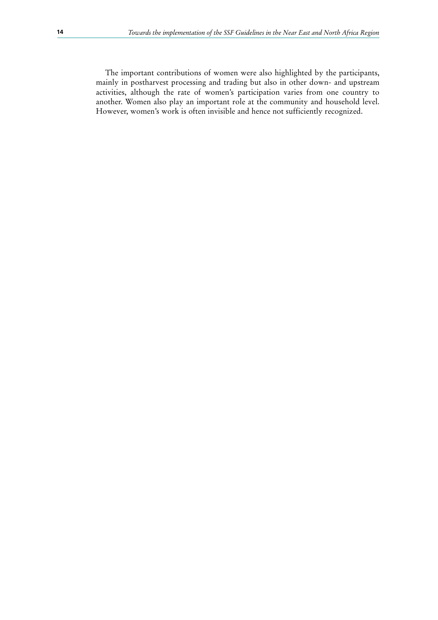The important contributions of women were also highlighted by the participants, mainly in postharvest processing and trading but also in other down- and upstream activities, although the rate of women's participation varies from one country to another. Women also play an important role at the community and household level. However, women's work is often invisible and hence not sufficiently recognized.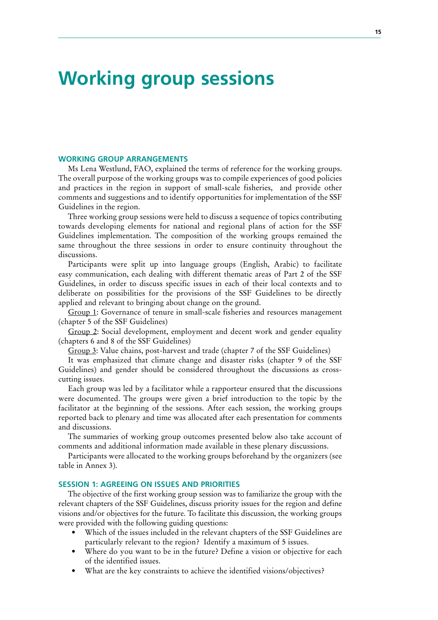# **Working group sessions**

#### **WORKING GROUP ARRANGEMENTS**

Ms Lena Westlund, FAO, explained the terms of reference for the working groups. The overall purpose of the working groups was to compile experiences of good policies and practices in the region in support of small-scale fisheries, and provide other comments and suggestions and to identify opportunities for implementation of the SSF Guidelines in the region.

Three working group sessions were held to discuss a sequence of topics contributing towards developing elements for national and regional plans of action for the SSF Guidelines implementation. The composition of the working groups remained the same throughout the three sessions in order to ensure continuity throughout the discussions.

Participants were split up into language groups (English, Arabic) to facilitate easy communication, each dealing with different thematic areas of Part 2 of the SSF Guidelines, in order to discuss specific issues in each of their local contexts and to deliberate on possibilities for the provisions of the SSF Guidelines to be directly applied and relevant to bringing about change on the ground.

Group 1: Governance of tenure in small-scale fisheries and resources management (chapter 5 of the SSF Guidelines)

Group 2: Social development, employment and decent work and gender equality (chapters 6 and 8 of the SSF Guidelines)

Group 3: Value chains, post-harvest and trade (chapter 7 of the SSF Guidelines)

It was emphasized that climate change and disaster risks (chapter 9 of the SSF Guidelines) and gender should be considered throughout the discussions as crosscutting issues.

Each group was led by a facilitator while a rapporteur ensured that the discussions were documented. The groups were given a brief introduction to the topic by the facilitator at the beginning of the sessions. After each session, the working groups reported back to plenary and time was allocated after each presentation for comments and discussions.

The summaries of working group outcomes presented below also take account of comments and additional information made available in these plenary discussions.

Participants were allocated to the working groups beforehand by the organizers (see table in Annex 3).

#### **SESSION 1: AGREEING ON ISSUES AND PRIORITIES**

The objective of the first working group session was to familiarize the group with the relevant chapters of the SSF Guidelines, discuss priority issues for the region and define visions and/or objectives for the future. To facilitate this discussion, the working groups were provided with the following guiding questions:

- Which of the issues included in the relevant chapters of the SSF Guidelines are particularly relevant to the region? Identify a maximum of 5 issues.
- Where do you want to be in the future? Define a vision or objective for each of the identified issues.
- What are the key constraints to achieve the identified visions/objectives?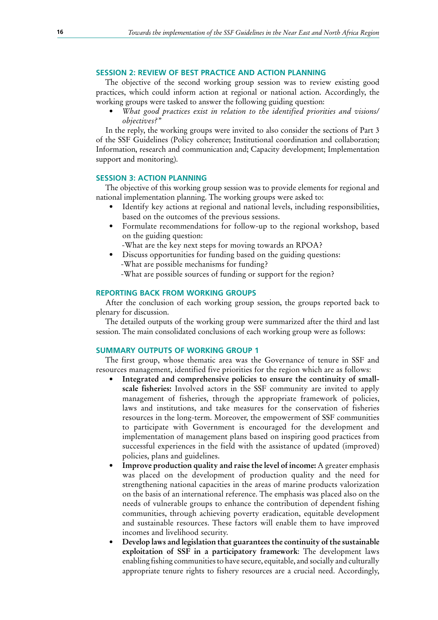### **SESSION 2: REVIEW OF BEST PRACTICE AND ACTION PLANNING**

The objective of the second working group session was to review existing good practices, which could inform action at regional or national action. Accordingly, the working groups were tasked to answer the following guiding question:

*• What good practices exist in relation to the identified priorities and visions/ objectives?"*

In the reply, the working groups were invited to also consider the sections of Part 3 of the SSF Guidelines (Policy coherence; Institutional coordination and collaboration; Information, research and communication and; Capacity development; Implementation support and monitoring).

#### **SESSION 3: ACTION PLANNING**

The objective of this working group session was to provide elements for regional and national implementation planning. The working groups were asked to:

- Identify key actions at regional and national levels, including responsibilities, based on the outcomes of the previous sessions.
- Formulate recommendations for follow-up to the regional workshop, based on the guiding question:
	- -What are the key next steps for moving towards an RPOA?
- Discuss opportunities for funding based on the guiding questions: -What are possible mechanisms for funding?
	- -What are possible sources of funding or support for the region?

#### **REPORTING BACK FROM WORKING GROUPS**

After the conclusion of each working group session, the groups reported back to plenary for discussion.

The detailed outputs of the working group were summarized after the third and last session. The main consolidated conclusions of each working group were as follows:

### **SUMMARY OUTPUTS OF WORKING GROUP 1**

The first group, whose thematic area was the Governance of tenure in SSF and resources management, identified five priorities for the region which are as follows:

- Integrated and comprehensive policies to ensure the continuity of smallscale fisheries: Involved actors in the SSF community are invited to apply management of fisheries, through the appropriate framework of policies, laws and institutions, and take measures for the conservation of fisheries resources in the long-term. Moreover, the empowerment of SSF communities to participate with Government is encouraged for the development and implementation of management plans based on inspiring good practices from successful experiences in the field with the assistance of updated (improved) policies, plans and guidelines.
- **Improve production quality and raise the level of income:** A greater emphasis was placed on the development of production quality and the need for strengthening national capacities in the areas of marine products valorization on the basis of an international reference. The emphasis was placed also on the needs of vulnerable groups to enhance the contribution of dependent fishing communities, through achieving poverty eradication, equitable development and sustainable resources. These factors will enable them to have improved incomes and livelihood security.
- **Develop** laws and legislation that guarantees the continuity of the sustainable **exploitation of SSF in a participatory framework**: The development laws enabling fishing communities to have secure, equitable, and socially and culturally appropriate tenure rights to fishery resources are a crucial need. Accordingly,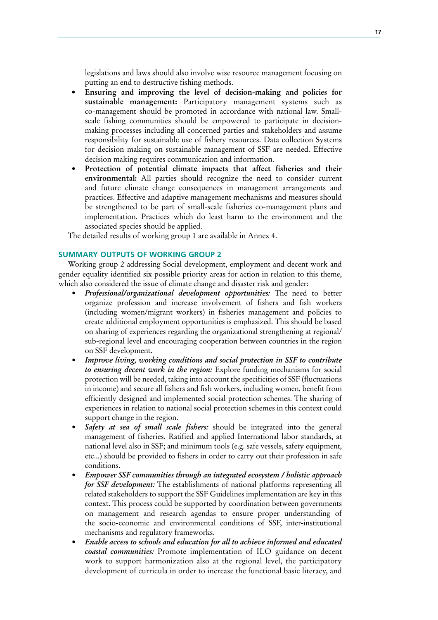legislations and laws should also involve wise resource management focusing on putting an end to destructive fishing methods.

- **• Ensuring and improving the level of decision-making and policies for sustainable management:** Participatory management systems such as co-management should be promoted in accordance with national law. Smallscale fishing communities should be empowered to participate in decisionmaking processes including all concerned parties and stakeholders and assume responsibility for sustainable use of fishery resources. Data collection Systems for decision making on sustainable management of SSF are needed. Effective decision making requires communication and information.
- **• Protection of potential climate impacts that affect fisheries and their environmental:** All parties should recognize the need to consider current and future climate change consequences in management arrangements and practices. Effective and adaptive management mechanisms and measures should be strengthened to be part of small-scale fisheries co-management plans and implementation. Practices which do least harm to the environment and the associated species should be applied.

The detailed results of working group 1 are available in Annex 4.

### **SUMMARY OUTPUTS OF WORKING GROUP 2**

Working group 2 addressing Social development, employment and decent work and gender equality identified six possible priority areas for action in relation to this theme, which also considered the issue of climate change and disaster risk and gender:

- *• Professional/organizational development opportunities:* The need to better organize profession and increase involvement of fishers and fish workers (including women/migrant workers) in fisheries management and policies to create additional employment opportunities is emphasized. This should be based on sharing of experiences regarding the organizational strengthening at regional/ sub-regional level and encouraging cooperation between countries in the region on SSF development.
- *• Improve living, working conditions and social protection in SSF to contribute to ensuring decent work in the region:* Explore funding mechanisms for social protection will be needed, taking into account the specificities of SSF (fluctuations in income) and secure all fishers and fish workers, including women, benefit from efficiently designed and implemented social protection schemes. The sharing of experiences in relation to national social protection schemes in this context could support change in the region.
- **Safety** at sea of small scale fishers: should be integrated into the general management of fisheries. Ratified and applied International labor standards, at national level also in SSF; and minimum tools (e.g. safe vessels, safety equipment, etc...) should be provided to fishers in order to carry out their profession in safe conditions.
- *• Empower SSF communities through an integrated ecosystem / holistic approach for SSF development:* The establishments of national platforms representing all related stakeholders to support the SSF Guidelines implementation are key in this context. This process could be supported by coordination between governments on management and research agendas to ensure proper understanding of the socio-economic and environmental conditions of SSF, inter-institutional mechanisms and regulatory frameworks.
- *• Enable access to schools and education for all to achieve informed and educated coastal communities:* Promote implementation of ILO guidance on decent work to support harmonization also at the regional level, the participatory development of curricula in order to increase the functional basic literacy, and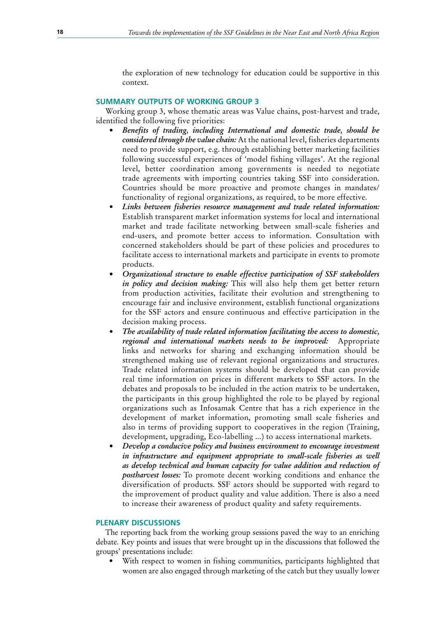the exploration of new technology for education could be supportive in this context.

#### **SUMMARY OUTPUTS OF WORKING GROUP 3**

Working group 3, whose thematic areas was Value chains, post-harvest and trade, identified the following five priorities:

- *• Benefits of trading, including International and domestic trade, should be considered through the value chain:* At the national level, fisheries departments need to provide support, e.g. through establishing better marketing facilities following successful experiences of 'model fishing villages'. At the regional level, better coordination among governments is needed to negotiate trade agreements with importing countries taking SSF into consideration. Countries should be more proactive and promote changes in mandates/ functionality of regional organizations, as required, to be more effective.
- *• Links between fisheries resource management and trade related information:* Establish transparent market information systems for local and international market and trade facilitate networking between small-scale fisheries and end-users, and promote better access to information. Consultation with concerned stakeholders should be part of these policies and procedures to facilitate access to international markets and participate in events to promote products.
- *• Organizational structure to enable effective participation of SSF stakeholders in policy and decision making:* This will also help them get better return from production activities, facilitate their evolution and strengthening to encourage fair and inclusive environment, establish functional organizations for the SSF actors and ensure continuous and effective participation in the decision making process.
- *• The availability of trade related information facilitating the access to domestic, regional and international markets needs to be improved:* Appropriate links and networks for sharing and exchanging information should be strengthened making use of relevant regional organizations and structures. Trade related information systems should be developed that can provide real time information on prices in different markets to SSF actors. In the debates and proposals to be included in the action matrix to be undertaken, the participants in this group highlighted the role to be played by regional organizations such as Infosamak Centre that has a rich experience in the development of market information, promoting small scale fisheries and also in terms of providing support to cooperatives in the region (Training, development, upgrading, Eco-labelling ...) to access international markets.
- *• Develop a conducive policy and business environment to encourage investment in infrastructure and equipment appropriate to small-scale fisheries as well as develop technical and human capacity for value addition and reduction of postharvest losses:* To promote decent working conditions and enhance the diversification of products. SSF actors should be supported with regard to the improvement of product quality and value addition. There is also a need to increase their awareness of product quality and safety requirements.

#### **PLENARY DISCUSSIONS**

The reporting back from the working group sessions paved the way to an enriching debate. Key points and issues that were brought up in the discussions that followed the groups' presentations include:

With respect to women in fishing communities, participants highlighted that women are also engaged through marketing of the catch but they usually lower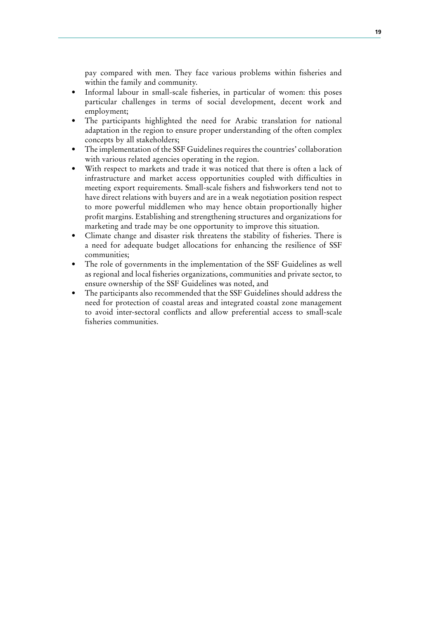pay compared with men. They face various problems within fisheries and within the family and community.

- Informal labour in small-scale fisheries, in particular of women: this poses particular challenges in terms of social development, decent work and employment;
- The participants highlighted the need for Arabic translation for national adaptation in the region to ensure proper understanding of the often complex concepts by all stakeholders;
- The implementation of the SSF Guidelines requires the countries' collaboration with various related agencies operating in the region.
- With respect to markets and trade it was noticed that there is often a lack of infrastructure and market access opportunities coupled with difficulties in meeting export requirements. Small-scale fishers and fishworkers tend not to have direct relations with buyers and are in a weak negotiation position respect to more powerful middlemen who may hence obtain proportionally higher profit margins. Establishing and strengthening structures and organizations for marketing and trade may be one opportunity to improve this situation.
- Climate change and disaster risk threatens the stability of fisheries. There is a need for adequate budget allocations for enhancing the resilience of SSF communities;
- The role of governments in the implementation of the SSF Guidelines as well as regional and local fisheries organizations, communities and private sector, to ensure ownership of the SSF Guidelines was noted, and
- The participants also recommended that the SSF Guidelines should address the need for protection of coastal areas and integrated coastal zone management to avoid inter-sectoral conflicts and allow preferential access to small-scale fisheries communities.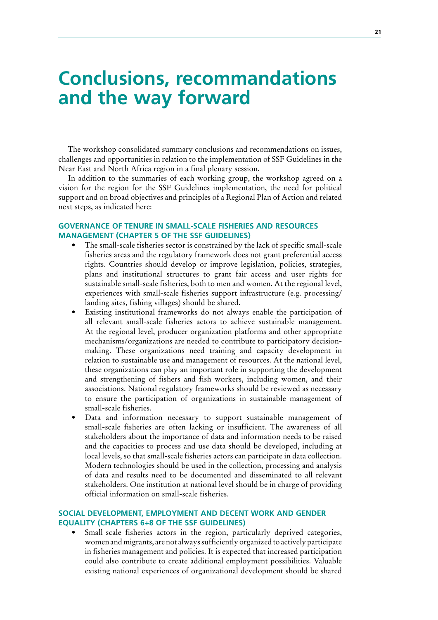# **Conclusions, recommandations and the way forward**

The workshop consolidated summary conclusions and recommendations on issues, challenges and opportunities in relation to the implementation of SSF Guidelines in the Near East and North Africa region in a final plenary session.

In addition to the summaries of each working group, the workshop agreed on a vision for the region for the SSF Guidelines implementation, the need for political support and on broad objectives and principles of a Regional Plan of Action and related next steps, as indicated here:

## **GOVERNANCE OF TENURE IN SMALL-SCALE FISHERIES AND RESOURCES MANAGEMENT (CHAPTER 5 OF THE SSF GUIDELINES)**

- The small-scale fisheries sector is constrained by the lack of specific small-scale fisheries areas and the regulatory framework does not grant preferential access rights. Countries should develop or improve legislation, policies, strategies, plans and institutional structures to grant fair access and user rights for sustainable small-scale fisheries, both to men and women. At the regional level, experiences with small-scale fisheries support infrastructure (e.g. processing/ landing sites, fishing villages) should be shared.
- Existing institutional frameworks do not always enable the participation of all relevant small-scale fisheries actors to achieve sustainable management. At the regional level, producer organization platforms and other appropriate mechanisms/organizations are needed to contribute to participatory decisionmaking. These organizations need training and capacity development in relation to sustainable use and management of resources. At the national level, these organizations can play an important role in supporting the development and strengthening of fishers and fish workers, including women, and their associations. National regulatory frameworks should be reviewed as necessary to ensure the participation of organizations in sustainable management of small-scale fisheries.
- Data and information necessary to support sustainable management of small-scale fisheries are often lacking or insufficient. The awareness of all stakeholders about the importance of data and information needs to be raised and the capacities to process and use data should be developed, including at local levels, so that small-scale fisheries actors can participate in data collection. Modern technologies should be used in the collection, processing and analysis of data and results need to be documented and disseminated to all relevant stakeholders. One institution at national level should be in charge of providing official information on small-scale fisheries.

## **SOCIAL DEVELOPMENT, EMPLOYMENT AND DECENT WORK AND GENDER EQUALITY (CHAPTERS 6+8 OF THE SSF GUIDELINES)**

Small-scale fisheries actors in the region, particularly deprived categories, women and migrants, are not always sufficiently organized to actively participate in fisheries management and policies. It is expected that increased participation could also contribute to create additional employment possibilities. Valuable existing national experiences of organizational development should be shared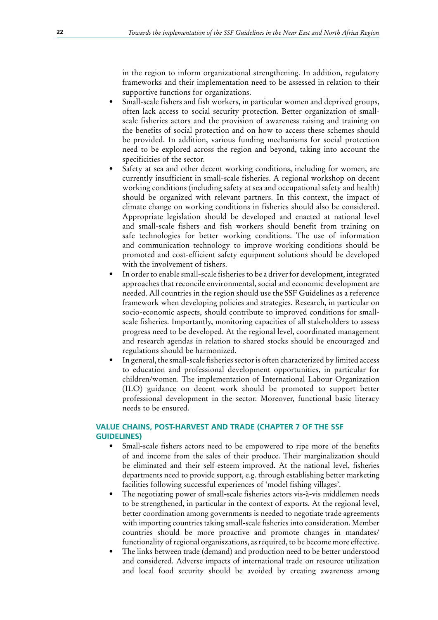in the region to inform organizational strengthening. In addition, regulatory frameworks and their implementation need to be assessed in relation to their supportive functions for organizations.

- Small-scale fishers and fish workers, in particular women and deprived groups, often lack access to social security protection. Better organization of smallscale fisheries actors and the provision of awareness raising and training on the benefits of social protection and on how to access these schemes should be provided. In addition, various funding mechanisms for social protection need to be explored across the region and beyond, taking into account the specificities of the sector.
- Safety at sea and other decent working conditions, including for women, are currently insufficient in small-scale fisheries. A regional workshop on decent working conditions (including safety at sea and occupational safety and health) should be organized with relevant partners. In this context, the impact of climate change on working conditions in fisheries should also be considered. Appropriate legislation should be developed and enacted at national level and small-scale fishers and fish workers should benefit from training on safe technologies for better working conditions. The use of information and communication technology to improve working conditions should be promoted and cost-efficient safety equipment solutions should be developed with the involvement of fishers.
- In order to enable small-scale fisheries to be a driver for development, integrated approaches that reconcile environmental, social and economic development are needed. All countries in the region should use the SSF Guidelines as a reference framework when developing policies and strategies. Research, in particular on socio-economic aspects, should contribute to improved conditions for smallscale fisheries. Importantly, monitoring capacities of all stakeholders to assess progress need to be developed. At the regional level, coordinated management and research agendas in relation to shared stocks should be encouraged and regulations should be harmonized.
- In general, the small-scale fisheries sector is often characterized by limited access to education and professional development opportunities, in particular for children/women. The implementation of International Labour Organization (ILO) guidance on decent work should be promoted to support better professional development in the sector. Moreover, functional basic literacy needs to be ensured.

# **VALUE CHAINS, POST-HARVEST AND TRADE (CHAPTER 7 OF THE SSF GUIDELINES)**

- Small-scale fishers actors need to be empowered to ripe more of the benefits of and income from the sales of their produce. Their marginalization should be eliminated and their self-esteem improved. At the national level, fisheries departments need to provide support, e.g. through establishing better marketing facilities following successful experiences of 'model fishing villages'.
- The negotiating power of small-scale fisheries actors vis-à-vis middlemen needs to be strengthened, in particular in the context of exports. At the regional level, better coordination among governments is needed to negotiate trade agreements with importing countries taking small-scale fisheries into consideration. Member countries should be more proactive and promote changes in mandates/ functionality of regional organiszations, as required, to be become more effective.
- The links between trade (demand) and production need to be better understood and considered. Adverse impacts of international trade on resource utilization and local food security should be avoided by creating awareness among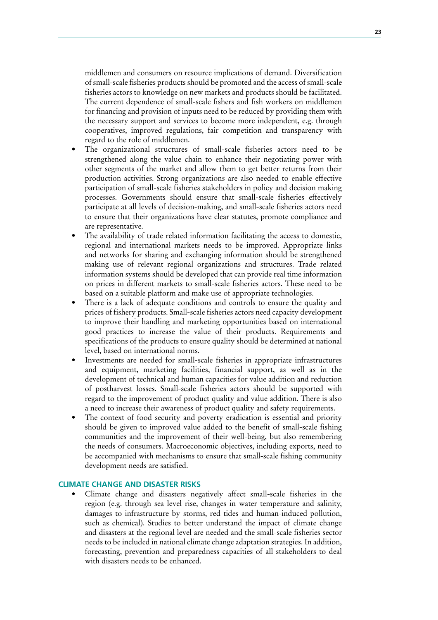middlemen and consumers on resource implications of demand. Diversification of small-scale fisheries products should be promoted and the access of small-scale fisheries actors to knowledge on new markets and products should be facilitated. The current dependence of small-scale fishers and fish workers on middlemen for financing and provision of inputs need to be reduced by providing them with the necessary support and services to become more independent, e.g. through cooperatives, improved regulations, fair competition and transparency with regard to the role of middlemen.

- The organizational structures of small-scale fisheries actors need to be strengthened along the value chain to enhance their negotiating power with other segments of the market and allow them to get better returns from their production activities. Strong organizations are also needed to enable effective participation of small-scale fisheries stakeholders in policy and decision making processes. Governments should ensure that small-scale fisheries effectively participate at all levels of decision-making, and small-scale fisheries actors need to ensure that their organizations have clear statutes, promote compliance and are representative.
- The availability of trade related information facilitating the access to domestic, regional and international markets needs to be improved. Appropriate links and networks for sharing and exchanging information should be strengthened making use of relevant regional organizations and structures. Trade related information systems should be developed that can provide real time information on prices in different markets to small-scale fisheries actors. These need to be based on a suitable platform and make use of appropriate technologies.
- There is a lack of adequate conditions and controls to ensure the quality and prices of fishery products. Small-scale fisheries actors need capacity development to improve their handling and marketing opportunities based on international good practices to increase the value of their products. Requirements and specifications of the products to ensure quality should be determined at national level, based on international norms.
- Investments are needed for small-scale fisheries in appropriate infrastructures and equipment, marketing facilities, financial support, as well as in the development of technical and human capacities for value addition and reduction of postharvest losses. Small-scale fisheries actors should be supported with regard to the improvement of product quality and value addition. There is also a need to increase their awareness of product quality and safety requirements.
- The context of food security and poverty eradication is essential and priority should be given to improved value added to the benefit of small-scale fishing communities and the improvement of their well-being, but also remembering the needs of consumers. Macroeconomic objectives, including exports, need to be accompanied with mechanisms to ensure that small-scale fishing community development needs are satisfied.

# **CLIMATE CHANGE AND DISASTER RISKS**

Climate change and disasters negatively affect small-scale fisheries in the region (e.g. through sea level rise, changes in water temperature and salinity, damages to infrastructure by storms, red tides and human-induced pollution, such as chemical). Studies to better understand the impact of climate change and disasters at the regional level are needed and the small-scale fisheries sector needs to be included in national climate change adaptation strategies. In addition, forecasting, prevention and preparedness capacities of all stakeholders to deal with disasters needs to be enhanced.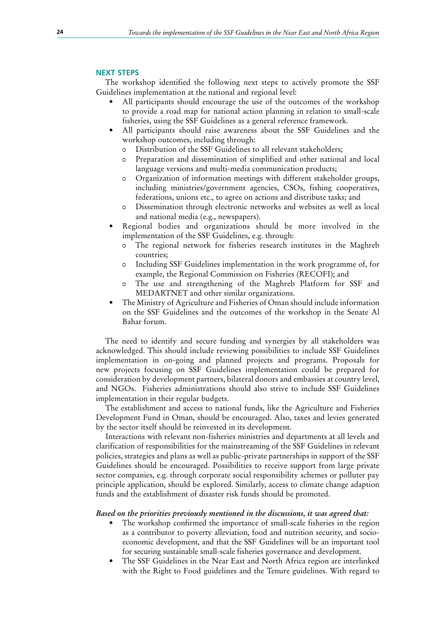#### **NEXT STEPS**

The workshop identified the following next steps to actively promote the SSF Guidelines implementation at the national and regional level:

- All participants should encourage the use of the outcomes of the workshop to provide a road map for national action planning in relation to small-scale fisheries, using the SSF Guidelines as a general reference framework.
- All participants should raise awareness about the SSF Guidelines and the workshop outcomes, including through:
	- 0 Distribution of the SSF Guidelines to all relevant stakeholders;
	- 0 Preparation and dissemination of simplified and other national and local language versions and multi-media communication products;
	- 0 Organization of information meetings with different stakeholder groups, including ministries/government agencies, CSOs, fishing cooperatives, federations, unions etc., to agree on actions and distribute tasks; and
	- 0 Dissemination through electronic networks and websites as well as local and national media (e.g., newspapers).
- Regional bodies and organizations should be more involved in the implementation of the SSF Guidelines, e.g. through:
	- 0 The regional network for fisheries research institutes in the Maghreb countries;
	- 0 Including SSF Guidelines implementation in the work programme of, for example, the Regional Commission on Fisheries (RECOFI); and
	- 0 The use and strengthening of the Maghreb Platform for SSF and MEDARTNET and other similar organizations.
- The Ministry of Agriculture and Fisheries of Oman should include information on the SSF Guidelines and the outcomes of the workshop in the Senate Al Bahar forum.

The need to identify and secure funding and synergies by all stakeholders was acknowledged. This should include reviewing possibilities to include SSF Guidelines implementation in on-going and planned projects and programs. Proposals for new projects focusing on SSF Guidelines implementation could be prepared for consideration by development partners, bilateral donors and embassies at country level, and NGOs. Fisheries administrations should also strive to include SSF Guidelines implementation in their regular budgets.

The establishment and access to national funds, like the Agriculture and Fisheries Development Fund in Oman, should be encouraged. Also, taxes and levies generated by the sector itself should be reinvested in its development.

Interactions with relevant non-fisheries ministries and departments at all levels and clarification of responsibilities for the mainstreaming of the SSF Guidelines in relevant policies, strategies and plans as well as public-private partnerships in support of the SSF Guidelines should be encouraged. Possibilities to receive support from large private sector companies, e.g. through corporate social responsibility schemes or polluter pay principle application, should be explored. Similarly, access to climate change adaption funds and the establishment of disaster risk funds should be promoted.

## *Based on the priorities previously mentioned in the discussions, it was agreed that:*

- The workshop confirmed the importance of small-scale fisheries in the region as a contributor to poverty alleviation, food and nutrition security, and socioeconomic development, and that the SSF Guidelines will be an important tool for securing sustainable small-scale fisheries governance and development.
- The SSF Guidelines in the Near East and North Africa region are interlinked with the Right to Food guidelines and the Tenure guidelines. With regard to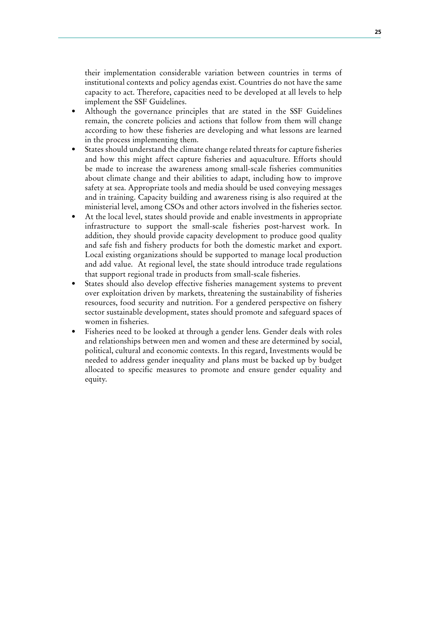their implementation considerable variation between countries in terms of institutional contexts and policy agendas exist. Countries do not have the same capacity to act. Therefore, capacities need to be developed at all levels to help implement the SSF Guidelines.

- Although the governance principles that are stated in the SSF Guidelines remain, the concrete policies and actions that follow from them will change according to how these fisheries are developing and what lessons are learned in the process implementing them.
- States should understand the climate change related threats for capture fisheries and how this might affect capture fisheries and aquaculture. Efforts should be made to increase the awareness among small-scale fisheries communities about climate change and their abilities to adapt, including how to improve safety at sea. Appropriate tools and media should be used conveying messages and in training. Capacity building and awareness rising is also required at the ministerial level, among CSOs and other actors involved in the fisheries sector.
- At the local level, states should provide and enable investments in appropriate infrastructure to support the small-scale fisheries post-harvest work. In addition, they should provide capacity development to produce good quality and safe fish and fishery products for both the domestic market and export. Local existing organizations should be supported to manage local production and add value. At regional level, the state should introduce trade regulations that support regional trade in products from small-scale fisheries.
- States should also develop effective fisheries management systems to prevent over exploitation driven by markets, threatening the sustainability of fisheries resources, food security and nutrition. For a gendered perspective on fishery sector sustainable development, states should promote and safeguard spaces of women in fisheries.
- Fisheries need to be looked at through a gender lens. Gender deals with roles and relationships between men and women and these are determined by social, political, cultural and economic contexts. In this regard, Investments would be needed to address gender inequality and plans must be backed up by budget allocated to specific measures to promote and ensure gender equality and equity.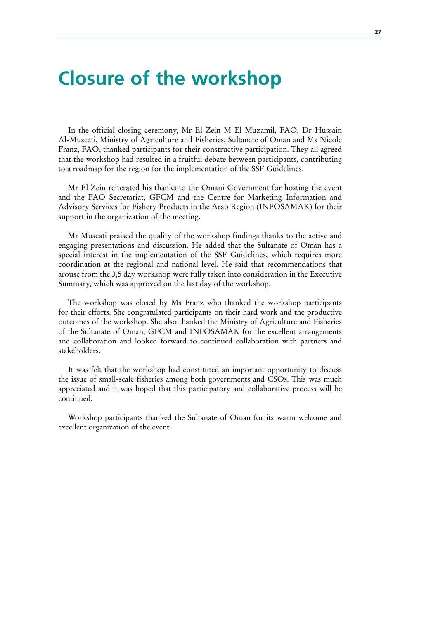# **Closure of the workshop**

In the official closing ceremony, Mr El Zein M El Muzamil, FAO, Dr Hussain Al-Muscati, Ministry of Agriculture and Fisheries, Sultanate of Oman and Ms Nicole Franz, FAO, thanked participants for their constructive participation. They all agreed that the workshop had resulted in a fruitful debate between participants, contributing to a roadmap for the region for the implementation of the SSF Guidelines.

Mr El Zein reiterated his thanks to the Omani Government for hosting the event and the FAO Secretariat, GFCM and the Centre for Marketing Information and Advisory Services for Fishery Products in the Arab Region (INFOSAMAK) for their support in the organization of the meeting.

Mr Muscati praised the quality of the workshop findings thanks to the active and engaging presentations and discussion. He added that the Sultanate of Oman has a special interest in the implementation of the SSF Guidelines, which requires more coordination at the regional and national level. He said that recommendations that arouse from the 3,5 day workshop were fully taken into consideration in the Executive Summary, which was approved on the last day of the workshop.

The workshop was closed by Ms Franz who thanked the workshop participants for their efforts. She congratulated participants on their hard work and the productive outcomes of the workshop. She also thanked the Ministry of Agriculture and Fisheries of the Sultanate of Oman, GFCM and INFOSAMAK for the excellent arrangements and collaboration and looked forward to continued collaboration with partners and stakeholders.

It was felt that the workshop had constituted an important opportunity to discuss the issue of small-scale fisheries among both governments and CSOs. This was much appreciated and it was hoped that this participatory and collaborative process will be continued.

Workshop participants thanked the Sultanate of Oman for its warm welcome and excellent organization of the event.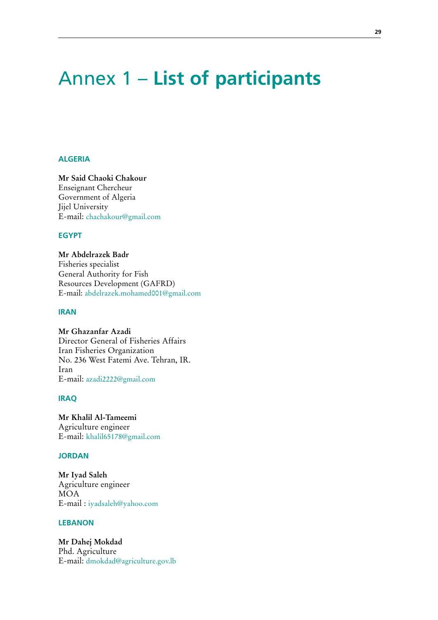# Annex 1 – **List of participants**

## **ALGERIA**

**Mr Said Chaoki Chakour** Enseignant Chercheur Government of Algeria Jijel University E-mail: chachakour@gmail.com

#### **EGYPT**

**Mr Abdelrazek Badr** Fisheries specialist General Authority for Fish Resources Development (GAFRD) E-mail: abdelrazek.mohamed001@gmail.com

#### **IRAN**

**Mr Ghazanfar Azadi** Director General of Fisheries Affairs Iran Fisheries Organization No. 236 West Fatemi Ave. Tehran, IR. Iran E-mail: azadi2222@gmail.com

## **IRAQ**

**Mr Khalil Al-Tameemi** Agriculture engineer E-mail: khalil65178@gmail.com

# **JORDAN**

**Mr Iyad Saleh** Agriculture engineer MOA E-mail : iyadsaleh@yahoo.com

#### **LEBANON**

**Mr Dahej Mokdad** Phd. Agriculture E-mail: dmokdad@agriculture.gov.lb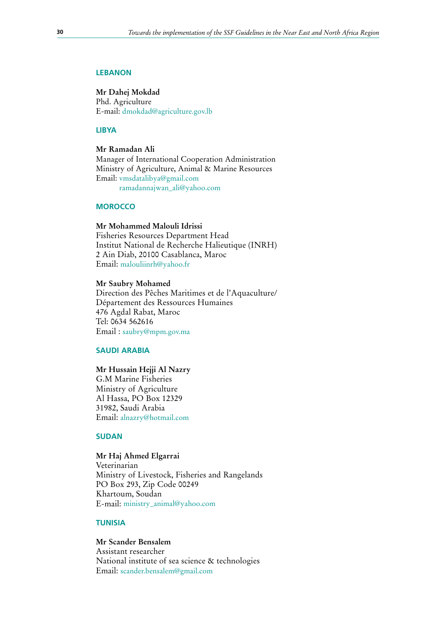#### **LEBANON**

**Mr Dahej Mokdad** Phd. Agriculture E-mail: dmokdad@agriculture.gov.lb

#### **LIBYA**

**Mr Ramadan Ali** Manager of International Cooperation Administration Ministry of Agriculture, Animal & Marine Resources Email: vmsdatalibya@gmail.com ramadannajwan\_ali@yahoo.com

## **MOROCCO**

**Mr Mohammed Malouli Idrissi** Fisheries Resources Department Head Institut National de Recherche Halieutique (INRH) 2 Ain Diab, 20100 Casablanca, Maroc Email: malouliinrh@yahoo.fr

#### **Mr Saubry Mohamed**

Direction des Pêches Maritimes et de l'Aquaculture/ Département des Ressources Humaines 476 Agdal Rabat, Maroc Tel: 0634 562616 Email : saubry@mpm.gov.ma

## **SAUDI ARABIA**

#### **Mr Hussain Hejji Al Nazry**

G.M Marine Fisheries Ministry of Agriculture Al Hassa, PO Box 12329 31982, Saudi Arabia Email: alnazry@hotmail.com

### **SUDAN**

#### **Mr Haj Ahmed Elgarrai**

Veterinarian Ministry of Livestock, Fisheries and Rangelands PO Box 293, Zip Code 00249 Khartoum, Soudan E-mail: ministry\_animal@yahoo.com

## **TUNISIA**

## **Mr Scander Bensalem**

Assistant researcher National institute of sea science & technologies Email: scander.bensalem@gmail.com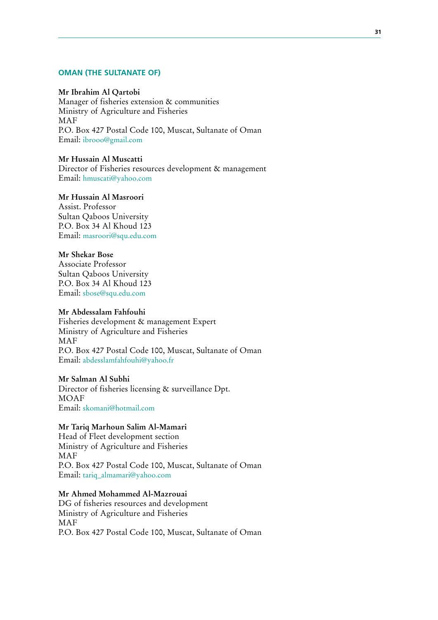## **OMAN (THE SULTANATE OF)**

## **Mr Ibrahim Al Qartobi**

Manager of fisheries extension & communities Ministry of Agriculture and Fisheries MAF P.O. Box 427 Postal Code 100, Muscat, Sultanate of Oman Email: ibrooo@gmail.com

## **Mr Hussain Al Muscatti**

Director of Fisheries resources development & management Email: hmuscati@yahoo.com

# **Mr Hussain Al Masroori**

Assist. Professor Sultan Qaboos University P.O. Box 34 Al Khoud 123 Email: masroori@squ.edu.com

# **Mr Shekar Bose**

Associate Professor Sultan Qaboos University P.O. Box 34 Al Khoud 123 Email: sbose@squ.edu.com

#### **Mr Abdessalam Fahfouhi**

Fisheries development & management Expert Ministry of Agriculture and Fisheries MAF P.O. Box 427 Postal Code 100, Muscat, Sultanate of Oman Email: abdesslamfahfouhi@yahoo.fr

#### **Mr Salman Al Subhi**

Director of fisheries licensing & surveillance Dpt. MOAF Email: skomani@hotmail.com

### **Mr Tariq Marhoun Salim Al-Mamari**

Head of Fleet development section Ministry of Agriculture and Fisheries MAF P.O. Box 427 Postal Code 100, Muscat, Sultanate of Oman Email: tariq\_almamari@yahoo.com

# **Mr Ahmed Mohammed Al-Mazrouai**

DG of fisheries resources and development Ministry of Agriculture and Fisheries MAF P.O. Box 427 Postal Code 100, Muscat, Sultanate of Oman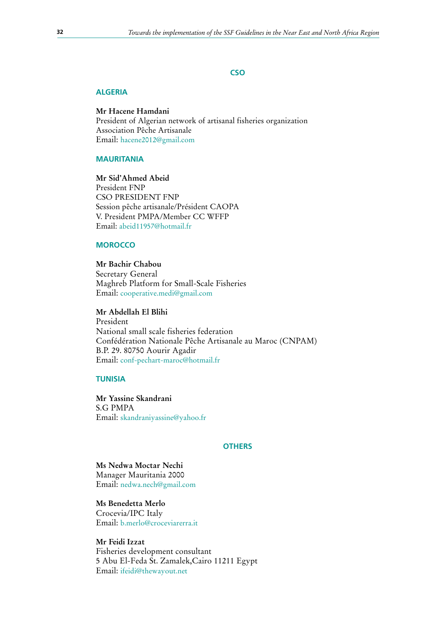## **CSO**

#### **ALGERIA**

**Mr Hacene Hamdani**

President of Algerian network of artisanal fisheries organization Association Pêche Artisanale Email: hacene2012@gmail.com

#### **MAURITANIA**

**Mr Sid'Ahmed Abeid** President FNP CSO PRESIDENT FNP Session pêche artisanale/Président CAOPA V. President PMPA/Member CC WFFP Email: abeid11957@hotmail.fr

### **MOROCCO**

**Mr Bachir Chabou** Secretary General Maghreb Platform for Small-Scale Fisheries Email: cooperative.medi@gmail.com

**Mr Abdellah El Blihi** President National small scale fisheries federation Confédération Nationale Pêche Artisanale au Maroc (CNPAM) B.P. 29. 80750 Aourir Agadir

Email: conf-pechart-maroc@hotmail.fr

## **TUNISIA**

**Mr Yassine Skandrani** S.G PMPA Email: skandraniyassine@yahoo.fr

#### **OTHERS**

# **Ms Nedwa Moctar Nechi**

Manager Mauritania 2000 Email: nedwa.nech@gmail.com

# **Ms Benedetta Merlo**

Crocevia/IPC Italy Email: b.merlo@croceviarerra.it

## **Mr Feidi Izzat**

Fisheries development consultant 5 Abu El-Feda St. Zamalek,Cairo 11211 Egypt Email: ifeidi@thewayout.net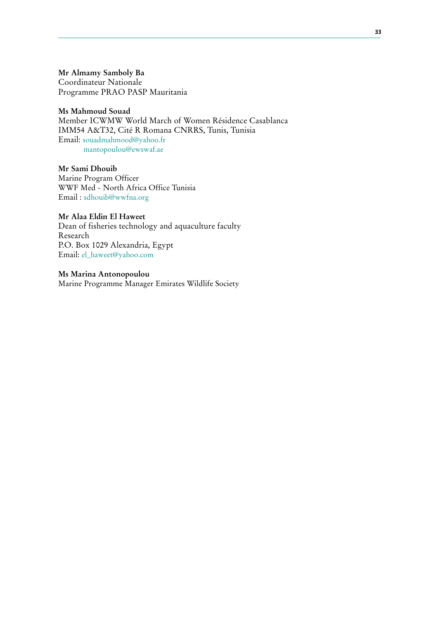**Mr Almamy Samboly Ba** Coordinateur Nationale Programme PRAO PASP Mauritania

#### **Ms Mahmoud Souad**

Member ICWMW World March of Women Résidence Casablanca IMM54 A&T32, Cité R Romana CNRRS, Tunis, Tunisia Email: souadmahmood@yahoo.fr mantopoulou@ewswaf.ae

**Mr Sami Dhouib** Marine Program Officer WWF Med - North Africa Office Tunisia Email : sdhouib@wwfna.org

**Mr Alaa Eldin El Haweet** Dean of fisheries technology and aquaculture faculty Research P.O. Box 1029 Alexandria, Egypt Email: el\_haweet@yahoo.com

**Ms Marina Antonopoulou** Marine Programme Manager Emirates Wildlife Society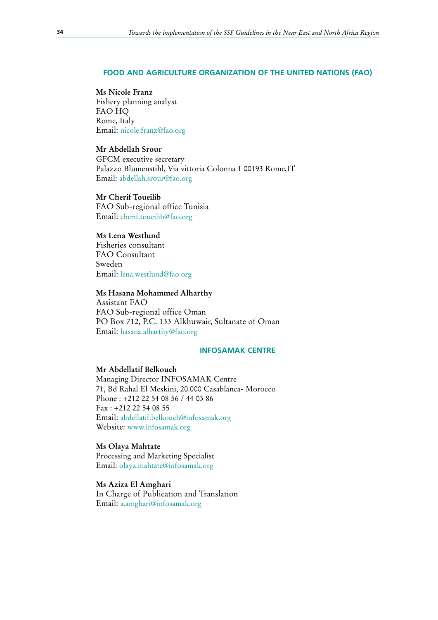#### **FOOD AND AGRICULTURE ORGANIZATION OF THE UNITED NATIONS (FAO)**

#### **Ms** Nicole Franz

Fishery planning analyst FAO HQ Rome, Italy Email: nicole.franz@fao.org

# **Mr Abdellah Srour**

GFCM executive secretary Palazzo Blumenstihl, Via vittoria Colonna 1 00193 Rome,IT Email: abdellah.srour@fao.org

## **Mr Cherif Toueilib**

FAO Sub-regional office Tunisia Email: cherif.toueilib@fao.org

## **Ms Lena Westlund**

Fisheries consultant FAO Consultant Sweden Email: lena.westlund@fao.org

#### **Ms Hasana Mohammed Alharthy**

Assistant FAO FAO Sub-regional office Oman PO Box 712, P.C. 133 Alkhuwair, Sultanate of Oman Email: hasana.alharthy@fao.org

## **INFOSAMAK CENTRE**

#### **Mr Abdellatif Belkouch**

Managing Director INFOSAMAK Centre 71, Bd Rahal El Meskini, 20.000 Casablanca- Morocco Phone : +212 22 54 08 56 / 44 03 86 Fax : +212 22 54 08 55 Email: abdellatif.belkouch@infosamak.org Website: www.infosamak.org

## **Ms Olaya Mahtate**

Processing and Marketing Specialist Email: olaya.mahtate@infosamak.org

## **Ms Aziza El Amghari** In Charge of Publication and Translation Email: a.amghari@infosamak.org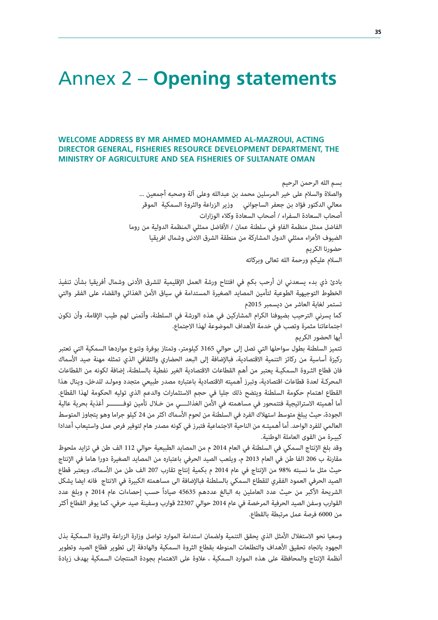# Annex 2 – **Opening statements**

# **WELCOME ADDRESS BY MR AHMED MOHAMMED AL-MAZROUI, ACTING DIRECTOR GENERAL, FISHERIES RESOURCE DEVELOPMENT DEPARTMENT, THE MINISTRY OF AGRICULTURE AND SEA FISHERIES OF SULTANATE OMAN**

بسم الله الرحمن الرحيم

والصلاة والسلام على خير المرسلين محمد بن عبدالله وعلى آلة وصحبه أجمعين ... معالي الدكتور فؤاد بن جعفر الساجواني وزير الزراعة والثروة السمكية الموقر أصحاب السعادة السفراء / أصحاب السعادة وكلاء الوزارات الفاضل ممثل منظمة الفاو في سلطنة عمان / الأفاضل ممثلي المنظمة الدولية من روما الضيوف الأعزاء ممثلي الدول المشاركة من منطقة الشرق الادنى وشمال افريقيا حضورنا الكريم السلام عليكم ورحمة الله تعالى وبركاته

بادئ ذي بدء يسعدني ان أرحب بكم في افتتاح ورشة العمل الإقليمية للشرق الأدنى وشمال أفريقيا بشأن تنفيذ الخطوط التوجيهية الطوعية لتأمين المصايد الصغيرة المستدامة في سياق الأمن الغذائي والقضاء على الفقر والتي تستمر لغاية العاشر من ديسمبر 2015م

كما يسرني الترحيب بضيوفنا الكرام المشاركين في هذه الورشة في السلطنة، وأتمنى لهم طيب الإقامة، وأن تكون اجتماعاتنا مثمرة وتصب في خدمة الأهداف الموضوعة لهذا الاجتماع.

أيها الحضور الكريم

تتميز السلطنة بطول سواحلها التي تصل إلى حوالي 3165 كيلومتر، وتمتاز بوفرة وتنوع مواردها السمكية التي تعتبر ركيزة أساسية من ركائز التنمية الاقتصادية، فبالإضافة إلى البعد الحضاري والثقافي الذي تمثله مهنة صيد الأسماك فان قطاع الثـروة السمكيـة يعتبر من أهم القطاعات الاقتصادية الغير نفطية بالسلطنة، إضافة لكونه من القطاعات المحركـة لعدة قطاعات اقتصادية، وتبرز أهميته الاقتصادية باعتباره مصدر طبيعي متجدد ومولـد للدخل، وينال هذا القطاع اهتمام حكومة السلطنة ويتضح ذلك جليا في حجم الاستثمارات والدعم الذي توليه الحكومة لهذا القطاع. أما أهميته الاستراتيجية فتتمحور في مساهمته في الأمن الغذائــــي من خـلال تأمين توفــــــــر أغذية بحرية عالية الجودة، حيث يبلغ متوسط استهلاك الفرد في السلطنة من لحوم الأسماك اكثر من 24 كيلو جراما وهو يتجاوز المتوسط العالمي للفرد الواحد. أما أهميتـه من الناحية الاجتماعية فتبرز في كونه مصدر هام لتوفير فرص عمل واستيعاب أعدادا كبيـرة من القوى العاملة الوطنية.

وقد بلغ الإنتاج السمكي في السلطنة في العام 2014 م من المصايد الطبيعية حوالي 112 الف طن في تزايد ملحوظ مقارنة ب 206 الفا طن في العام 2013 م، ويلعب الصيد الحرفي باعتباره من المصايد الصغيرة دورا هاما في الإنتاج حيث مثل ما نسبته 98% من الإنتاج في عام 2014 م بكمية إنتاج تقارب 207 الف طن من الأسماك، ويعتبر قطاع الصيد الحرفي العمود الفقري للقطاع السمكي بالسلطنة فبالإضافة الى مساهمته الكبيرة في الانتاج فانه ايضا يشكل الشريحة الأكبر من حيث عدد العاملين به البالغ عددهم 45635 صياداً حسب إحصاءات عام 2014 م وبلغ عدد القوارب وسفن الصيد الحرفية المرخصة في عام 2014 حوالي 22307 قوارب وسفينة صيد حرفي، كما يوفر القطاع أكثر من 6000 فرصة عمل مرتبطة بالقطاع.

وسعيا نحو الاستغلال الأمثل الذي يحقق التنمية ولضمان استدامة الموارد تواصل وزارة الزراعة والثروة السمكية بذل الجهود باتجاه تحقيق الأهداف والتطلعات المنوطه بقطاع الثروة السمكية والهادفة إلى تطوير قطاع الصيد وتطوير أنظمة الإنتاج والمحافظة على هذه الموارد السمكية ، علاوة على الاهتمام بجودة المنتجات السمكية بهدف زيادة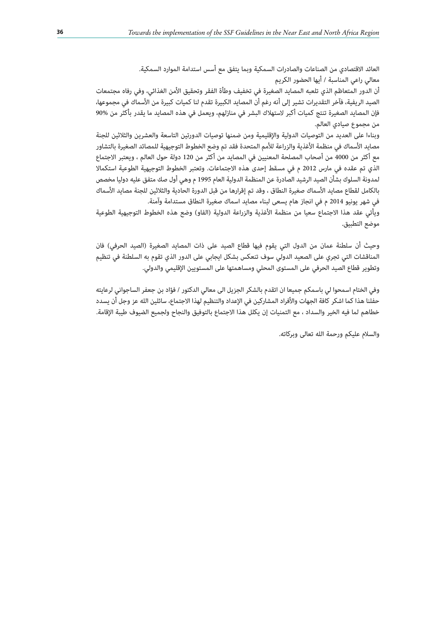العائد الاقتصادي من الصناعات والصادرات السمكية وبما يتفق مع أسس استدامة الموارد السمكية. معالي راعي المناسبة / أيها الحضور الكريم

أن الدور المتعاظم الذي تلعبه المصايد الصغيرة في تخفيف وطأة الفقر وتحقيق الأمن الغذائي، وفي رفاه مجتمعات الصيد الريفية، فآخر التقديرات تشير إلى أنه رغم أن المصايد الكبيرة تقدم لنا كميات كبيرة من الأسماك في مجموعها، فإن المصايد الصغيرة تنتج كميات أكبر لاستهلاك البشر في منازلهم، ويعمل في هذه المصايد ما يقدر بأكثر من 90% من مجموع صيادي العالم.

وبناءا على العديد من التوصيات الدولية والإقليمية ومن ضمنها توصيات الدورتين التاسعة والعشرين والثلاثين للجنة مصايد الأسماك في منظمة الأغذية والزراعة للأمم المتحدة فقد تم وضع الخطوط التوجيهية للمصائد الصغيرة بالتشاور مع أكثر من 4000 من أصحاب المصلحة المعنيين في المصايد من أكثر من 120 دولة حول العالم ، ويعتبر الاجتماع الذي تم عقده في مارس 2012 م في مسقط إحدى هذه الاجتماعات. وتعتبر الخطوط التوجيهية الطوعية استكمالا لمدونة السلوك بشأن الصيد الرشيد الصادرة عن المنظمة الدولية العام 1995 م وهي أول صك متفق عليه دوليا مخصص بالكامل لقطاع مصايد الأسماك صغيرة النطاق ، وقد تم إقرارها من قبل الدورة الحادية والثلاثين للجنة مصايد الأسماك في شهر يونيو 2014 م في انجاز هام يسعى لبناء مصايد اسماك صغيرة النطاق مستدامة وآمنة.

ويأتي عقد هذا الاجتماع سعيا من منظمة الأغذية والزراعة الدولية (الفاو) وضع هذه الخطوط التوجيهية الطوعية موضع التطبيق.

وحيث أن سلطنة عمان من الدول التي يقوم فيها قطاع الصيد على ذات المصايد الصغيرة (الصيد الحرفي) فان المناقشات التي تجري على الصعيد الدولي سوف تنعكس بشكل ايجابي على الدور الذي تقوم به السلطنة في تنظيم وتطوير قطاع الصيد الحرفي على المستوى المحلي ومساهمتها على المستويين الإقليمي والدولي.

وفي الختام اسمحوا لي باسمكم جميعا ان اتقدم بالشكر الجزيل الى معالي الدكتور / فؤاد بن جعفر الساجواني لرعايته حفلنا هذا كما اشكر كافة الجهات والأفراد المشاركين في الإعداد والتنظيم لهذا الاجتماع، سائلين الله عز وجل أن يسدد خطاهم لما فيه الخير والسداد ، مع التمنيات إن يكلل هذا الاجتماع بالتوفيق والنجاح ولجميع الضيوف طيبة الإقامة.

والسلام عليكم ورحمة الله تعالى وبركاته.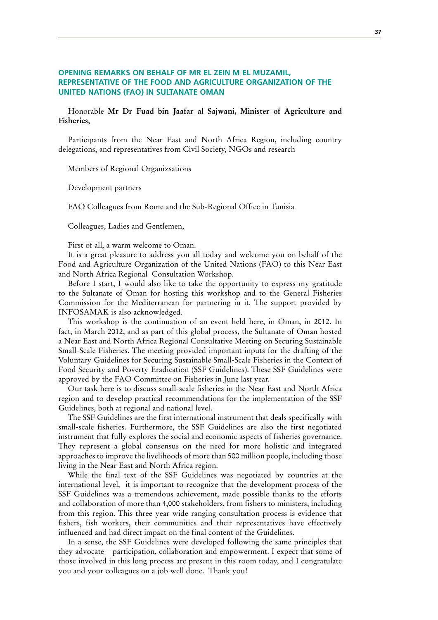## **OPENING REMARKS ON BEHALF OF MR EL ZEIN M EL MUZAMIL, REPRESENTATIVE OF THE FOOD AND AGRICULTURE ORGANIZATION OF THE UNITED NATIONS (FAO) IN SULTANATE OMAN**

Honorable Mr Dr Fuad bin Jaafar al Sajwani, Minister of Agriculture and **Fisheries**,

Participants from the Near East and North Africa Region, including country delegations, and representatives from Civil Society, NGOs and research

Members of Regional Organizsations

Development partners

FAO Colleagues from Rome and the Sub-Regional Office in Tunisia

Colleagues, Ladies and Gentlemen,

First of all, a warm welcome to Oman.

It is a great pleasure to address you all today and welcome you on behalf of the Food and Agriculture Organization of the United Nations (FAO) to this Near East and North Africa Regional Consultation Workshop.

Before I start, I would also like to take the opportunity to express my gratitude to the Sultanate of Oman for hosting this workshop and to the General Fisheries Commission for the Mediterranean for partnering in it. The support provided by INFOSAMAK is also acknowledged.

This workshop is the continuation of an event held here, in Oman, in 2012. In fact, in March 2012, and as part of this global process, the Sultanate of Oman hosted a Near East and North Africa Regional Consultative Meeting on Securing Sustainable Small-Scale Fisheries. The meeting provided important inputs for the drafting of the Voluntary Guidelines for Securing Sustainable Small-Scale Fisheries in the Context of Food Security and Poverty Eradication (SSF Guidelines). These SSF Guidelines were approved by the FAO Committee on Fisheries in June last year.

Our task here is to discuss small-scale fisheries in the Near East and North Africa region and to develop practical recommendations for the implementation of the SSF Guidelines, both at regional and national level.

The SSF Guidelines are the first international instrument that deals specifically with small-scale fisheries. Furthermore, the SSF Guidelines are also the first negotiated instrument that fully explores the social and economic aspects of fisheries governance. They represent a global consensus on the need for more holistic and integrated approaches to improve the livelihoods of more than 500 million people, including those living in the Near East and North Africa region.

While the final text of the SSF Guidelines was negotiated by countries at the international level, it is important to recognize that the development process of the SSF Guidelines was a tremendous achievement, made possible thanks to the efforts and collaboration of more than 4,000 stakeholders, from fishers to ministers, including from this region. This three-year wide-ranging consultation process is evidence that fishers, fish workers, their communities and their representatives have effectively influenced and had direct impact on the final content of the Guidelines.

In a sense, the SSF Guidelines were developed following the same principles that they advocate – participation, collaboration and empowerment. I expect that some of those involved in this long process are present in this room today, and I congratulate you and your colleagues on a job well done. Thank you!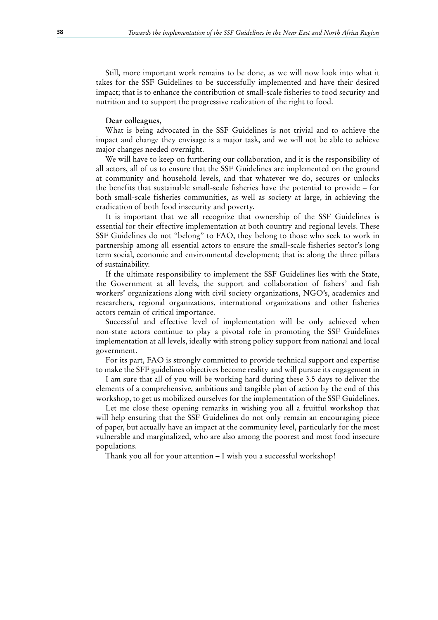Still, more important work remains to be done, as we will now look into what it takes for the SSF Guidelines to be successfully implemented and have their desired impact; that is to enhance the contribution of small-scale fisheries to food security and nutrition and to support the progressive realization of the right to food.

#### Dear colleagues,

What is being advocated in the SSF Guidelines is not trivial and to achieve the impact and change they envisage is a major task, and we will not be able to achieve major changes needed overnight.

We will have to keep on furthering our collaboration, and it is the responsibility of all actors, all of us to ensure that the SSF Guidelines are implemented on the ground at community and household levels, and that whatever we do, secures or unlocks the benefits that sustainable small-scale fisheries have the potential to provide – for both small-scale fisheries communities, as well as society at large, in achieving the eradication of both food insecurity and poverty.

It is important that we all recognize that ownership of the SSF Guidelines is essential for their effective implementation at both country and regional levels. These SSF Guidelines do not "belong" to FAO, they belong to those who seek to work in partnership among all essential actors to ensure the small-scale fisheries sector's long term social, economic and environmental development; that is: along the three pillars of sustainability.

If the ultimate responsibility to implement the SSF Guidelines lies with the State, the Government at all levels, the support and collaboration of fishers' and fish workers' organizations along with civil society organizations, NGO's, academics and researchers, regional organizations, international organizations and other fisheries actors remain of critical importance.

Successful and effective level of implementation will be only achieved when non-state actors continue to play a pivotal role in promoting the SSF Guidelines implementation at all levels, ideally with strong policy support from national and local government.

For its part, FAO is strongly committed to provide technical support and expertise to make the SFF guidelines objectives become reality and will pursue its engagement in

I am sure that all of you will be working hard during these 3.5 days to deliver the elements of a comprehensive, ambitious and tangible plan of action by the end of this workshop, to get us mobilized ourselves for the implementation of the SSF Guidelines.

Let me close these opening remarks in wishing you all a fruitful workshop that will help ensuring that the SSF Guidelines do not only remain an encouraging piece of paper, but actually have an impact at the community level, particularly for the most vulnerable and marginalized, who are also among the poorest and most food insecure populations.

Thank you all for your attention – I wish you a successful workshop!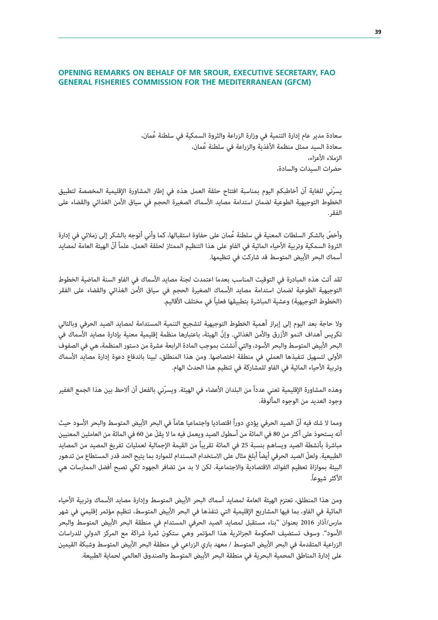## **OPENING REMARKS ON BEHALF OF MR SROUR, EXECUTIVE SECRETARY, FAO GENERAL FISHERIES COMMISSION FOR THE MEDITERRANEAN (GFCM)**

سعادة مدير عام إدارة التنمية في وزارة الزراعة والثروة السمكية في سلطنة عُمان، سعادة السيد ممثل منظمة الأغذية والزراعة في سلطنة عُمان، الزملاء الأعزاء، حضرات السيدات والسادة،

يسرّني للغاية أن أخاطبكم اليوم بمناسبة افتتاح حلقة العمل هذه في إطار المشاورة الإقليمية المخصصة لتطبيق الخطوط التوجيهية الطوعية لضمان استدامة مصايد الأسماك الصغيرة الحجم في سياق الأمن الغذائي والقضاء على الفقر.

وأخصّ بالشكر السلطات المعنية في سلطنة عُمان على حفاوة استقبالها، كما وأني أتوجه بالشكر إلى زملائي في إدارة الثروة السمكية وتربية الأحياء المائية في الفاو على هذا التنظيم الممتاز لحلقة العمل، علماً أنّ الهيئة العامة لمصايد أسماك البحر الأبيض المتوسط قد شاركت في تنظيمها.

لقد أتت هذه المبادرة في التوقيت المناسب بعدما اعتمدت لجنة مصايد الأسماك في الفاو السنة الماضية الخطوط التوجيهية الطوعية لضمان استدامة مصايد الأسماك الصغيرة الحجم في سياق الأمن الغذائي والقضاء على الفقر (الخطوط التوجيهية) وعشية المباشرة بتطبيقها فعلياً في مختلف الأقاليم.

ولا حاجة بعد اليوم إلى إبراز أهمية الخطوط التوجيهية لتشجيع التنمية المستدامة لمصايد الصيد الحرفي وبالتالي تكريس أهداف النمو الأزرق والأمن الغذائي. وإنّ الهيئة، باعتبارها منظمة إقليمية معنية بإدارة مصايد الأسماك في البحر الأبيض المتوسط والبحر الأسود، والتي أنشئت بموجب المادة الرابعة عشرة من دستور المنظمة، هي في الصفوف الأولى لتسهيل تنفيذها العملي في منطقة اختصاصها. ومن هذا المنطلق، لبينا باندفاع دعوة إدارة مصايد الأسماك وتربية الأحياء المائية في الفاو للمشاركة في تنظيم هذا الحدث الهام.

وهذه المشاورة الإقليمية تعني عدداً من البلدان الأعضاء في الهيئة. ويسرّني بالفعل أن ألاحظ بين هذا الجمع الغفير وجود العديد من الوجوه المألوفة.

ومما لا شك فيه أنّ الصيد الحرفي يؤدي دوراً اقتصاديا واجتماعيا هاماً في البحر الأبيض المتوسط والبحر الأسود حيث أنه يستحوذ على أكثر من 80 في المائة من أسطول الصيد ويعمل فيه ما لا يقلّ عن 60 في المائة من العاملين المعنيين مباشرة بأنشطة الصيد ويساهم بنسبة 25 في المائة تقريباً من القيمة الإجمالية لعمليات تفريغ المصيد من المصايد الطبيعية. ولعلّ الصيد الحرفي أيضاً أبلغ مثال على الاستخدام المستدام للموارد بما يتيح الحد قدر المستطاع من تدهور البيئة بموازاة تعظيم الفوائد الاقتصادية والاجتماعية. لكن لا بد من تضافر الجهود لكي تصبح أفضل الممارسات هي الأكثر شيوعا.ً

ومن هذا المنطلق، تعتزم الهيئة العامة لمصايد أسماك البحر الأبيض المتوسط وإدارة مصايد الأسماك وتربية الأحياء المائية في الفاو، بما فيها المشاريع الإقليمية التي تنفذها في البحر الأبيض المتوسط، تنظيم مؤتمر إقليمي في شهر مارس/آذار 2016 بعنوان "بناء مستقبل لمصايد الصيد الحرفي المستدام في منطقة البحر الأبيض المتوسط والبحر الأسود". وسوف تستضيف الحكومة الجزائرية هذا المؤتمر وهي ستكون ثمرة شراكة مع المركز الدولي للدراسات الزراعية المتقدمة في البحر الأبيض المتوسط / معهد باري الزراعي في منطقة البحر الأبيض المتوسط وشبكة القيمين على إدارة المناطق المحمية البحرية في منطقة البحر الأبيض المتوسط والصندوق العالمي لحماية الطبيعة.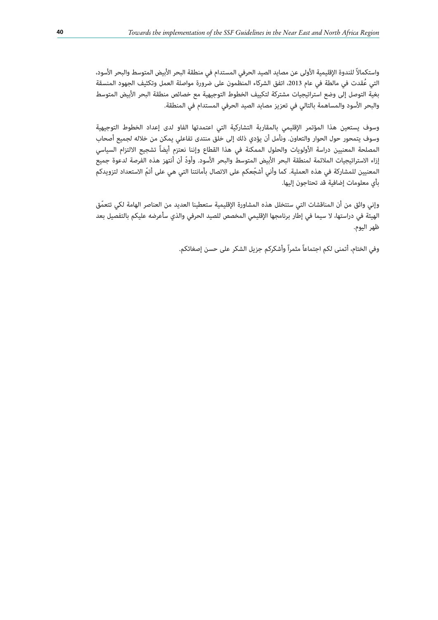واستكمالاً للندوة الإقليمية الأولى عن مصايد الصيد الحرفي المستدام في منطقة البحر الأبيض المتوسط والبحر الأسود، التي عُقدت في مالطة في عام 2013، اتفق الشركاء المنظمون على ضرورة مواصلة العمل وتكثيف الجهود المنسقة بغية التوصل إلى وضع استراتيجيات مشتركة لتكييف الخطوط التوجيهية مع خصائص منطقة البحر الأبيض المتوسط والبحر الأسود والمساهمة بالتالي في تعزيز مصايد الصيد الحرفي المستدام في المنطقة.

وسوف يستعين هذا المؤتمر الإقليمي بالمقاربة التشاركية التي اعتمدتها الفاو لدى إعداد الخطوط التوجيهية وسوف يتمحور حول الحوار والتعاون. ونأمل أن يؤدي ذلك إلى خلق منتدى تفاعلي يمكن من خلاله لجميع أصحاب المصلحة المعنيين دراسة الأولويات والحلول الممكنة في هذا القطاع وإننا نعتزم أيضاً تشجيع الالتزام السياسي إزاء الاستراتيجيات الملائمة لمنطقة البحر الأبيض المتوسط والبحر الأسود. وأودّ أن أنتهز هذه الفرصة لدعوة جميع المعنيين للمشاركة في هذه العملية. كما وأني أشجّ عكم على الاتصال بأمانتنا التي هي على أتمّ الاستعداد لتزويدكم بأي معلومات إضافية قد تحتاجون إليها.

وإني واثق من أن المناقشات التي ستتخلل هذه المشاورة الإقليمية ستعطينا العديد من العناصر الهامة لكي تتعمّ ق الهيئة في دراستها، لا سيما في إطار برنامجها الإقليمي المخصص للصيد الحرفي والذي سأعرضه عليكم بالتفصيل بعد ظهر اليوم.

وفي الختام، أتمنى لكم اجتماعاً مثمراً وأشكركم جزيل الشكر على حسن إصغائكم.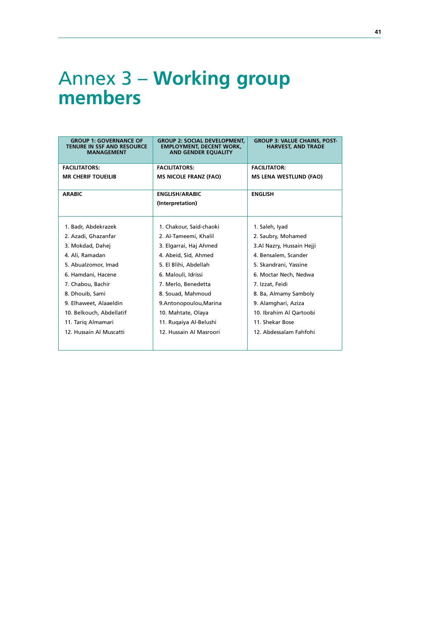# Annex 3 – **Working group members**

| <b>GROUP 1: GOVERNANCE OF</b><br><b>TENURE IN SSF AND RESOURCE</b><br><b>MANAGEMENT</b> | <b>GROUP 2: SOCIAL DEVELOPMENT,</b><br><b>EMPLOYMENT, DECENT WORK,</b><br><b>AND GENDER EQUALITY</b> | <b>GROUP 3: VALUE CHAINS, POST-</b><br><b>HARVEST, AND TRADE</b> |
|-----------------------------------------------------------------------------------------|------------------------------------------------------------------------------------------------------|------------------------------------------------------------------|
| <b>FACILITATORS:</b>                                                                    | <b>FACILITATORS:</b>                                                                                 | <b>FACILITATOR:</b>                                              |
| <b>MR CHERIF TOUEILIB</b>                                                               | <b>MS NICOLE FRANZ (FAO)</b>                                                                         | MS LENA WESTLUND (FAO)                                           |
| <b>ARABIC</b>                                                                           | <b>ENGLISH/ARABIC</b><br>(Interpretation)                                                            | <b>ENGLISH</b>                                                   |
|                                                                                         |                                                                                                      |                                                                  |
| 1. Badr, Abdekrazek                                                                     | 1. Chakour, Said-chaoki                                                                              | 1. Saleh, Iyad                                                   |
| 2. Azadi, Ghazanfar                                                                     | 2. Al-Tameemi, Khalil                                                                                | 2. Saubry, Mohamed                                               |
| 3. Mokdad, Dahej                                                                        | 3. Elgarrai, Haj Ahmed                                                                               | 3.Al Nazry, Hussain Hejji                                        |
| 4. Ali, Ramadan                                                                         | 4. Abeid, Sid, Ahmed                                                                                 | 4. Bensalem, Scander                                             |
| 5. Abualzomor, Imad                                                                     | 5. El Blihi, Abdellah                                                                                | 5. Skandrani, Yassine                                            |
| 6. Hamdani, Hacene                                                                      | 6. Malouli, Idrissi                                                                                  | 6. Moctar Nech, Nedwa                                            |
| 7. Chabou, Bachir                                                                       | 7. Merlo, Benedetta                                                                                  | 7. Izzat, Feidi                                                  |
| 8. Dhouib, Sami                                                                         | 8. Souad, Mahmoud                                                                                    | 8. Ba, Almamy Samboly                                            |
| 9. Elhaweet, Alaaeldin                                                                  | 9.Antonopoulou, Marina                                                                               | 9. Alamghari, Aziza                                              |
| 10. Belkouch, Abdellatif                                                                | 10. Mahtate, Olaya                                                                                   | 10. Ibrahim Al Qartoobi                                          |
| 11. Tariq Almamari                                                                      | 11. Rugaiya Al-Belushi                                                                               | 11. Shekar Bose                                                  |
| 12. Hussain Al Muscatti                                                                 | 12. Hussain Al Masroori                                                                              | 12. Abdessalam Fahfohi                                           |
|                                                                                         |                                                                                                      |                                                                  |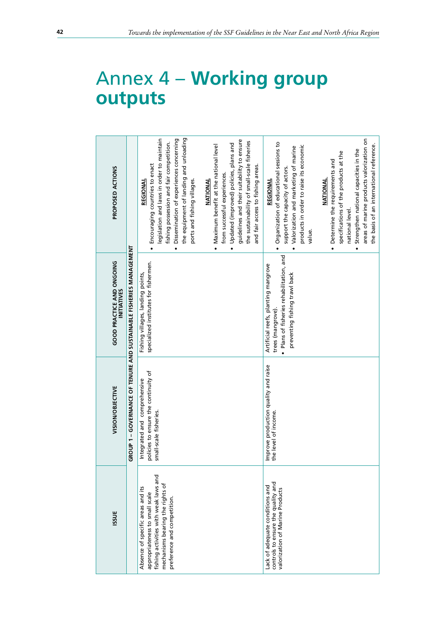| ISSUE                                                                                                                                                                           | GROUP 1 - GOVERNANCE OF TENURE AND SUSTAINABLE FISHERIES MANAGEMENT<br>VISION/OBJECTIVE        | <b>GOOD PRACTICE AND ONGOING</b>                                                                                                     | PROPOSED ACTIONS                                                                                                                                                                                                                                                                  |
|---------------------------------------------------------------------------------------------------------------------------------------------------------------------------------|------------------------------------------------------------------------------------------------|--------------------------------------------------------------------------------------------------------------------------------------|-----------------------------------------------------------------------------------------------------------------------------------------------------------------------------------------------------------------------------------------------------------------------------------|
| fishing activities with weak laws and<br>mechanisms bearing the rights of<br>Absence of specific areas and its<br>appropriateness to small scale<br>preference and competition. | policies to ensure the continuity of<br>Integrated and comprehensive<br>small-scale fisheries. | specialized institutes for fishermen.<br>Fishing villages, landing points,                                                           | the equipment of landing and unloading<br>legislation and laws in order to maintain<br>Dissemination of experiences concerning<br>fishing possession and fair competition.<br>Encouraging countries to enact<br>ports and fishing villages.<br><b>REGIONAL</b>                    |
|                                                                                                                                                                                 |                                                                                                |                                                                                                                                      | guidelines and their suitability to ensure<br>the sustainability of small-scale fisheries<br>Updated (improved) policies, plans and<br>Maximum benefit at the national level<br>and fair access to fishing areas.<br>from successful experiences.<br><b>NATIONAL</b><br>$\bullet$ |
| controls to ensure the quality and<br>Lack of adequate conditions and<br>valorization of Marine Products                                                                        | Improve production quality and raise<br>the level of income.                                   | · Plans of fisheries rehabilitation, and<br>Artificial reefs, planting mangrove<br>preventing fishing trawl back<br>trees (mangrove) | Organization of educational sessions to<br>products in order to raise its economic<br>Valorization and marketing of marine<br>support the capacity of actors.<br>REGIONAL<br>value.                                                                                               |
|                                                                                                                                                                                 |                                                                                                |                                                                                                                                      | areas of marine products valorization on<br>the basis of an international reference.<br>Strengthen national capacities in the<br>specifications of the products at the<br>Determine the requirements and<br><b>NATIONAL</b><br>national level.<br>$\bullet$                       |

# Annex 4 – **Working group outputs**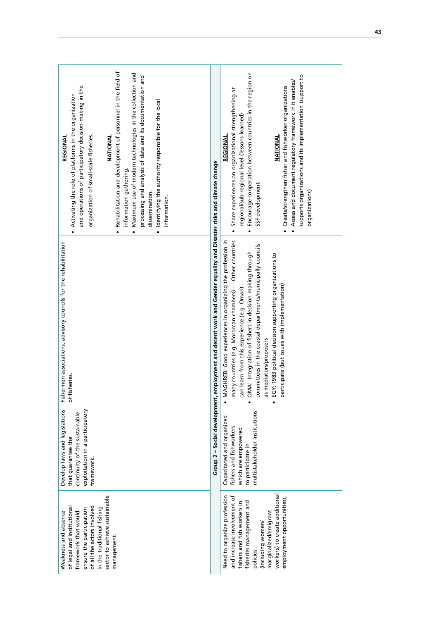|--|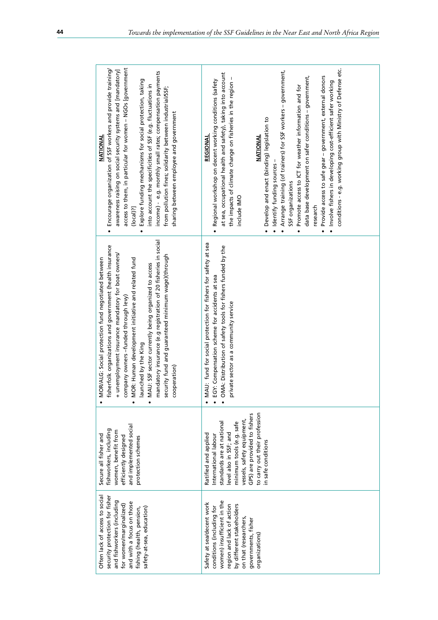| access to them, in particular for women - NGOs [government<br>Encourage organization of SSF workers and provide training/<br>awareness raising on social security systems and [mandatory]<br>income) - e.g. monthly small rates; compensation payments<br>Explore funding mechanisms for social protection, taking<br>into account the specificities of SSF (e.g. fluctuations in<br>from pollution fines; solidarity between industrial/SSF;<br>sharing between employee and government<br>NATIONAL<br>(local)?<br>$\bullet$<br>$\bullet$ | conditions - e.g. working group with Ministry of Defense etc.<br>Arrange training (of trainers) for SSF workers - government,<br>at sea, occupational health and safety), taking into account<br>data base development on safer conditions - government,<br>· Provide access to safe gear - government, external donors<br>the impacts of climate change on fisheries in the region -<br>Regional workshop on decent working conditions (safety<br>· Involve fishers in developing cost-efficient safer working<br>Promote access to ICT for weather information and for<br>• Develop and enact (binding) legislation to<br>REGIONAL<br>NATIONAL<br>· Identify funding sources<br>SSF organizations<br>include IMO<br>research<br>$\bullet$<br>$\bullet$ |
|--------------------------------------------------------------------------------------------------------------------------------------------------------------------------------------------------------------------------------------------------------------------------------------------------------------------------------------------------------------------------------------------------------------------------------------------------------------------------------------------------------------------------------------------|----------------------------------------------------------------------------------------------------------------------------------------------------------------------------------------------------------------------------------------------------------------------------------------------------------------------------------------------------------------------------------------------------------------------------------------------------------------------------------------------------------------------------------------------------------------------------------------------------------------------------------------------------------------------------------------------------------------------------------------------------------|
| mandatory insurance (e.g registration of 20 fisheries in social<br>fisherfolk organizations and government (health insurance<br>+ unemployment insurance mandatory for boat owners/<br>security fund and guaranteed minimum wage)(through<br>MOR/ALG: Social protection fund negotiated between<br>MOR: Human development initiative and related fund<br>MAU: SSF sector currently being organized to access<br>company owners -funded through levy)<br>launched by the King<br>cooperation)<br>$\bullet$<br>$\bullet$                     | MAU: fund for social protection for fishers for safety at sea<br>OMA: Distribution of safety tools for fishers funded by the<br>EGY: Compensation scheme for accidents at sea<br>private sector as a community service<br>$\bullet$                                                                                                                                                                                                                                                                                                                                                                                                                                                                                                                      |
| and implemented social<br>fishworkers, including<br>women, benefit from<br>Secure all fisher and<br>efficiently designed<br>protection schemes                                                                                                                                                                                                                                                                                                                                                                                             | to carry out their profession<br>GPS) are provided to fishers<br>vessels, safety equipment,<br>standards are at national<br>minimum tools (e.g. safe<br>level also in SSF; and<br>Ratified and applied<br>International labour<br>in safe conditions                                                                                                                                                                                                                                                                                                                                                                                                                                                                                                     |
| Often lack of access to social<br>security protection for fisher<br>and fishworkers (including<br>and with a focus on those<br>for women/marginalized)<br>safety-at-sea, education)<br>fishing (health, pension,                                                                                                                                                                                                                                                                                                                           | women) insufficient in the<br>Safety at sea/decent work<br>by different stakeholders<br>region and lack of action<br>conditions (including for<br>on that (researchers,<br>governments, fisher<br>organizations)                                                                                                                                                                                                                                                                                                                                                                                                                                                                                                                                         |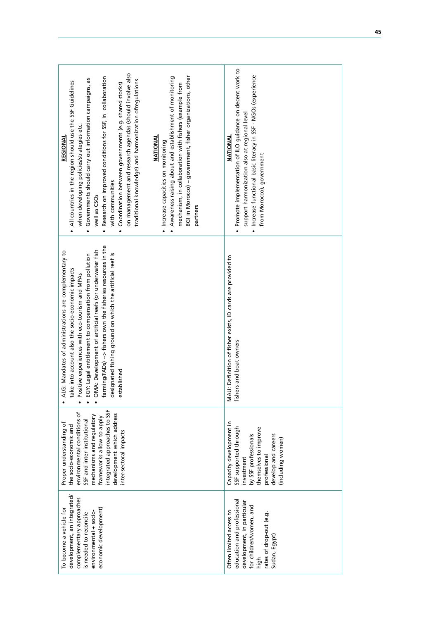| on management and research agendas (should involve also<br>BGI in Morocco) - government, fisher organizations, other<br>Awareness raising about and establishment of monitoring<br>Research on improved conditions for SSF, in collaboration<br>Governments should carry out information campaigns, as<br>traditional knowledge) and harmonization ofregulations<br>All countries in the region should use the SSF Guidelines<br>Coordination between governments (e.g. shared stocks)<br>mechanism, in collaboration with fishers (example from<br>when developing policies/strategies etc.<br>NATIONAL<br><b>REGIONAL</b><br>· Increase capacities on monitoring<br>with communities<br>well as CSOs<br>partners<br>$\bullet$<br>$\bullet$ | Promote implementation of ILO quidance on decent work to<br>Increase functional basic literacy in SSF - NGOs (experience<br>support harmonization also at regional level<br>NATIONAL<br>from Morocco), government<br>$\bullet$ |
|----------------------------------------------------------------------------------------------------------------------------------------------------------------------------------------------------------------------------------------------------------------------------------------------------------------------------------------------------------------------------------------------------------------------------------------------------------------------------------------------------------------------------------------------------------------------------------------------------------------------------------------------------------------------------------------------------------------------------------------------|--------------------------------------------------------------------------------------------------------------------------------------------------------------------------------------------------------------------------------|
| farming/FADs) -> fishers own the fisheries resources in the<br>OMA: Development of artificial reefs (or underwater fish<br>ALG: Mandates of administrations are complementary to<br>designated fishing ground on which the artificial reef is<br>EGY: Legal entitlement to compensation from pollution<br>ce into account also the socio-economic impacts<br>Positive experiences with eco-tourism and MPAs<br>established<br>Ťă<br>$\bullet$                                                                                                                                                                                                                                                                                                | MAU: Definition of fisher exists, ID cards are provided to<br>fishers and boat owners                                                                                                                                          |
| integrated approaches to SSF<br>environmental conditions of<br>development which address<br>mechanisms and regulatory<br>frameworks allow to apply<br>SSF and inter-institutional<br>Proper understanding of<br>the socio-economic and<br>inter-sectoral impacts                                                                                                                                                                                                                                                                                                                                                                                                                                                                             | Capacity development in<br>SSF supported through<br>themselves to improve<br>develop and careers<br>by SSF professionals<br>(including women)<br>professional<br>investment                                                    |
| development, an integrated/<br>complementary approaches<br>To become a vehicle for<br>economic development)<br>environmental + socio-<br>is needed to reconcile                                                                                                                                                                                                                                                                                                                                                                                                                                                                                                                                                                              | education and professional<br>development, in particular<br>for children/women, and<br>Often limited access to<br>rates of drop-out (e.g.<br>Sudan, Egypt<br>high                                                              |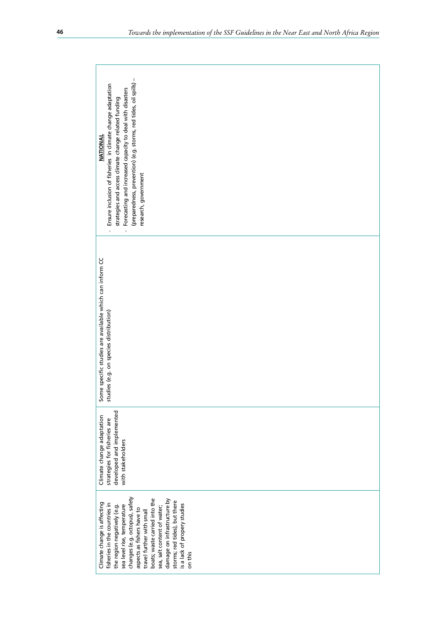| (preparedness, prevention) (e.g. storms, red tides, oil spills) -<br>Ensure inclusion of fisheries in climate change adaptation<br>Forecasting and increased capacity to deal with disasters<br>strategies and access climate change related funding<br><b>NATIONAL</b><br>research, government<br>$\mathbf{r}$<br>$\mathbf{I}$                                                                   |
|---------------------------------------------------------------------------------------------------------------------------------------------------------------------------------------------------------------------------------------------------------------------------------------------------------------------------------------------------------------------------------------------------|
| Some specific studies are available which can inform CC<br>studies (e.g. on species distribution)                                                                                                                                                                                                                                                                                                 |
| developed and implemented<br>Climate change adaptation<br>strategies for fisheries are<br>with stakeholders                                                                                                                                                                                                                                                                                       |
| changes (e.g. octopus), safety<br>poats; waste carried into the<br>damage on infrastructure by<br>storms; red tides), but there<br>Climate change is affecting<br>isheries in the countries in<br>is a lack of propery studies<br>sea level rise, temperature<br>the region negatively (e.g.<br>sea, salt content of water;<br>aspects as fishers have to<br>travel further with small<br>on this |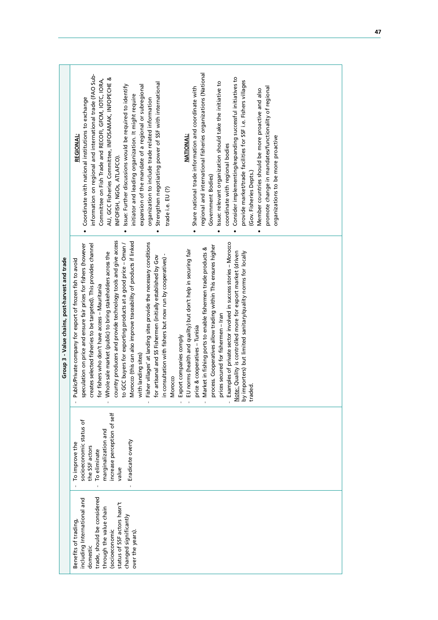|                                                | regional and international fisheries organizations (National<br>information on regional and international trade (FAO Sub-<br>Consider implementing/expanding successful initiatives to<br>AU, GCC Fisheries Committee, INFOSAMAK, INFOPECHE &<br>Committee on Fish Trade and RECOFI, GFCM, IOTC, IORA,<br>provide market/trade facilities for SSF i.e. Fishers villages<br>Issue: relevant organization should take the initiative to<br>Strengthen negotiating power of SSF with international<br>Issue: Further discussions would be required to identify<br>expansion of the mandate of a regional or subregional<br>promote change in mandates/functionality of regional<br>Share national trade information and coordinate with<br>Member countries should be more proactive and also<br>initiator and leading organization. It might require<br>Coordinate with national institutions to exchange<br>organization to include trade related information<br><b>NATIONAL:</b><br><b>REGIONAL:</b><br>organizations to be more proactive<br>coordinate with regional bodies<br>INFOFISH, NGOs, ATLAFCO).<br>(Gov. Fisheries Depts.)<br>Government Bodies)<br>trade i.e. EU (?)<br>$\bullet$<br>$\bullet$<br>$\bullet$                                                                                                    |
|------------------------------------------------|----------------------------------------------------------------------------------------------------------------------------------------------------------------------------------------------------------------------------------------------------------------------------------------------------------------------------------------------------------------------------------------------------------------------------------------------------------------------------------------------------------------------------------------------------------------------------------------------------------------------------------------------------------------------------------------------------------------------------------------------------------------------------------------------------------------------------------------------------------------------------------------------------------------------------------------------------------------------------------------------------------------------------------------------------------------------------------------------------------------------------------------------------------------------------------------------------------------------------------------------------------------------------------------------------------------------------|
| Group 3 - Value chains, post-harvest and trade | country producers and provide technology tools and give access<br>Morocco (this can also improve traceability of products if linked<br>Fisher villages' at landing sites provide the necessary conditions<br>Examples of private sector involved in success stories - Morocco<br>to GCC buyers for exporting products at a good price - Oman /<br>speculation on price and ensure fair prices for fishers (however<br>creates selected fisheries to be targeted). This provides channel<br>process. Cooperatives allow trading within This ensures higher<br>Market in fishing ports to enable fishermen trade products &<br>EU norms (health and quality) but don't help in securing fair<br>Note: Quality is controlled more for export market (driven<br>by importers) but limited sanitary/quality norms for locally<br>Whole sale market (public) to bring stakeholders across the<br>in consultation with fishers but now run by cooperatives) -<br>for artisanal and SS Fishermen (initially established by Gov<br>Public/Private company for export of frozen fish to avoid<br>for fishers who don't have access - Mauritania<br>prices secured for fishermen - Iran<br>price & cooperatives - Tunisia<br>Export companies comply<br>with landing sites)<br>Morocco<br>traded.<br>$\bar{1}$<br>$\overline{1}$<br>ï |
|                                                | increase perception of self<br>socioeconomic status of<br>marginalization and<br>Eradicate overty<br>To improve the<br>the SSF actors<br>To eliminate<br>value                                                                                                                                                                                                                                                                                                                                                                                                                                                                                                                                                                                                                                                                                                                                                                                                                                                                                                                                                                                                                                                                                                                                                             |
|                                                | trade, should be considered<br>including International and<br>status of SSF actors hasn't<br>through the value chain<br>changed significantly<br>Benefits of trading,<br>(socioeconomic<br>over the years).<br>domestic                                                                                                                                                                                                                                                                                                                                                                                                                                                                                                                                                                                                                                                                                                                                                                                                                                                                                                                                                                                                                                                                                                    |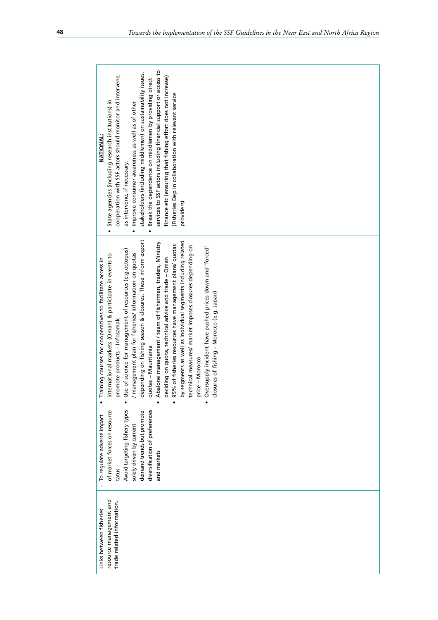| <b>NATIONAL:</b>                                         | State agencies (including research institutions) in<br>$\bullet$ | cooperation with SSF actors should monitor and intervene, | as intervene, if necessary.                             | . Improve consumer awareness as well as of other       | stakeholders (including middlemen) on sustainability issues. | Break the dependence on middlemen by providing direct | services to SSF actors including financial support or access to | finance etc (ensuring that fishing effort does not increase) | (Fisheries Dep in collaboration with relevant service    | providers)                                                   |                                                          |                 |                                                          |                                                |  |  |  |  |  |  |  |  |  |  |  |
|----------------------------------------------------------|------------------------------------------------------------------|-----------------------------------------------------------|---------------------------------------------------------|--------------------------------------------------------|--------------------------------------------------------------|-------------------------------------------------------|-----------------------------------------------------------------|--------------------------------------------------------------|----------------------------------------------------------|--------------------------------------------------------------|----------------------------------------------------------|-----------------|----------------------------------------------------------|------------------------------------------------|--|--|--|--|--|--|--|--|--|--|--|
| raining courses for cooperatives to facilitate access in | international markets (Oman) & participate in events to          | promote products - Infosamak                              | se of science for management of resources (e.g.octopus) | / management plan for fisheries/ information on quotas | depending on fishing season & closures. These inform export  | uotas - Mauritania<br>$\bar{\sigma}$                  | Abalone management / team of fishermen, traders, Ministry       | deciding on quota, technical advice and trade - Oman         | 95% of fisheries resources have management plans/ quotas | by segments as well as individual segments including related | technical measures/ market imposes closures depending on | price - Morocco | Oversupply incident have pushed prices down and 'forced' | osures of fishing – Morocco (e.g. Japan)<br>᠊ᠣ |  |  |  |  |  |  |  |  |  |  |  |
| To regulate adverse impact                               | of market forces on resource                                     | tatus                                                     | Avoid targeting fishery types                           | solely driven by current                               | demand trends but promote                                    | diversification of preferences                        | and markets                                                     |                                                              |                                                          |                                                              |                                                          |                 |                                                          |                                                |  |  |  |  |  |  |  |  |  |  |  |
| Links between fisheries                                  | resource management and                                          | trade related information.                                |                                                         |                                                        |                                                              |                                                       |                                                                 |                                                              |                                                          |                                                              |                                                          |                 |                                                          |                                                |  |  |  |  |  |  |  |  |  |  |  |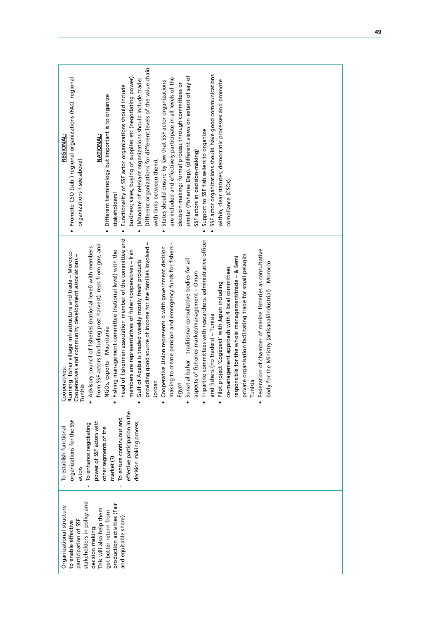| · Promote CSO (sub-) regional organizations (FAO, regional<br><b>REGIONAL:</b><br>organizations / see above)                                   | Different organizations for different levels of the value chain<br>SSF actor organizations should have good communications<br>business; sales, buying of supplies etc (negotiating power).<br>similar (Fisheries Dep). (different views on extent of say of<br>are included and effectively participate in all levels of the<br>(Mandate of relevant organizations should include trade;<br>within, clear statutes, democratic processes and promote<br>States should ensure by law that SSF actor organizations<br>decision-making: formal process through committees or<br>Functionality of SSF actor organizations should include<br>Different terminology but important is to organize<br>Support to SSF fish sellers to organize<br><b>NATIONAL:</b><br>SSF actors in decision-making)<br>with links between them).<br>compliance (CSOs).<br>stakeholders!<br>$\bullet$<br>$\bullet$<br>$\bullet$<br>$\bullet$                                                                                                                                                                                                                                                                                                       |
|------------------------------------------------------------------------------------------------------------------------------------------------|---------------------------------------------------------------------------------------------------------------------------------------------------------------------------------------------------------------------------------------------------------------------------------------------------------------------------------------------------------------------------------------------------------------------------------------------------------------------------------------------------------------------------------------------------------------------------------------------------------------------------------------------------------------------------------------------------------------------------------------------------------------------------------------------------------------------------------------------------------------------------------------------------------------------------------------------------------------------------------------------------------------------------------------------------------------------------------------------------------------------------------------------------------------------------------------------------------------------------|
| Cooperatives:<br>Running fisher village infrastructure and trade – Morocco<br>Cooperatives and community development associations -<br>Tunisia | head of fishermen association member of the committee and<br>Tripartite committees with researchers, administrative officer<br>making to create pension and emergency funds for fishers -<br>providing good source of income for the families involved -<br>from SSF actors (including post-harvest), reps from gov, and<br>Advisory council of fisheries (national level) with members<br>Cooperative Union represents d with government decision<br>Federation of chamber of marine fisheries as consultative<br>Fishing management committee (national level) with the<br>members are representatives of fisher cooperatives - Iran<br>private organisation facilitating trade for small pelagics<br>responsible for the whole management/trade - & Semi<br>Sunat al bahar - traditional consultative bodies for all<br>Gulf of Aqaba is traded weekly mostly fresh products<br>body for the Ministry (artisanal/industrial) - Morocco<br>co-management approach with 4 local committees<br>aspects of fisheries market/management - Oman<br>Pilot project 'Cogepect' with Japan including<br>and fishers (no traders) - Tunisia<br>NGOs, experts - Mauritania<br>Jordan<br>Tunisia<br>Egypt<br>$\bullet$<br>$\bullet$ |
| organizations for the SSF<br>To establish functional<br>actors                                                                                 | effective participation in the<br>To ensure continuous and<br>power of SSF actors with<br>To enhance negotiating<br>decision making process<br>other segments of the<br>market (?)                                                                                                                                                                                                                                                                                                                                                                                                                                                                                                                                                                                                                                                                                                                                                                                                                                                                                                                                                                                                                                        |
| Organizational structure<br>participation of SSF<br>to enable effective                                                                        | stakeholders in policy and<br>production activities (Fair<br>This will also help them<br>get better return from<br>and equitable share)<br>decision making                                                                                                                                                                                                                                                                                                                                                                                                                                                                                                                                                                                                                                                                                                                                                                                                                                                                                                                                                                                                                                                                |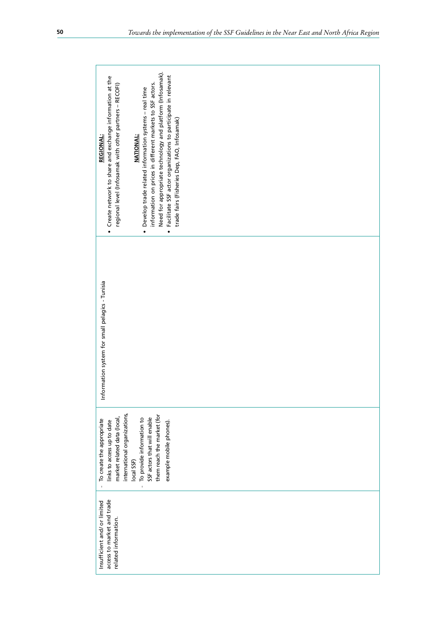| • Create network to share and exchange information at the<br>information on prices in different markets to SSF actors.<br>regional level (Infosamak with other partners - RECOFI)<br>Develop trade related information systems - real time<br><b>NATIONAL:</b><br><b>REGIONAL:</b><br>$\bullet$ | Need for appropriate technology and platform (Infosamak).<br>Facilitate SSF actor organizations to participate in relevant<br>trade fairs (Fisheries Dep, FAO, Infosamak)<br>$\bullet$ |  |
|-------------------------------------------------------------------------------------------------------------------------------------------------------------------------------------------------------------------------------------------------------------------------------------------------|----------------------------------------------------------------------------------------------------------------------------------------------------------------------------------------|--|
| Information system for small pelagics - Tunisia                                                                                                                                                                                                                                                 |                                                                                                                                                                                        |  |
| international organizations,<br>market related data (local,<br>SSF actors that will enable<br>To provide information to<br>To create the appropriate<br>links to access up to date<br>local SSF)<br>$\mathbf{I}$<br>$\mathbf{I}$                                                                | them reach the market (for<br>example mobile phones).                                                                                                                                  |  |
| access to market and trade<br>Insufficient and/ or limited<br>related information.                                                                                                                                                                                                              |                                                                                                                                                                                        |  |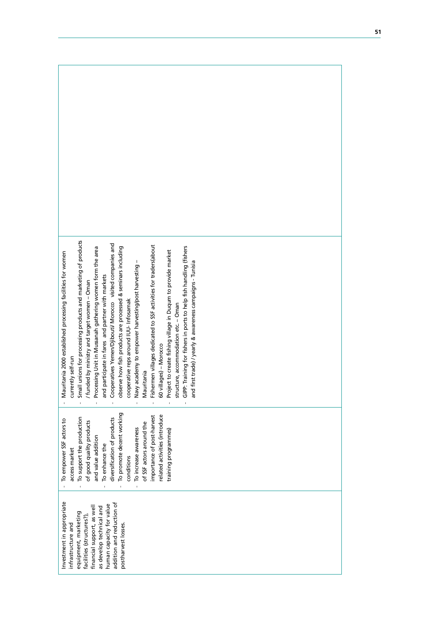| mall unions for processing products and marketing of products<br>cooperatives Yemen/Djibouti/ Morocco visited companies and<br>ishermen villages dedicated to SSF activities for traders(about<br>iPP: Training for fishers in ports to help fish handling (fishers<br>observe how fish products are processed & seminars including<br>rocessing Unit in Mussanah gathering women form the area<br>roject to create fishing village in Duqum to provide market<br>Mauritania 2000 established processing facilities for women<br>Navy academy to empower harvesting/post harvesting -<br>and first trade) / yearly & awareness campaigns - Tunisia<br>and participate in fares and partner with markets<br>funded by ministry and target women - Oman<br>cooperative reps around IUU- Infosamak<br>tructure, accommodation etc. - Oman<br>60 villages) - Morocco<br>currently self-run<br>Mauritania<br>ᢑ |
|-----------------------------------------------------------------------------------------------------------------------------------------------------------------------------------------------------------------------------------------------------------------------------------------------------------------------------------------------------------------------------------------------------------------------------------------------------------------------------------------------------------------------------------------------------------------------------------------------------------------------------------------------------------------------------------------------------------------------------------------------------------------------------------------------------------------------------------------------------------------------------------------------------------|
| To promote decent working<br>related activities (introduce<br>importance of post-harvest<br>To support the production<br>diversification of products<br>To empower SSF actors to<br>of good quality products<br>of SSF actors around the<br>To increase awareness<br>training programmes)<br>and value addition<br>To enhance the<br>access market<br>conditions                                                                                                                                                                                                                                                                                                                                                                                                                                                                                                                                          |
| Investment in appropriate<br>addition and reduction of<br>human capacity for value<br>financial support, as well<br>as develop technical and<br>equipment, marketing<br>facilities (structures?),<br>postharvest losses.<br>infrastructure and                                                                                                                                                                                                                                                                                                                                                                                                                                                                                                                                                                                                                                                            |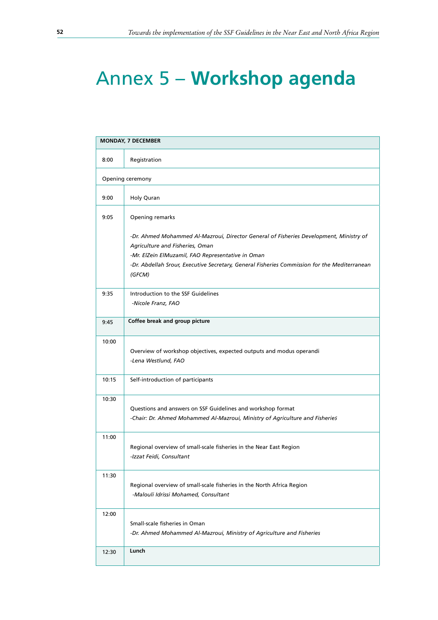# Annex 5 – **Workshop agenda**

|       | <b>MONDAY, 7 DECEMBER</b>                                                                                                                                                                                                                                                                |
|-------|------------------------------------------------------------------------------------------------------------------------------------------------------------------------------------------------------------------------------------------------------------------------------------------|
| 8:00  | Registration                                                                                                                                                                                                                                                                             |
|       | Opening ceremony                                                                                                                                                                                                                                                                         |
| 9:00  | Holy Quran                                                                                                                                                                                                                                                                               |
| 9:05  | Opening remarks                                                                                                                                                                                                                                                                          |
|       | -Dr. Ahmed Mohammed Al-Mazroui, Director General of Fisheries Development, Ministry of<br>Agriculture and Fisheries, Oman<br>-Mr. ElZein ElMuzamil, FAO Representative in Oman<br>-Dr. Abdellah Srour, Executive Secretary, General Fisheries Commission for the Mediterranean<br>(GFCM) |
| 9:35  | Introduction to the SSF Guidelines<br>-Nicole Franz, FAO                                                                                                                                                                                                                                 |
| 9:45  | Coffee break and group picture                                                                                                                                                                                                                                                           |
| 10:00 | Overview of workshop objectives, expected outputs and modus operandi<br>-Lena Westlund, FAO                                                                                                                                                                                              |
| 10:15 | Self-introduction of participants                                                                                                                                                                                                                                                        |
| 10:30 | Questions and answers on SSF Guidelines and workshop format<br>-Chair: Dr. Ahmed Mohammed Al-Mazroui, Ministry of Agriculture and Fisheries                                                                                                                                              |
| 11:00 | Regional overview of small-scale fisheries in the Near East Region<br>-Izzat Feidi, Consultant                                                                                                                                                                                           |
| 11:30 | Regional overview of small-scale fisheries in the North Africa Region<br>-Malouli Idrissi Mohamed, Consultant                                                                                                                                                                            |
| 12:00 | Small-scale fisheries in Oman<br>-Dr. Ahmed Mohammed Al-Mazroui, Ministry of Agriculture and Fisheries                                                                                                                                                                                   |
| 12:30 | Lunch                                                                                                                                                                                                                                                                                    |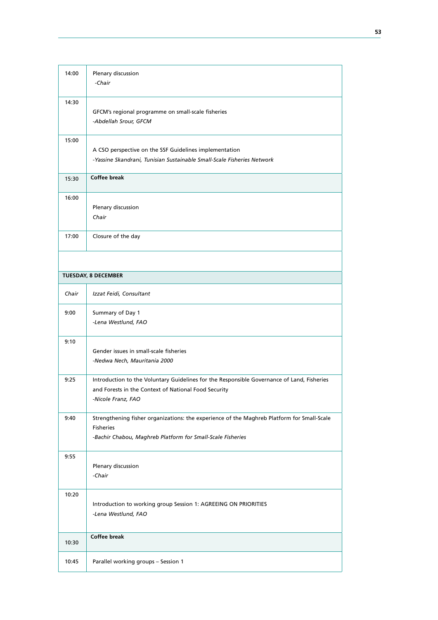| 14:00                      | Plenary discussion<br>-Chair                                                                                                                                                 |
|----------------------------|------------------------------------------------------------------------------------------------------------------------------------------------------------------------------|
| 14:30                      | GFCM's regional programme on small-scale fisheries<br>-Abdellah Srour, GFCM                                                                                                  |
| 15:00                      | A CSO perspective on the SSF Guidelines implementation<br>-Yassine Skandrani, Tunisian Sustainable Small-Scale Fisheries Network                                             |
| 15:30                      | <b>Coffee break</b>                                                                                                                                                          |
| 16:00                      | Plenary discussion<br>Chair                                                                                                                                                  |
| 17:00                      | Closure of the day                                                                                                                                                           |
|                            |                                                                                                                                                                              |
| <b>TUESDAY, 8 DECEMBER</b> |                                                                                                                                                                              |
| Chair                      | Izzat Feidi, Consultant                                                                                                                                                      |
| 9:00                       | Summary of Day 1<br>-Lena Westlund, FAO                                                                                                                                      |
| 9:10                       | Gender issues in small-scale fisheries<br>-Nedwa Nech, Mauritania 2000                                                                                                       |
| 9:25                       | Introduction to the Voluntary Guidelines for the Responsible Governance of Land, Fisheries<br>and Forests in the Context of National Food Security<br>-Nicole Franz, FAO     |
| 9:40                       | Strengthening fisher organizations: the experience of the Maghreb Platform for Small-Scale<br><b>Fisheries</b><br>-Bachir Chabou, Maghreb Platform for Small-Scale Fisheries |
| 9:55                       | Plenary discussion<br>-Chair                                                                                                                                                 |
| 10:20                      | Introduction to working group Session 1: AGREEING ON PRIORITIES<br>-Lena Westlund, FAO                                                                                       |
| 10:30                      | <b>Coffee break</b>                                                                                                                                                          |
| 10:45                      | Parallel working groups - Session 1                                                                                                                                          |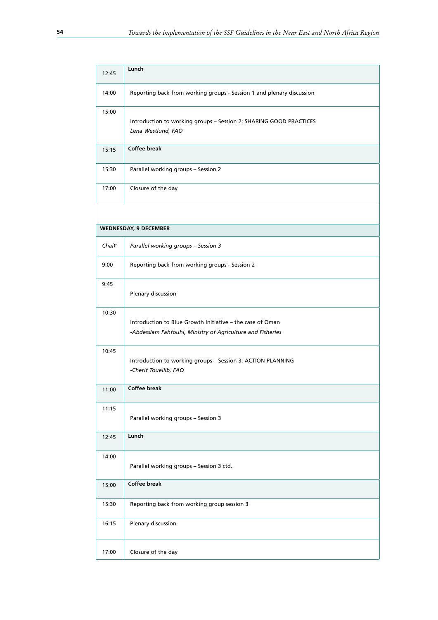| 12:45                        | Lunch                                                                                                                   |  |
|------------------------------|-------------------------------------------------------------------------------------------------------------------------|--|
| 14:00                        | Reporting back from working groups - Session 1 and plenary discussion                                                   |  |
| 15:00                        | Introduction to working groups - Session 2: SHARING GOOD PRACTICES<br>Lena Westlund, FAO                                |  |
| 15:15                        | <b>Coffee break</b>                                                                                                     |  |
| 15:30                        | Parallel working groups - Session 2                                                                                     |  |
| 17:00                        | Closure of the day                                                                                                      |  |
|                              |                                                                                                                         |  |
| <b>WEDNESDAY, 9 DECEMBER</b> |                                                                                                                         |  |
| Chair                        | Parallel working groups - Session 3                                                                                     |  |
| 9:00                         | Reporting back from working groups - Session 2                                                                          |  |
| 9:45                         | Plenary discussion                                                                                                      |  |
| 10:30                        | Introduction to Blue Growth Initiative - the case of Oman<br>-Abdesslam Fahfouhi, Ministry of Agriculture and Fisheries |  |
| 10:45                        | Introduction to working groups - Session 3: ACTION PLANNING<br>-Cherif Toueilib, FAO                                    |  |
| 11:00                        | Coffee break                                                                                                            |  |
| 11:15                        | Parallel working groups - Session 3                                                                                     |  |
| 12:45                        | Lunch                                                                                                                   |  |
| 14:00                        | Parallel working groups - Session 3 ctd.                                                                                |  |
| 15:00                        | Coffee break                                                                                                            |  |
| 15:30                        | Reporting back from working group session 3                                                                             |  |
| 16:15                        | Plenary discussion                                                                                                      |  |
| 17:00                        | Closure of the day                                                                                                      |  |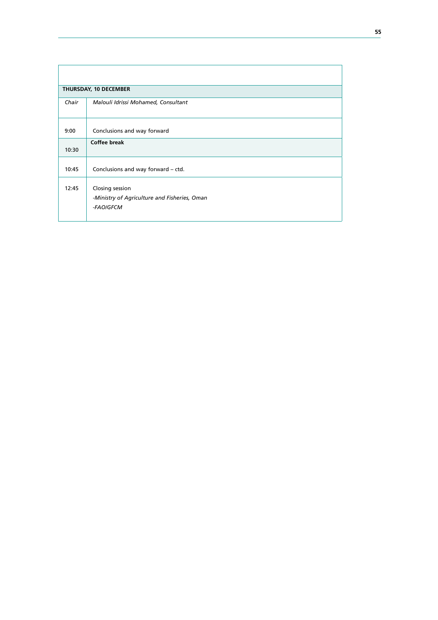| THURSDAY, 10 DECEMBER |                                                                              |  |  |
|-----------------------|------------------------------------------------------------------------------|--|--|
| Chair                 | Malouli Idrissi Mohamed, Consultant                                          |  |  |
| 9:00                  | Conclusions and way forward                                                  |  |  |
| 10:30                 | <b>Coffee break</b>                                                          |  |  |
| 10:45                 | Conclusions and way forward - ctd.                                           |  |  |
| 12:45                 | Closing session<br>-Ministry of Agriculture and Fisheries, Oman<br>-FAO/GFCM |  |  |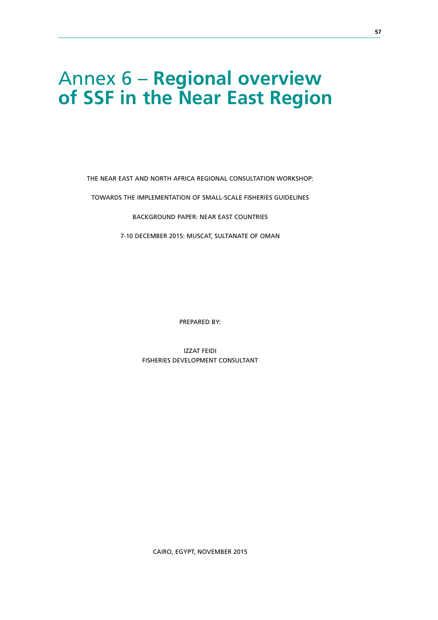## Annex 6 – **Regional overview of SSF in the Near East Region**

THE NEAR EAST AND NORTH AFRICA REGIONAL CONSULTATION WORKSHOP:

TOWARDS THE IMPLEMENTATION OF SMALL-SCALE FISHERIES GUIDELINES

BACKGROUND PAPER: NEAR EAST COUNTRIES

7-10 DECEMBER 2015: MUSCAT, SULTANATE OF OMAN

PREPARED BY:

IZZAT FEIDI FISHERIES DEVELOPMENT CONSULTANT

CAIRO, EGYPT, NOVEMBER 2015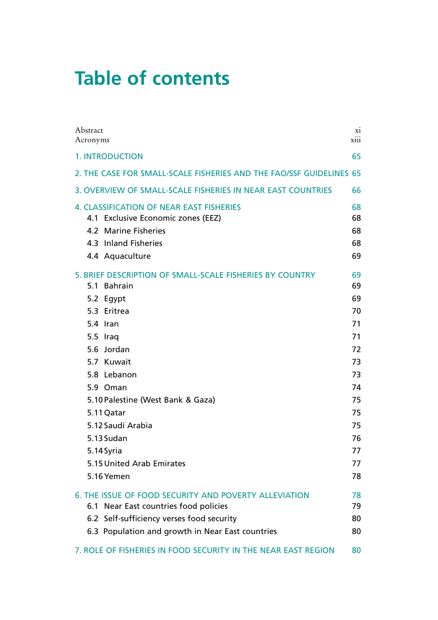# **Table of contents**

| Abstract<br>Acronyms                                                                                                                                                                                                                                                                                                                 | X1<br>xiii                                                                                         |
|--------------------------------------------------------------------------------------------------------------------------------------------------------------------------------------------------------------------------------------------------------------------------------------------------------------------------------------|----------------------------------------------------------------------------------------------------|
| <b>1. INTRODUCTION</b>                                                                                                                                                                                                                                                                                                               | 65                                                                                                 |
| 2. THE CASE FOR SMALL-SCALE FISHERIES AND THE FAO/SSF GUIDELINES 65                                                                                                                                                                                                                                                                  |                                                                                                    |
| 3. OVERVIEW OF SMALL-SCALE FISHERIES IN NEAR EAST COUNTRIES                                                                                                                                                                                                                                                                          | 66                                                                                                 |
| <b>4. CLASSIFICATION OF NEAR EAST FISHERIES</b><br>4.1 Exclusive Economic zones (EEZ)<br>4.2 Marine Fisheries<br>4.3 Inland Fisheries<br>4.4 Aquaculture                                                                                                                                                                             | 68<br>68<br>68<br>68<br>69                                                                         |
| 5. BRIEF DESCRIPTION OF SMALL-SCALE FISHERIES BY COUNTRY<br>5.1 Bahrain<br>5.2 Egypt<br>5.3 Eritrea<br>5.4 Iran<br>5.5 Iraq<br>Jordan<br>5.6<br>5.7 Kuwait<br>5.8 Lebanon<br>5.9 Oman<br>5.10 Palestine (West Bank & Gaza)<br>5.11 Qatar<br>5.12 Saudi Arabia<br>5.13 Sudan<br>5.14 Syria<br>5.15 United Arab Emirates<br>5.16 Yemen | 69<br>69<br>69<br>70<br>71<br>71<br>72<br>73<br>73<br>74<br>75<br>75<br>75<br>76<br>77<br>77<br>78 |
| <b>6. THE ISSUE OF FOOD SECURITY AND POVERTY ALLEVIATION</b><br>6.1 Near East countries food policies                                                                                                                                                                                                                                | 78<br>79                                                                                           |
| 6.2 Self-sufficiency verses food security<br>6.3 Population and growth in Near East countries                                                                                                                                                                                                                                        | 80<br>80                                                                                           |
| 7. ROLE OF FISHERIES IN FOOD SECURITY IN THE NEAR EAST REGION                                                                                                                                                                                                                                                                        | 80                                                                                                 |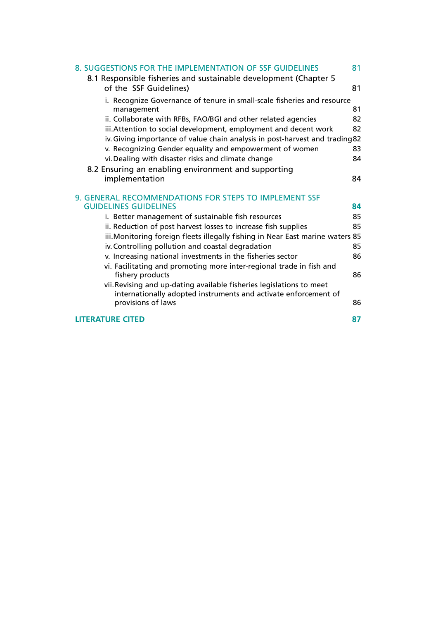| 8. SUGGESTIONS FOR THE IMPLEMENTATION OF SSF GUIDELINES                                    | 81 |
|--------------------------------------------------------------------------------------------|----|
| 8.1 Responsible fisheries and sustainable development (Chapter 5<br>of the SSF Guidelines) | 81 |
| i. Recognize Governance of tenure in small-scale fisheries and resource                    |    |
| management                                                                                 | 81 |
| ii. Collaborate with RFBs, FAO/BGI and other related agencies                              | 82 |
| iii. Attention to social development, employment and decent work                           | 82 |
| iv. Giving importance of value chain analysis in post-harvest and trading 82               |    |
| v. Recognizing Gender equality and empowerment of women                                    | 83 |
| vi. Dealing with disaster risks and climate change                                         | 84 |
| 8.2 Ensuring an enabling environment and supporting                                        |    |
| implementation                                                                             | 84 |
| 9. GENERAL RECOMMENDATIONS FOR STEPS TO IMPLEMENT SSF                                      |    |
| <b>GUIDELINES GUIDELINES</b>                                                               | 84 |
| i. Better management of sustainable fish resources                                         | 85 |
| ii. Reduction of post harvest losses to increase fish supplies                             | 85 |
| iii. Monitoring foreign fleets illegally fishing in Near East marine waters 85             |    |
| iv. Controlling pollution and coastal degradation                                          | 85 |
| v. Increasing national investments in the fisheries sector                                 | 86 |
| vi. Facilitating and promoting more inter-regional trade in fish and                       |    |
| fishery products                                                                           | 86 |
| vii. Revising and up-dating available fisheries legislations to meet                       |    |
| internationally adopted instruments and activate enforcement of<br>provisions of laws      | 86 |
| <b>LITERATURE CITED</b>                                                                    | 87 |
|                                                                                            |    |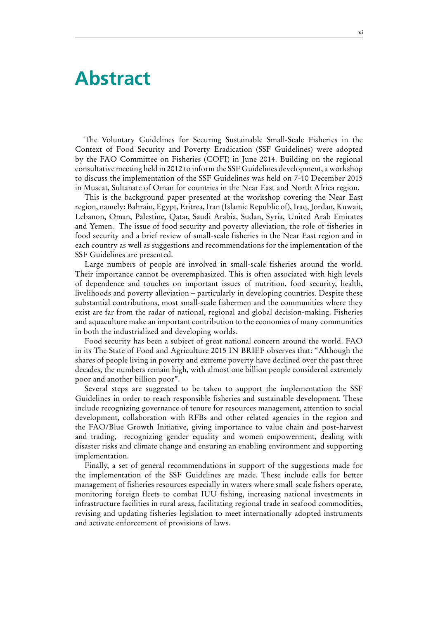### **Abstract**

The Voluntary Guidelines for Securing Sustainable Small-Scale Fisheries in the Context of Food Security and Poverty Eradication (SSF Guidelines) were adopted by the FAO Committee on Fisheries (COFI) in June 2014. Building on the regional consultative meeting held in 2012 to inform the SSF Guidelines development, a workshop to discuss the implementation of the SSF Guidelines was held on 7-10 December 2015 in Muscat, Sultanate of Oman for countries in the Near East and North Africa region.

This is the background paper presented at the workshop covering the Near East region, namely: Bahrain, Egypt, Eritrea, Iran (Islamic Republic of), Iraq, Jordan, Kuwait, Lebanon, Oman, Palestine, Qatar, Saudi Arabia, Sudan, Syria, United Arab Emirates and Yemen. The issue of food security and poverty alleviation, the role of fisheries in food security and a brief review of small-scale fisheries in the Near East region and in each country as well as suggestions and recommendations for the implementation of the SSF Guidelines are presented.

Large numbers of people are involved in small-scale fisheries around the world. Their importance cannot be overemphasized. This is often associated with high levels of dependence and touches on important issues of nutrition, food security, health, livelihoods and poverty alleviation – particularly in developing countries. Despite these substantial contributions, most small-scale fishermen and the communities where they exist are far from the radar of national, regional and global decision-making. Fisheries and aquaculture make an important contribution to the economies of many communities in both the industrialized and developing worlds.

Food security has been a subject of great national concern around the world. FAO in its The State of Food and Agriculture 2015 IN BRIEF observes that: "Although the shares of people living in poverty and extreme poverty have declined over the past three decades, the numbers remain high, with almost one billion people considered extremely poor and another billion poor".

Several steps are suggested to be taken to support the implementation the SSF Guidelines in order to reach responsible fisheries and sustainable development. These include recognizing governance of tenure for resources management, attention to social development, collaboration with RFBs and other related agencies in the region and the FAO/Blue Growth Initiative, giving importance to value chain and post-harvest and trading, recognizing gender equality and women empowerment, dealing with disaster risks and climate change and ensuring an enabling environment and supporting implementation.

Finally, a set of general recommendations in support of the suggestions made for the implementation of the SSF Guidelines are made. These include calls for better management of fisheries resources especially in waters where small-scale fishers operate, monitoring foreign fleets to combat IUU fishing, increasing national investments in infrastructure facilities in rural areas, facilitating regional trade in seafood commodities, revising and updating fisheries legislation to meet internationally adopted instruments and activate enforcement of provisions of laws.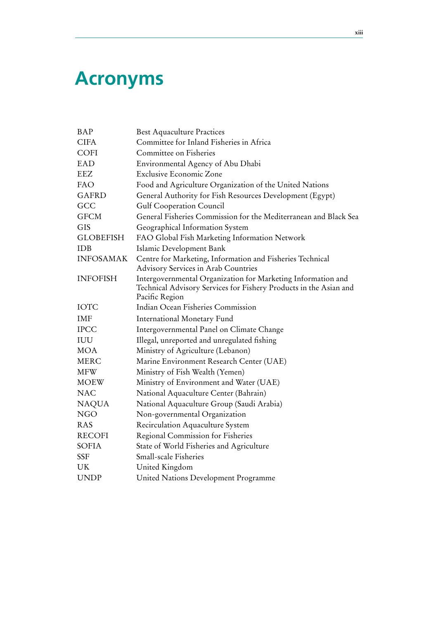# **Acronyms**

| BAP              | <b>Best Aquaculture Practices</b>                                                                                                                   |
|------------------|-----------------------------------------------------------------------------------------------------------------------------------------------------|
| <b>CIFA</b>      | Committee for Inland Fisheries in Africa                                                                                                            |
| <b>COFI</b>      | Committee on Fisheries                                                                                                                              |
| EAD              | Environmental Agency of Abu Dhabi                                                                                                                   |
| <b>EEZ</b>       | <b>Exclusive Economic Zone</b>                                                                                                                      |
| FAO              | Food and Agriculture Organization of the United Nations                                                                                             |
| <b>GAFRD</b>     | General Authority for Fish Resources Development (Egypt)                                                                                            |
| GCC              | <b>Gulf Cooperation Council</b>                                                                                                                     |
| <b>GFCM</b>      | General Fisheries Commission for the Mediterranean and Black Sea                                                                                    |
| <b>GIS</b>       | Geographical Information System                                                                                                                     |
| <b>GLOBEFISH</b> | FAO Global Fish Marketing Information Network                                                                                                       |
| <b>IDB</b>       | Islamic Development Bank                                                                                                                            |
| <b>INFOSAMAK</b> | Centre for Marketing, Information and Fisheries Technical<br><b>Advisory Services in Arab Countries</b>                                             |
| <b>INFOFISH</b>  | Intergovernmental Organization for Marketing Information and<br>Technical Advisory Services for Fishery Products in the Asian and<br>Pacific Region |
| <b>IOTC</b>      | Indian Ocean Fisheries Commission                                                                                                                   |
| <b>IMF</b>       | International Monetary Fund                                                                                                                         |
| <b>IPCC</b>      | Intergovernmental Panel on Climate Change                                                                                                           |
| IUU              | Illegal, unreported and unregulated fishing                                                                                                         |
| <b>MOA</b>       | Ministry of Agriculture (Lebanon)                                                                                                                   |
| <b>MERC</b>      | Marine Environment Research Center (UAE)                                                                                                            |
| <b>MFW</b>       | Ministry of Fish Wealth (Yemen)                                                                                                                     |
| <b>MOEW</b>      | Ministry of Environment and Water (UAE)                                                                                                             |
| <b>NAC</b>       | National Aquaculture Center (Bahrain)                                                                                                               |
| <b>NAQUA</b>     | National Aquaculture Group (Saudi Arabia)                                                                                                           |
| <b>NGO</b>       | Non-governmental Organization                                                                                                                       |
| <b>RAS</b>       | Recirculation Aquaculture System                                                                                                                    |
| <b>RECOFI</b>    | Regional Commission for Fisheries                                                                                                                   |
| <b>SOFIA</b>     | State of World Fisheries and Agriculture                                                                                                            |
| <b>SSF</b>       | <b>Small-scale Fisheries</b>                                                                                                                        |
| UK               | United Kingdom                                                                                                                                      |
| <b>UNDP</b>      | United Nations Development Programme                                                                                                                |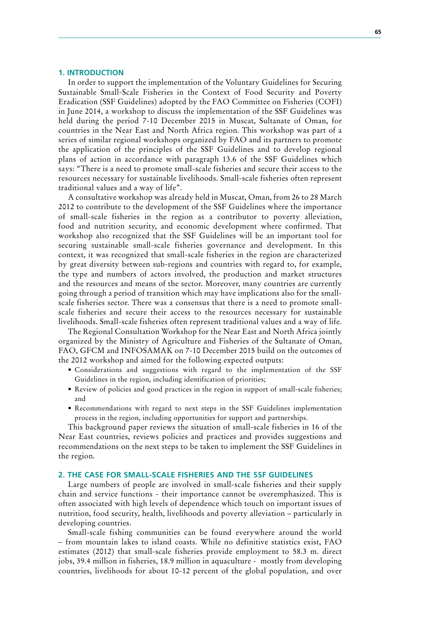#### **1. INTRODUCTION**

In order to support the implementation of the Voluntary Guidelines for Securing Sustainable Small-Scale Fisheries in the Context of Food Security and Poverty Eradication (SSF Guidelines) adopted by the FAO Committee on Fisheries (COFI) in June 2014, a workshop to discuss the implementation of the SSF Guidelines was held during the period 7-10 December 2015 in Muscat, Sultanate of Oman, for countries in the Near East and North Africa region. This workshop was part of a series of similar regional workshops organized by FAO and its partners to promote the application of the principles of the SSF Guidelines and to develop regional plans of action in accordance with paragraph 13.6 of the SSF Guidelines which says: "There is a need to promote small-scale fisheries and secure their access to the resources necessary for sustainable livelihoods. Small-scale fisheries often represent traditional values and a way of life".

A consultative workshop was already held in Muscat, Oman, from 26 to 28 March 2012 to contribute to the development of the SSF Guidelines where the importance of small-scale fisheries in the region as a contributor to poverty alleviation, food and nutrition security, and economic development where confirmed. That workshop also recognized that the SSF Guidelines will be an important tool for securing sustainable small-scale fisheries governance and development. In this context, it was recognized that small-scale fisheries in the region are characterized by great diversity between sub-regions and countries with regard to, for example, the type and numbers of actors involved, the production and market structures and the resources and means of the sector. Moreover, many countries are currently going through a period of transition which may have implications also for the smallscale fisheries sector. There was a consensus that there is a need to promote smallscale fisheries and secure their access to the resources necessary for sustainable livelihoods. Small-scale fisheries often represent traditional values and a way of life.

The Regional Consultation Workshop for the Near East and North Africa jointly organized by the Ministry of Agriculture and Fisheries of the Sultanate of Oman, FAO, GFCM and INFOSAMAK on 7-10 December 2015 build on the outcomes of the 2012 workshop and aimed for the following expected outputs:

- • Considerations and suggestions with regard to the implementation of the SSF Guidelines in the region, including identification of priorities;
- Review of policies and good practices in the region in support of small-scale fisheries; and
- Recommendations with regard to next steps in the SSF Guidelines implementation process in the region, including opportunities for support and partnerships.

This background paper reviews the situation of small-scale fisheries in 16 of the Near East countries, reviews policies and practices and provides suggestions and recommendations on the next steps to be taken to implement the SSF Guidelines in the region.

#### **2. THE CASE FOR SMALL-SCALE FISHERIES AND THE SSF GUIDELINES**

Large numbers of people are involved in small-scale fisheries and their supply chain and service functions - their importance cannot be overemphasized. This is often associated with high levels of dependence which touch on important issues of nutrition, food security, health, livelihoods and poverty alleviation – particularly in developing countries.

Small-scale fishing communities can be found everywhere around the world – from mountain lakes to island coasts. While no definitive statistics exist, FAO estimates (2012) that small-scale fisheries provide employment to 58.3 m. direct jobs, 39.4 million in fisheries, 18.9 million in aquaculture - mostly from developing countries, livelihoods for about 10-12 percent of the global population, and over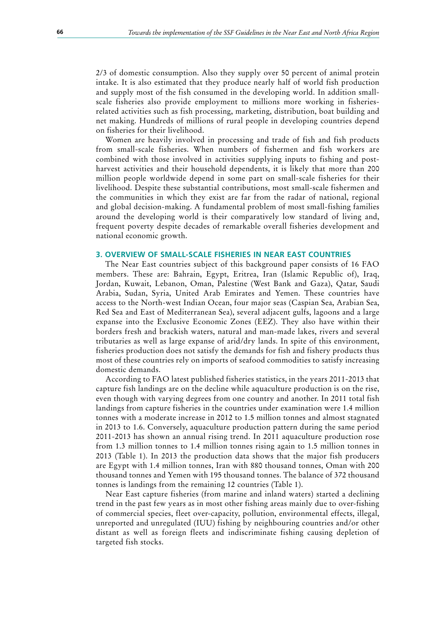2/3 of domestic consumption. Also they supply over 50 percent of animal protein intake. It is also estimated that they produce nearly half of world fish production and supply most of the fish consumed in the developing world. In addition smallscale fisheries also provide employment to millions more working in fisheriesrelated activities such as fish processing, marketing, distribution, boat building and net making. Hundreds of millions of rural people in developing countries depend on fisheries for their livelihood.

Women are heavily involved in processing and trade of fish and fish products from small-scale fisheries. When numbers of fishermen and fish workers are combined with those involved in activities supplying inputs to fishing and postharvest activities and their household dependents, it is likely that more than 200 million people worldwide depend in some part on small-scale fisheries for their livelihood. Despite these substantial contributions, most small-scale fishermen and the communities in which they exist are far from the radar of national, regional and global decision-making. A fundamental problem of most small-fishing families around the developing world is their comparatively low standard of living and, frequent poverty despite decades of remarkable overall fisheries development and national economic growth.

#### **3. OVERVIEW OF SMALL-SCALE FISHERIES IN NEAR EAST COUNTRIES**

The Near East countries subject of this background paper consists of 16 FAO members. These are: Bahrain, Egypt, Eritrea, Iran (Islamic Republic of), Iraq, Jordan, Kuwait, Lebanon, Oman, Palestine (West Bank and Gaza), Qatar, Saudi Arabia, Sudan, Syria, United Arab Emirates and Yemen. These countries have access to the North-west Indian Ocean, four major seas (Caspian Sea, Arabian Sea, Red Sea and East of Mediterranean Sea), several adjacent gulfs, lagoons and a large expanse into the Exclusive Economic Zones (EEZ). They also have within their borders fresh and brackish waters, natural and man-made lakes, rivers and several tributaries as well as large expanse of arid/dry lands. In spite of this environment, fisheries production does not satisfy the demands for fish and fishery products thus most of these countries rely on imports of seafood commodities to satisfy increasing domestic demands.

According to FAO latest published fisheries statistics, in the years 2011-2013 that capture fish landings are on the decline while aquaculture production is on the rise, even though with varying degrees from one country and another. In 2011 total fish landings from capture fisheries in the countries under examination were 1.4 million tonnes with a moderate increase in 2012 to 1.5 million tonnes and almost stagnated in 2013 to 1.6. Conversely, aquaculture production pattern during the same period 2011-2013 has shown an annual rising trend. In 2011 aquaculture production rose from 1.3 million tonnes to 1.4 million tonnes rising again to 1.5 million tonnes in 2013 (Table 1). In 2013 the production data shows that the major fish producers are Egypt with 1.4 million tonnes, Iran with 880 thousand tonnes, Oman with 200 thousand tonnes and Yemen with 195 thousand tonnes. The balance of 372 thousand tonnes is landings from the remaining 12 countries (Table 1).

Near East capture fisheries (from marine and inland waters) started a declining trend in the past few years as in most other fishing areas mainly due to over-fishing of commercial species, fleet over-capacity, pollution, environmental effects, illegal, unreported and unregulated (IUU) fishing by neighbouring countries and/or other distant as well as foreign fleets and indiscriminate fishing causing depletion of targeted fish stocks.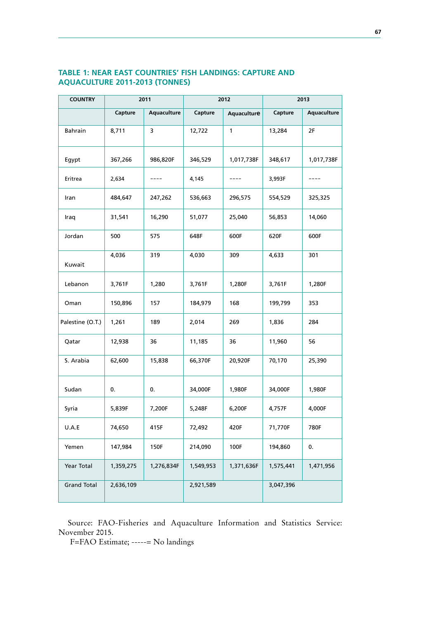| TABLE 1: NEAR EAST COUNTRIES' FISH LANDINGS: CAPTURE AND |  |
|----------------------------------------------------------|--|
| <b>AQUACULTURE 2011-2013 (TONNES)</b>                    |  |

| <b>COUNTRY</b>     | 2011      |             | 2012      |              | 2013      |             |
|--------------------|-----------|-------------|-----------|--------------|-----------|-------------|
|                    | Capture   | Aquaculture | Capture   | Aquaculture  | Capture   | Aquaculture |
| <b>Bahrain</b>     | 8,711     | 3           | 12,722    | $\mathbf{1}$ | 13,284    | 2F          |
| Egypt              | 367,266   | 986,820F    | 346,529   | 1,017,738F   | 348,617   | 1,017,738F  |
| Eritrea            | 2,634     |             | 4,145     |              | 3,993F    |             |
| Iran               | 484,647   | 247,262     | 536,663   | 296,575      | 554,529   | 325,325     |
| Iraq               | 31,541    | 16,290      | 51,077    | 25,040       | 56,853    | 14,060      |
| Jordan             | 500       | 575         | 648F      | 600F         | 620F      | 600F        |
| Kuwait             | 4,036     | 319         | 4,030     | 309          | 4,633     | 301         |
| Lebanon            | 3,761F    | 1,280       | 3,761F    | 1,280F       | 3,761F    | 1,280F      |
| Oman               | 150,896   | 157         | 184,979   | 168          | 199,799   | 353         |
| Palestine (O.T.)   | 1,261     | 189         | 2,014     | 269          | 1,836     | 284         |
| Qatar              | 12,938    | 36          | 11,185    | 36           | 11,960    | 56          |
| S. Arabia          | 62,600    | 15,838      | 66,370F   | 20,920F      | 70,170    | 25,390      |
| Sudan              | 0.        | 0.          | 34,000F   | 1,980F       | 34,000F   | 1,980F      |
| Syria              | 5,839F    | 7,200F      | 5,248F    | 6,200F       | 4,757F    | 4,000F      |
| U.A.E              | 74,650    | 415F        | 72,492    | 420F         | 71,770F   | 780F        |
| Yemen              | 147,984   | 150F        | 214,090   | 100F         | 194,860   | 0.          |
| Year Total         | 1,359,275 | 1,276,834F  | 1,549,953 | 1,371,636F   | 1,575,441 | 1,471,956   |
| <b>Grand Total</b> | 2,636,109 |             | 2,921,589 |              | 3,047,396 |             |

Source: FAO-Fisheries and Aquaculture Information and Statistics Service: November 2015.

F=FAO Estimate; -----= No landings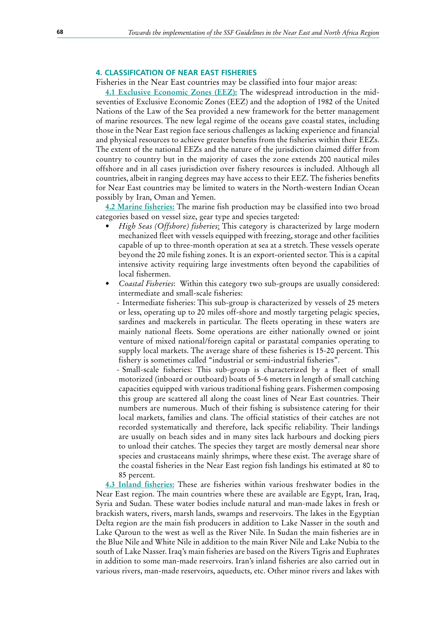#### **4. CLASSIFICATION OF NEAR EAST FISHERIES**

Fisheries in the Near East countries may be classified into four major areas:

**4.1 Exclusive Economic Zones (EEZ):** The widespread introduction in the midseventies of Exclusive Economic Zones (EEZ) and the adoption of 1982 of the United Nations of the Law of the Sea provided a new framework for the better management of marine resources. The new legal regime of the oceans gave coastal states, including those in the Near East region face serious challenges as lacking experience and financial and physical resources to achieve greater benefits from the fisheries within their EEZs. The extent of the national EEZs and the nature of the jurisdiction claimed differ from country to country but in the majority of cases the zone extends 200 nautical miles offshore and in all cases jurisdiction over fishery resources is included. Although all countries, albeit in ranging degrees may have access to their EEZ. The fisheries benefits for Near East countries may be limited to waters in the North-western Indian Ocean possibly by Iran, Oman and Yemen.

**4.2 Marine fisheries:** The marine fish production may be classified into two broad categories based on vessel size, gear type and species targeted:

- *High Seas (Offshore) fisheries*: This category is characterized by large modern mechanized fleet with vessels equipped with freezing, storage and other facilities capable of up to three-month operation at sea at a stretch. These vessels operate beyond the 20 mile fishing zones. It is an export-oriented sector. This is a capital intensive activity requiring large investments often beyond the capabilities of local fishermen.
- *Coastal Fisheries*: Within this category two sub-groups are usually considered: intermediate and small-scale fisheries:
	- Intermediate fisheries: This sub-group is characterized by vessels of 25 meters or less, operating up to 20 miles off-shore and mostly targeting pelagic species, sardines and mackerels in particular. The fleets operating in these waters are mainly national fleets. Some operations are either nationally owned or joint venture of mixed national/foreign capital or parastatal companies operating to supply local markets. The average share of these fisheries is 15-20 percent. This fishery is sometimes called "industrial or semi-industrial fisheries".
	- Small-scale fisheries: This sub-group is characterized by a fleet of small motorized (inboard or outboard) boats of 5-6 meters in length of small catching capacities equipped with various traditional fishing gears. Fishermen composing this group are scattered all along the coast lines of Near East countries. Their numbers are numerous. Much of their fishing is subsistence catering for their local markets, families and clans. The official statistics of their catches are not recorded systematically and therefore, lack specific reliability. Their landings are usually on beach sides and in many sites lack harbours and docking piers to unload their catches. The species they target are mostly demersal near shore species and crustaceans mainly shrimps, where these exist. The average share of the coastal fisheries in the Near East region fish landings his estimated at 80 to 85 percent.

**4.3 Inland fisheries:** These are fisheries within various freshwater bodies in the Near East region. The main countries where these are available are Egypt, Iran, Iraq, Syria and Sudan. These water bodies include natural and man-made lakes in fresh or brackish waters, rivers, marsh lands, swamps and reservoirs. The lakes in the Egyptian Delta region are the main fish producers in addition to Lake Nasser in the south and Lake Qaroun to the west as well as the River Nile. In Sudan the main fisheries are in the Blue Nile and White Nile in addition to the main River Nile and Lake Nubia to the south of Lake Nasser. Iraq's main fisheries are based on the Rivers Tigris and Euphrates in addition to some man-made reservoirs. Iran's inland fisheries are also carried out in various rivers, man-made reservoirs, aqueducts, etc. Other minor rivers and lakes with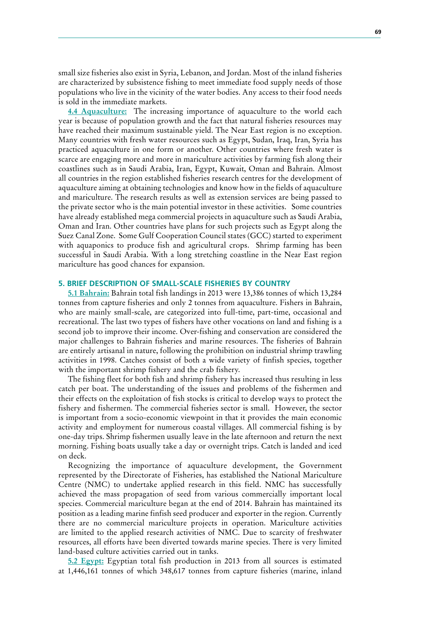small size fisheries also exist in Syria, Lebanon, and Jordan. Most of the inland fisheries are characterized by subsistence fishing to meet immediate food supply needs of those populations who live in the vicinity of the water bodies. Any access to their food needs is sold in the immediate markets.

**4.4 Aquaculture:** The increasing importance of aquaculture to the world each year is because of population growth and the fact that natural fisheries resources may have reached their maximum sustainable yield. The Near East region is no exception. Many countries with fresh water resources such as Egypt, Sudan, Iraq, Iran, Syria has practiced aquaculture in one form or another. Other countries where fresh water is scarce are engaging more and more in mariculture activities by farming fish along their coastlines such as in Saudi Arabia, Iran, Egypt, Kuwait, Oman and Bahrain. Almost all countries in the region established fisheries research centres for the development of aquaculture aiming at obtaining technologies and know how in the fields of aquaculture and mariculture. The research results as well as extension services are being passed to the private sector who is the main potential investor in these activities. Some countries have already established mega commercial projects in aquaculture such as Saudi Arabia, Oman and Iran. Other countries have plans for such projects such as Egypt along the Suez Canal Zone. Some Gulf Cooperation Council states (GCC) started to experiment with aquaponics to produce fish and agricultural crops. Shrimp farming has been successful in Saudi Arabia. With a long stretching coastline in the Near East region mariculture has good chances for expansion.

#### **5. BRIEF DESCRIPTION OF SMALL-SCALE FISHERIES BY COUNTRY**

**5.1 Bahrain:** Bahrain total fish landings in 2013 were 13,386 tonnes of which 13,284 tonnes from capture fisheries and only 2 tonnes from aquaculture. Fishers in Bahrain, who are mainly small-scale, are categorized into full-time, part-time, occasional and recreational. The last two types of fishers have other vocations on land and fishing is a second job to improve their income. Over-fishing and conservation are considered the major challenges to Bahrain fisheries and marine resources. The fisheries of Bahrain are entirely artisanal in nature, following the prohibition on industrial shrimp trawling activities in 1998. Catches consist of both a wide variety of finfish species, together with the important shrimp fishery and the crab fishery.

The fishing fleet for both fish and shrimp fishery has increased thus resulting in less catch per boat. The understanding of the issues and problems of the fishermen and their effects on the exploitation of fish stocks is critical to develop ways to protect the fishery and fishermen. The commercial fisheries sector is small. However, the sector is important from a socio-economic viewpoint in that it provides the main economic activity and employment for numerous coastal villages. All commercial fishing is by one-day trips. Shrimp fishermen usually leave in the late afternoon and return the next morning. Fishing boats usually take a day or overnight trips. Catch is landed and iced on deck.

Recognizing the importance of aquaculture development, the Government represented by the Directorate of Fisheries, has established the National Mariculture Centre (NMC) to undertake applied research in this field. NMC has successfully achieved the mass propagation of seed from various commercially important local species. Commercial mariculture began at the end of 2014. Bahrain has maintained its position as a leading marine finfish seed producer and exporter in the region. Currently there are no commercial mariculture projects in operation. Mariculture activities are limited to the applied research activities of NMC. Due to scarcity of freshwater resources, all efforts have been diverted towards marine species. There is very limited land-based culture activities carried out in tanks.

**5.2 Egypt:** Egyptian total fish production in 2013 from all sources is estimated at 1,446,161 tonnes of which 348,617 tonnes from capture fisheries (marine, inland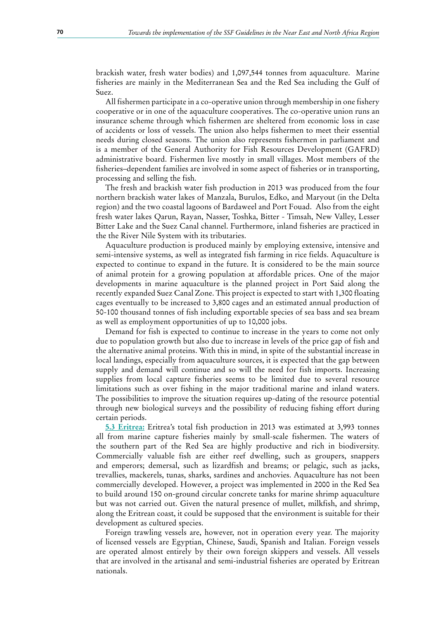brackish water, fresh water bodies) and 1,097,544 tonnes from aquaculture. Marine fisheries are mainly in the Mediterranean Sea and the Red Sea including the Gulf of Suez.

All fishermen participate in a co-operative union through membership in one fishery cooperative or in one of the aquaculture cooperatives. The co-operative union runs an insurance scheme through which fishermen are sheltered from economic loss in case of accidents or loss of vessels. The union also helps fishermen to meet their essential needs during closed seasons. The union also represents fishermen in parliament and is a member of the General Authority for Fish Resources Development (GAFRD) administrative board. Fishermen live mostly in small villages. Most members of the fisheries–dependent families are involved in some aspect of fisheries or in transporting, processing and selling the fish.

The fresh and brackish water fish production in 2013 was produced from the four northern brackish water lakes of Manzala, Burulos, Edko, and Maryout (in the Delta region) and the two coastal lagoons of Bardaweel and Port Fouad. Also from the eight fresh water lakes Qarun, Rayan, Nasser, Toshka, Bitter - Timsah, New Valley, Lesser Bitter Lake and the Suez Canal channel. Furthermore, inland fisheries are practiced in the the River Nile System with its tributaries.

Aquaculture production is produced mainly by employing extensive, intensive and semi-intensive systems, as well as integrated fish farming in rice fields. Aquaculture is expected to continue to expand in the future. It is considered to be the main source of animal protein for a growing population at affordable prices. One of the major developments in marine aquaculture is the planned project in Port Said along the recently expanded Suez Canal Zone. This project is expected to start with 1,300 floating cages eventually to be increased to 3,800 cages and an estimated annual production of 50-100 thousand tonnes of fish including exportable species of sea bass and sea bream as well as employment opportunities of up to 10,000 jobs.

Demand for fish is expected to continue to increase in the years to come not only due to population growth but also due to increase in levels of the price gap of fish and the alternative animal proteins. With this in mind, in spite of the substantial increase in local landings, especially from aquaculture sources, it is expected that the gap between supply and demand will continue and so will the need for fish imports. Increasing supplies from local capture fisheries seems to be limited due to several resource limitations such as over fishing in the major traditional marine and inland waters. The possibilities to improve the situation requires up-dating of the resource potential through new biological surveys and the possibility of reducing fishing effort during certain periods.

**5.3 Eritrea:** Eritrea's total fish production in 2013 was estimated at 3,993 tonnes all from marine capture fisheries mainly by small-scale fishermen. The waters of the southern part of the Red Sea are highly productive and rich in biodiversity. Commercially valuable fish are either reef dwelling, such as groupers, snappers and emperors; demersal, such as lizardfish and breams; or pelagic, such as jacks, trevallies, mackerels, tunas, sharks, sardines and anchovies. Aquaculture has not been commercially developed. However, a project was implemented in 2000 in the Red Sea to build around 150 on-ground circular concrete tanks for marine shrimp aquaculture but was not carried out. Given the natural presence of mullet, milkfish, and shrimp, along the Eritrean coast, it could be supposed that the environment is suitable for their development as cultured species.

Foreign trawling vessels are, however, not in operation every year. The majority of licensed vessels are Egyptian, Chinese, Saudi, Spanish and Italian. Foreign vessels are operated almost entirely by their own foreign skippers and vessels. All vessels that are involved in the artisanal and semi-industrial fisheries are operated by Eritrean nationals.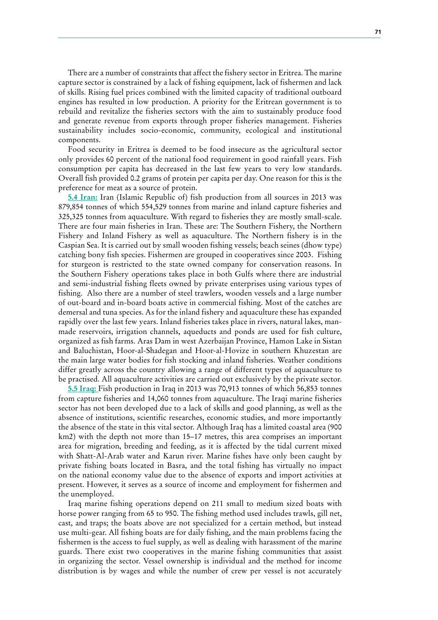There are a number of constraints that affect the fishery sector in Eritrea. The marine capture sector is constrained by a lack of fishing equipment, lack of fishermen and lack of skills. Rising fuel prices combined with the limited capacity of traditional outboard engines has resulted in low production. A priority for the Eritrean government is to rebuild and revitalize the fisheries sectors with the aim to sustainably produce food and generate revenue from exports through proper fisheries management. Fisheries sustainability includes socio-economic, community, ecological and institutional components.

Food security in Eritrea is deemed to be food insecure as the agricultural sector only provides 60 percent of the national food requirement in good rainfall years. Fish consumption per capita has decreased in the last few years to very low standards. Overall fish provided 0.2 grams of protein per capita per day. One reason for this is the preference for meat as a source of protein.

**5.4 Iran:** Iran (Islamic Republic of) fish production from all sources in 2013 was 879,854 tonnes of which 554,529 tonnes from marine and inland capture fisheries and 325,325 tonnes from aquaculture. With regard to fisheries they are mostly small-scale. There are four main fisheries in Iran. These are: The Southern Fishery, the Northern Fishery and Inland Fishery as well as aquaculture. The Northern fishery is in the Caspian Sea. It is carried out by small wooden fishing vessels; beach seines (dhow type) catching bony fish species. Fishermen are grouped in cooperatives since 2003. Fishing for sturgeon is restricted to the state owned company for conservation reasons. In the Southern Fishery operations takes place in both Gulfs where there are industrial and semi-industrial fishing fleets owned by private enterprises using various types of fishing. Also there are a number of steel trawlers, wooden vessels and a large number of out-board and in-board boats active in commercial fishing. Most of the catches are demersal and tuna species. As for the inland fishery and aquaculture these has expanded rapidly over the last few years. Inland fisheries takes place in rivers, natural lakes, manmade reservoirs, irrigation channels, aqueducts and ponds are used for fish culture, organized as fish farms. Aras Dam in west Azerbaijan Province, Hamon Lake in Sistan and Baluchistan, Hoor-al-Shadegan and Hoor-al-Hovize in southern Khuzestan are the main large water bodies for fish stocking and inland fisheries. Weather conditions differ greatly across the country allowing a range of different types of aquaculture to be practised. All aquaculture activities are carried out exclusively by the private sector.

**5.5 Iraq:** Fish production in Iraq in 2013 was 70,913 tonnes of which 56,853 tonnes from capture fisheries and 14,060 tonnes from aquaculture. The Iraqi marine fisheries sector has not been developed due to a lack of skills and good planning, as well as the absence of institutions, scientific researches, economic studies, and more importantly the absence of the state in this vital sector. Although Iraq has a limited coastal area (900 km2) with the depth not more than 15–17 metres, this area comprises an important area for migration, breeding and feeding, as it is affected by the tidal current mixed with Shatt-Al-Arab water and Karun river. Marine fishes have only been caught by private fishing boats located in Basra, and the total fishing has virtually no impact on the national economy value due to the absence of exports and import activities at present. However, it serves as a source of income and employment for fishermen and the unemployed.

Iraq marine fishing operations depend on 211 small to medium sized boats with horse power ranging from 65 to 950. The fishing method used includes trawls, gill net, cast, and traps; the boats above are not specialized for a certain method, but instead use multi-gear. All fishing boats are for daily fishing, and the main problems facing the fishermen is the access to fuel supply, as well as dealing with harassment of the marine guards. There exist two cooperatives in the marine fishing communities that assist in organizing the sector. Vessel ownership is individual and the method for income distribution is by wages and while the number of crew per vessel is not accurately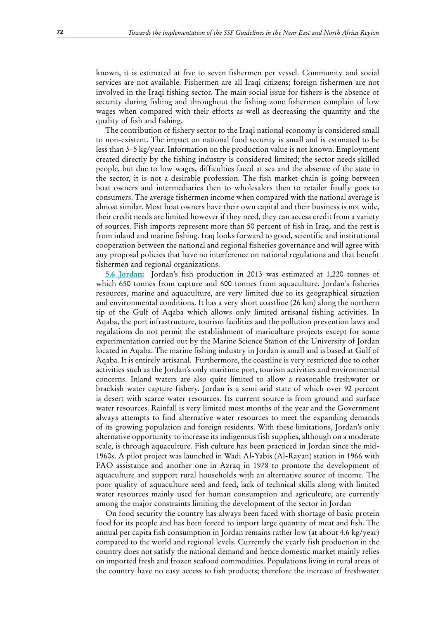known, it is estimated at five to seven fishermen per vessel. Community and social services are not available. Fishermen are all Iraqi citizens; foreign fishermen are not involved in the Iraqi fishing sector. The main social issue for fishers is the absence of security during fishing and throughout the fishing zone fishermen complain of low wages when compared with their efforts as well as decreasing the quantity and the quality of fish and fishing.

The contribution of fishery sector to the Iraqi national economy is considered small to non-existent. The impact on national food security is small and is estimated to be less than 3–5 kg/year. Information on the production value is not known. Employment created directly by the fishing industry is considered limited; the sector needs skilled people, but due to low wages, difficulties faced at sea and the absence of the state in the sector, it is not a desirable profession. The fish market chain is going between boat owners and intermediaries then to wholesalers then to retailer finally goes to consumers. The average fishermen income when compared with the national average is almost similar. Most boat owners have their own capital and their business is not wide, their credit needs are limited however if they need, they can access credit from a variety of sources. Fish imports represent more than 50 percent of fish in Iraq, and the rest is from inland and marine fishing. Iraq looks forward to good, scientific and institutional cooperation between the national and regional fisheries governance and will agree with any proposal policies that have no interference on national regulations and that benefit fishermen and regional organizations.

**5.6 Jordan:** Jordan's fish production in 2013 was estimated at 1,220 tonnes of which 650 tonnes from capture and 600 tonnes from aquaculture. Jordan's fisheries resources, marine and aquaculture, are very limited due to its geographical situation and environmental conditions. It has a very short coastline (26 km) along the northern tip of the Gulf of Aqaba which allows only limited artisanal fishing activities. In Aqaba, the port infrastructure, tourism facilities and the pollution prevention laws and regulations do not permit the establishment of mariculture projects except for some experimentation carried out by the Marine Science Station of the University of Jordan located in Aqaba. The marine fishing industry in Jordan is small and is based at Gulf of Aqaba. It is entirely artisanal. Furthermore, the coastline is very restricted due to other activities such as the Jordan's only maritime port, tourism activities and environmental concerns. Inland waters are also quite limited to allow a reasonable freshwater or brackish water capture fishery. Jordan is a semi-arid state of which over 92 percent is desert with scarce water resources. Its current source is from ground and surface water resources. Rainfall is very limited most months of the year and the Government always attempts to find alternative water resources to meet the expanding demands of its growing population and foreign residents. With these limitations, Jordan's only alternative opportunity to increase its indigenous fish supplies, although on a moderate scale, is through aquaculture. Fish culture has been practiced in Jordan since the mid-1960s. A pilot project was launched in Wadi Al-Yabis (Al-Rayan) station in 1966 with FAO assistance and another one in Azraq in 1978 to promote the development of aquaculture and support rural households with an alternative source of income. The poor quality of aquaculture seed and feed, lack of technical skills along with limited water resources mainly used for human consumption and agriculture, are currently among the major constraints limiting the development of the sector in Jordan

On food security the country has always been faced with shortage of basic protein food for its people and has been forced to import large quantity of meat and fish. The annual per capita fish consumption in Jordan remains rather low (at about 4.6 kg/year) compared to the world and regional levels. Currently the yearly fish production in the country does not satisfy the national demand and hence domestic market mainly relies on imported fresh and frozen seafood commodities. Populations living in rural areas of the country have no easy access to fish products; therefore the increase of freshwater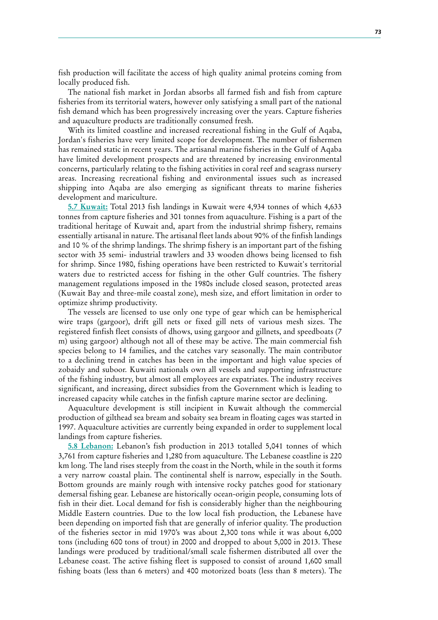fish production will facilitate the access of high quality animal proteins coming from locally produced fish.

The national fish market in Jordan absorbs all farmed fish and fish from capture fisheries from its territorial waters, however only satisfying a small part of the national fish demand which has been progressively increasing over the years. Capture fisheries and aquaculture products are traditionally consumed fresh.

With its limited coastline and increased recreational fishing in the Gulf of Aqaba, Jordan's fisheries have very limited scope for development. The number of fishermen has remained static in recent years. The artisanal marine fisheries in the Gulf of Aqaba have limited development prospects and are threatened by increasing environmental concerns, particularly relating to the fishing activities in coral reef and seagrass nursery areas. Increasing recreational fishing and environmental issues such as increased shipping into Aqaba are also emerging as significant threats to marine fisheries development and mariculture.

**5.7 Kuwait:** Total 2013 fish landings in Kuwait were 4,934 tonnes of which 4,633 tonnes from capture fisheries and 301 tonnes from aquaculture. Fishing is a part of the traditional heritage of Kuwait and, apart from the industrial shrimp fishery, remains essentially artisanal in nature. The artisanal fleet lands about 90% of the finfish landings and 10 % of the shrimp landings. The shrimp fishery is an important part of the fishing sector with 35 semi- industrial trawlers and 33 wooden dhows being licensed to fish for shrimp. Since 1980, fishing operations have been restricted to Kuwait's territorial waters due to restricted access for fishing in the other Gulf countries. The fishery management regulations imposed in the 1980s include closed season, protected areas (Kuwait Bay and three-mile coastal zone), mesh size, and effort limitation in order to optimize shrimp productivity.

The vessels are licensed to use only one type of gear which can be hemispherical wire traps (gargoor), drift gill nets or fixed gill nets of various mesh sizes. The registered finfish fleet consists of dhows, using gargoor and gillnets, and speedboats (7 m) using gargoor) although not all of these may be active. The main commercial fish species belong to 14 families, and the catches vary seasonally. The main contributor to a declining trend in catches has been in the important and high value species of zobaidy and suboor. Kuwaiti nationals own all vessels and supporting infrastructure of the fishing industry, but almost all employees are expatriates. The industry receives significant, and increasing, direct subsidies from the Government which is leading to increased capacity while catches in the finfish capture marine sector are declining.

Aquaculture development is still incipient in Kuwait although the commercial production of gilthead sea bream and sobaity sea bream in floating cages was started in 1997. Aquaculture activities are currently being expanded in order to supplement local landings from capture fisheries.

**5.8 Lebanon:** Lebanon's fish production in 2013 totalled 5,041 tonnes of which 3,761 from capture fisheries and 1,280 from aquaculture. The Lebanese coastline is 220 km long. The land rises steeply from the coast in the North, while in the south it forms a very narrow coastal plain. The continental shelf is narrow, especially in the South. Bottom grounds are mainly rough with intensive rocky patches good for stationary demersal fishing gear. Lebanese are historically ocean-origin people, consuming lots of fish in their diet. Local demand for fish is considerably higher than the neighbouring Middle Eastern countries. Due to the low local fish production, the Lebanese have been depending on imported fish that are generally of inferior quality. The production of the fisheries sector in mid 1970's was about 2,300 tons while it was about 6,000 tons (including 600 tons of trout) in 2000 and dropped to about 5,000 in 2013. These landings were produced by traditional/small scale fishermen distributed all over the Lebanese coast. The active fishing fleet is supposed to consist of around 1,600 small fishing boats (less than 6 meters) and 400 motorized boats (less than 8 meters). The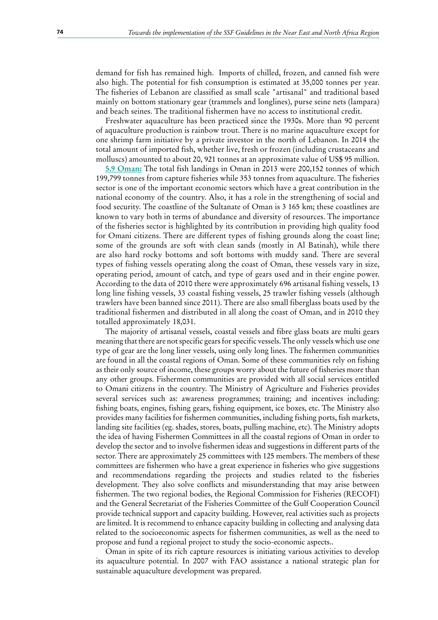demand for fish has remained high. Imports of chilled, frozen, and canned fish were also high. The potential for fish consumption is estimated at 35,000 tonnes per year. The fisheries of Lebanon are classified as small scale "artisanal" and traditional based mainly on bottom stationary gear (trammels and longlines), purse seine nets (lampara) and beach seines. The traditional fishermen have no access to institutional credit.

Freshwater aquaculture has been practiced since the 1930s. More than 90 percent of aquaculture production is rainbow trout. There is no marine aquaculture except for one shrimp farm initiative by a private investor in the north of Lebanon. In 2014 the total amount of imported fish, whether live, fresh or frozen (including crustaceans and molluscs) amounted to about 20, 921 tonnes at an approximate value of US\$ 95 million.

**5.9 Oman:** The total fish landings in Oman in 2013 were 200,152 tonnes of which 199,799 tonnes from capture fisheries while 353 tonnes from aquaculture. The fisheries sector is one of the important economic sectors which have a great contribution in the national economy of the country. Also, it has a role in the strengthening of social and food security. The coastline of the Sultanate of Oman is 3 165 km; these coastlines are known to vary both in terms of abundance and diversity of resources. The importance of the fisheries sector is highlighted by its contribution in providing high quality food for Omani citizens. There are different types of fishing grounds along the coast line; some of the grounds are soft with clean sands (mostly in Al Batinah), while there are also hard rocky bottoms and soft bottoms with muddy sand. There are several types of fishing vessels operating along the coast of Oman, these vessels vary in size, operating period, amount of catch, and type of gears used and in their engine power. According to the data of 2010 there were approximately 696 artisanal fishing vessels, 13 long line fishing vessels, 33 coastal fishing vessels, 25 trawler fishing vessels (although trawlers have been banned since 2011). There are also small fiberglass boats used by the traditional fishermen and distributed in all along the coast of Oman, and in 2010 they totalled approximately 18,031.

The majority of artisanal vessels, coastal vessels and fibre glass boats are multi gears meaning that there are not specific gears for specific vessels. The only vessels which use one type of gear are the long liner vessels, using only long lines. The fishermen communities are found in all the coastal regions of Oman. Some of these communities rely on fishing as their only source of income, these groups worry about the future of fisheries more than any other groups. Fishermen communities are provided with all social services entitled to Omani citizens in the country. The Ministry of Agriculture and Fisheries provides several services such as: awareness programmes; training; and incentives including: fishing boats, engines, fishing gears, fishing equipment, ice boxes, etc. The Ministry also provides many facilities for fishermen communities, including fishing ports, fish markets, landing site facilities (eg. shades, stores, boats, pulling machine, etc). The Ministry adopts the idea of having Fishermen Committees in all the coastal regions of Oman in order to develop the sector and to involve fishermen ideas and suggestions in different parts of the sector. There are approximately 25 committees with 125 members. The members of these committees are fishermen who have a great experience in fisheries who give suggestions and recommendations regarding the projects and studies related to the fisheries development. They also solve conflicts and misunderstanding that may arise between fishermen. The two regional bodies, the Regional Commission for Fisheries (RECOFI) and the General Secretariat of the Fisheries Committee of the Gulf Cooperation Council provide technical support and capacity building. However, real activities such as projects are limited. It is recommend to enhance capacity building in collecting and analysing data related to the socioeconomic aspects for fishermen communities, as well as the need to propose and fund a regional project to study the socio-economic aspects..

Oman in spite of its rich capture resources is initiating various activities to develop its aquaculture potential. In 2007 with FAO assistance a national strategic plan for sustainable aquaculture development was prepared.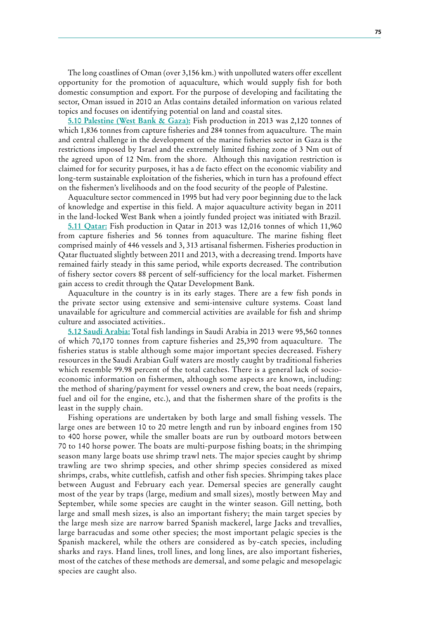The long coastlines of Oman (over 3,156 km.) with unpolluted waters offer excellent opportunity for the promotion of aquaculture, which would supply fish for both domestic consumption and export. For the purpose of developing and facilitating the sector, Oman issued in 2010 an Atlas contains detailed information on various related topics and focuses on identifying potential on land and coastal sites.

**5.10 Palestine (West Bank & Gaza):** Fish production in 2013 was 2,120 tonnes of which 1,836 tonnes from capture fisheries and 284 tonnes from aquaculture. The main and central challenge in the development of the marine fisheries sector in Gaza is the restrictions imposed by Israel and the extremely limited fishing zone of 3 Nm out of the agreed upon of 12 Nm. from the shore. Although this navigation restriction is claimed for for security purposes, it has a de facto effect on the economic viability and long-term sustainable exploitation of the fisheries, which in turn has a profound effect on the fishermen's livelihoods and on the food security of the people of Palestine.

Aquaculture sector commenced in 1995 but had very poor beginning due to the lack of knowledge and expertise in this field. A major aquaculture activity began in 2011 in the land-locked West Bank when a jointly funded project was initiated with Brazil.

**5.11 Qatar:** Fish production in Qatar in 2013 was 12,016 tonnes of which 11,960 from capture fisheries and 56 tonnes from aquaculture. The marine fishing fleet comprised mainly of 446 vessels and 3, 313 artisanal fishermen. Fisheries production in Qatar fluctuated slightly between 2011 and 2013, with a decreasing trend. Imports have remained fairly steady in this same period, while exports decreased. The contribution of fishery sector covers 88 percent of self-sufficiency for the local market. Fishermen gain access to credit through the Qatar Development Bank.

Aquaculture in the country is in its early stages. There are a few fish ponds in the private sector using extensive and semi-intensive culture systems. Coast land unavailable for agriculture and commercial activities are available for fish and shrimp culture and associated activities..

**5.12 Saudi Arabia:** Total fish landings in Saudi Arabia in 2013 were 95,560 tonnes of which 70,170 tonnes from capture fisheries and 25,390 from aquaculture. The fisheries status is stable although some major important species decreased. Fishery resources in the Saudi Arabian Gulf waters are mostly caught by traditional fisheries which resemble 99.98 percent of the total catches. There is a general lack of socioeconomic information on fishermen, although some aspects are known, including: the method of sharing/payment for vessel owners and crew, the boat needs (repairs, fuel and oil for the engine, etc.), and that the fishermen share of the profits is the least in the supply chain.

Fishing operations are undertaken by both large and small fishing vessels. The large ones are between 10 to 20 metre length and run by inboard engines from 150 to 400 horse power, while the smaller boats are run by outboard motors between 70 to 140 horse power. The boats are multi-purpose fishing boats; in the shrimping season many large boats use shrimp trawl nets. The major species caught by shrimp trawling are two shrimp species, and other shrimp species considered as mixed shrimps, crabs, white cuttlefish, catfish and other fish species. Shrimping takes place between August and February each year. Demersal species are generally caught most of the year by traps (large, medium and small sizes), mostly between May and September, while some species are caught in the winter season. Gill netting, both large and small mesh sizes, is also an important fishery; the main target species by the large mesh size are narrow barred Spanish mackerel, large Jacks and trevallies, large barracudas and some other species; the most important pelagic species is the Spanish mackerel, while the others are considered as by-catch species, including sharks and rays. Hand lines, troll lines, and long lines, are also important fisheries, most of the catches of these methods are demersal, and some pelagic and mesopelagic species are caught also.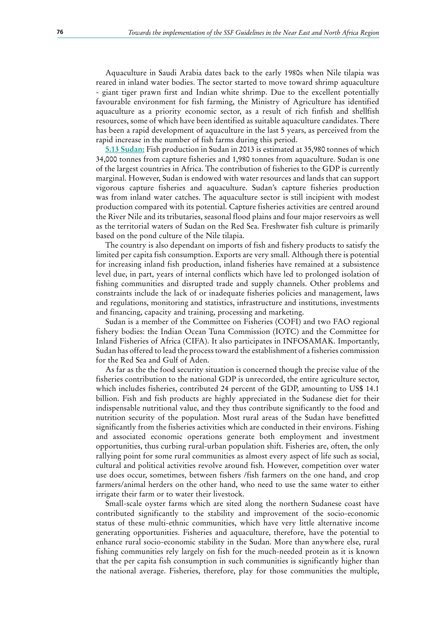Aquaculture in Saudi Arabia dates back to the early 1980s when Nile tilapia was reared in inland water bodies. The sector started to move toward shrimp aquaculture - giant tiger prawn first and Indian white shrimp. Due to the excellent potentially favourable environment for fish farming, the Ministry of Agriculture has identified aquaculture as a priority economic sector, as a result of rich finfish and shellfish resources, some of which have been identified as suitable aquaculture candidates. There has been a rapid development of aquaculture in the last 5 years, as perceived from the rapid increase in the number of fish farms during this period.

**5.13 Sudan:** Fish production in Sudan in 2013 is estimated at 35,980 tonnes of which 34,000 tonnes from capture fisheries and 1,980 tonnes from aquaculture. Sudan is one of the largest countries in Africa. The contribution of fisheries to the GDP is currently marginal. However, Sudan is endowed with water resources and lands that can support vigorous capture fisheries and aquaculture. Sudan's capture fisheries production was from inland water catches. The aquaculture sector is still incipient with modest production compared with its potential. Capture fisheries activities are centred around the River Nile and its tributaries, seasonal flood plains and four major reservoirs as well as the territorial waters of Sudan on the Red Sea. Freshwater fish culture is primarily based on the pond culture of the Nile tilapia.

The country is also dependant on imports of fish and fishery products to satisfy the limited per capita fish consumption. Exports are very small. Although there is potential for increasing inland fish production, inland fisheries have remained at a subsistence level due, in part, years of internal conflicts which have led to prolonged isolation of fishing communities and disrupted trade and supply channels. Other problems and constraints include the lack of or inadequate fisheries policies and management, laws and regulations, monitoring and statistics, infrastructure and institutions, investments and financing, capacity and training, processing and marketing.

Sudan is a member of the Committee on Fisheries (COFI) and two FAO regional fishery bodies: the Indian Ocean Tuna Commission (IOTC) and the Committee for Inland Fisheries of Africa (CIFA). It also participates in INFOSAMAK. Importantly, Sudan has offered to lead the process toward the establishment of a fisheries commission for the Red Sea and Gulf of Aden.

As far as the the food security situation is concerned though the precise value of the fisheries contribution to the national GDP is unrecorded, the entire agriculture sector, which includes fisheries, contributed 24 percent of the GDP, amounting to US\$ 14.1 billion. Fish and fish products are highly appreciated in the Sudanese diet for their indispensable nutritional value, and they thus contribute significantly to the food and nutrition security of the population. Most rural areas of the Sudan have benefitted significantly from the fisheries activities which are conducted in their environs. Fishing and associated economic operations generate both employment and investment opportunities, thus curbing rural-urban population shift. Fisheries are, often, the only rallying point for some rural communities as almost every aspect of life such as social, cultural and political activities revolve around fish. However, competition over water use does occur, sometimes, between fishers /fish farmers on the one hand, and crop farmers/animal herders on the other hand, who need to use the same water to either irrigate their farm or to water their livestock.

Small-scale oyster farms which are sited along the northern Sudanese coast have contributed significantly to the stability and improvement of the socio-economic status of these multi-ethnic communities, which have very little alternative income generating opportunities. Fisheries and aquaculture, therefore, have the potential to enhance rural socio-economic stability in the Sudan. More than anywhere else, rural fishing communities rely largely on fish for the much-needed protein as it is known that the per capita fish consumption in such communities is significantly higher than the national average. Fisheries, therefore, play for those communities the multiple,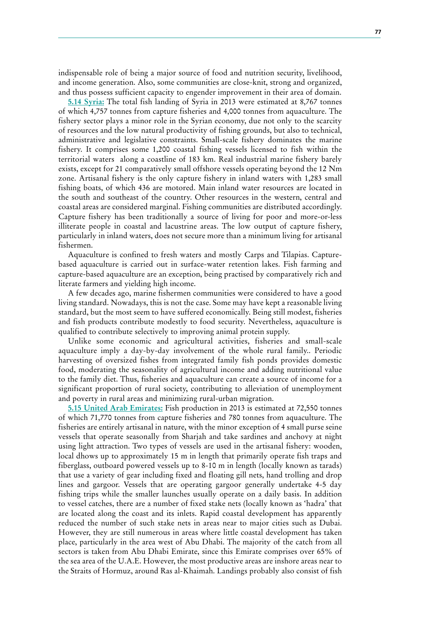indispensable role of being a major source of food and nutrition security, livelihood, and income generation. Also, some communities are close-knit, strong and organized, and thus possess sufficient capacity to engender improvement in their area of domain.

**5.14 Syria:** The total fish landing of Syria in 2013 were estimated at 8,767 tonnes of which 4,757 tonnes from capture fisheries and 4,000 tonnes from aquaculture. The fishery sector plays a minor role in the Syrian economy, due not only to the scarcity of resources and the low natural productivity of fishing grounds, but also to technical, administrative and legislative constraints. Small-scale fishery dominates the marine fishery. It comprises some 1,200 coastal fishing vessels licensed to fish within the territorial waters along a coastline of 183 km. Real industrial marine fishery barely exists, except for 21 comparatively small offshore vessels operating beyond the 12 Nm zone. Artisanal fishery is the only capture fishery in inland waters with 1,283 small fishing boats, of which 436 are motored. Main inland water resources are located in the south and southeast of the country. Other resources in the western, central and coastal areas are considered marginal. Fishing communities are distributed accordingly. Capture fishery has been traditionally a source of living for poor and more-or-less illiterate people in coastal and lacustrine areas. The low output of capture fishery, particularly in inland waters, does not secure more than a minimum living for artisanal fishermen.

Aquaculture is confined to fresh waters and mostly Carps and Tilapias. Capturebased aquaculture is carried out in surface-water retention lakes. Fish farming and capture-based aquaculture are an exception, being practised by comparatively rich and literate farmers and yielding high income.

A few decades ago, marine fishermen communities were considered to have a good living standard. Nowadays, this is not the case. Some may have kept a reasonable living standard, but the most seem to have suffered economically. Being still modest, fisheries and fish products contribute modestly to food security. Nevertheless, aquaculture is qualified to contribute selectively to improving animal protein supply.

Unlike some economic and agricultural activities, fisheries and small-scale aquaculture imply a day-by-day involvement of the whole rural family.. Periodic harvesting of oversized fishes from integrated family fish ponds provides domestic food, moderating the seasonality of agricultural income and adding nutritional value to the family diet. Thus, fisheries and aquaculture can create a source of income for a significant proportion of rural society, contributing to alleviation of unemployment and poverty in rural areas and minimizing rural-urban migration.

**5.15 United Arab Emirates:** Fish production in 2013 is estimated at 72,550 tonnes of which 71,770 tonnes from capture fisheries and 780 tonnes from aquaculture. The fisheries are entirely artisanal in nature, with the minor exception of 4 small purse seine vessels that operate seasonally from Sharjah and take sardines and anchovy at night using light attraction. Two types of vessels are used in the artisanal fishery: wooden, local dhows up to approximately 15 m in length that primarily operate fish traps and fiberglass, outboard powered vessels up to 8-10 m in length (locally known as tarads) that use a variety of gear including fixed and floating gill nets, hand trolling and drop lines and gargoor. Vessels that are operating gargoor generally undertake 4-5 day fishing trips while the smaller launches usually operate on a daily basis. In addition to vessel catches, there are a number of fixed stake nets (locally known as 'hadra' that are located along the coast and its inlets. Rapid coastal development has apparently reduced the number of such stake nets in areas near to major cities such as Dubai. However, they are still numerous in areas where little coastal development has taken place, particularly in the area west of Abu Dhabi. The majority of the catch from all sectors is taken from Abu Dhabi Emirate, since this Emirate comprises over 65% of the sea area of the U.A.E. However, the most productive areas are inshore areas near to the Straits of Hormuz, around Ras al-Khaimah. Landings probably also consist of fish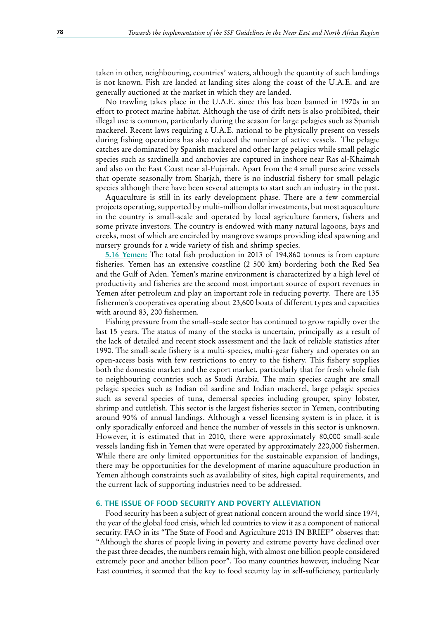taken in other, neighbouring, countries' waters, although the quantity of such landings is not known. Fish are landed at landing sites along the coast of the U.A.E. and are generally auctioned at the market in which they are landed.

No trawling takes place in the U.A.E. since this has been banned in 1970s in an effort to protect marine habitat. Although the use of drift nets is also prohibited, their illegal use is common, particularly during the season for large pelagics such as Spanish mackerel. Recent laws requiring a U.A.E. national to be physically present on vessels during fishing operations has also reduced the number of active vessels. The pelagic catches are dominated by Spanish mackerel and other large pelagics while small pelagic species such as sardinella and anchovies are captured in inshore near Ras al-Khaimah and also on the East Coast near al-Fujairah. Apart from the 4 small purse seine vessels that operate seasonally from Sharjah, there is no industrial fishery for small pelagic species although there have been several attempts to start such an industry in the past.

Aquaculture is still in its early development phase. There are a few commercial projects operating, supported by multi-million dollar investments, but most aquaculture in the country is small-scale and operated by local agriculture farmers, fishers and some private investors. The country is endowed with many natural lagoons, bays and creeks, most of which are encircled by mangrove swamps providing ideal spawning and nursery grounds for a wide variety of fish and shrimp species.

**5.16 Yemen:** The total fish production in 2013 of 194,860 tonnes is from capture fisheries. Yemen has an extensive coastline (2 500 km) bordering both the Red Sea and the Gulf of Aden. Yemen's marine environment is characterized by a high level of productivity and fisheries are the second most important source of export revenues in Yemen after petroleum and play an important role in reducing poverty. There are 135 fishermen's cooperatives operating about 23,600 boats of different types and capacities with around 83, 200 fishermen.

Fishing pressure from the small–scale sector has continued to grow rapidly over the last 15 years. The status of many of the stocks is uncertain, principally as a result of the lack of detailed and recent stock assessment and the lack of reliable statistics after 1990. The small-scale fishery is a multi-species, multi-gear fishery and operates on an open-access basis with few restrictions to entry to the fishery. This fishery supplies both the domestic market and the export market, particularly that for fresh whole fish to neighbouring countries such as Saudi Arabia. The main species caught are small pelagic species such as Indian oil sardine and Indian mackerel, large pelagic species such as several species of tuna, demersal species including grouper, spiny lobster, shrimp and cuttlefish. This sector is the largest fisheries sector in Yemen, contributing around 90% of annual landings. Although a vessel licensing system is in place, it is only sporadically enforced and hence the number of vessels in this sector is unknown. However, it is estimated that in 2010, there were approximately 80,000 small-scale vessels landing fish in Yemen that were operated by approximately 220,000 fishermen. While there are only limited opportunities for the sustainable expansion of landings, there may be opportunities for the development of marine aquaculture production in Yemen although constraints such as availability of sites, high capital requirements, and the current lack of supporting industries need to be addressed.

#### **6. THE ISSUE OF FOOD SECURITY AND POVERTY ALLEVIATION**

Food security has been a subject of great national concern around the world since 1974, the year of the global food crisis, which led countries to view it as a component of national security. FAO in its "The State of Food and Agriculture 2015 IN BRIEF" observes that: "Although the shares of people living in poverty and extreme poverty have declined over the past three decades, the numbers remain high, with almost one billion people considered extremely poor and another billion poor". Too many countries however, including Near East countries, it seemed that the key to food security lay in self-sufficiency, particularly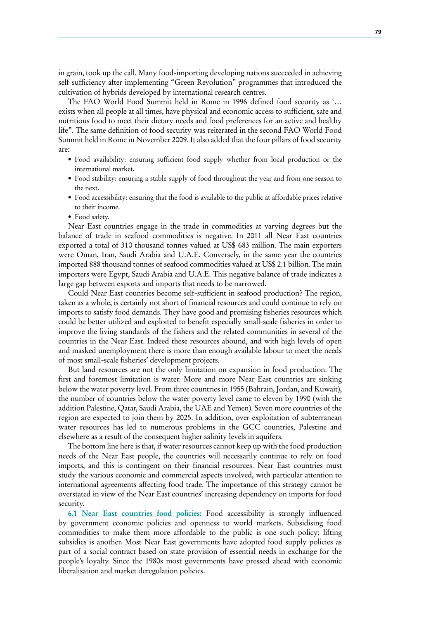in grain, took up the call. Many food-importing developing nations succeeded in achieving self-sufficiency after implementing "Green Revolution" programmes that introduced the cultivation of hybrids developed by international research centres.

The FAO World Food Summit held in Rome in 1996 defined food security as '… exists when all people at all times, have physical and economic access to sufficient, safe and nutritious food to meet their dietary needs and food preferences for an active and healthy life". The same definition of food security was reiterated in the second FAO World Food Summit held in Rome in November 2009. It also added that the four pillars of food security are:

- • Food availability: ensuring sufficient food supply whether from local production or the international market.
- Food stability: ensuring a stable supply of food throughout the year and from one season to the next.
- Food accessibility: ensuring that the food is available to the public at affordable prices relative to their income.
- Food safety.

Near East countries engage in the trade in commodities at varying degrees but the balance of trade in seafood commodities is negative. In 2011 all Near East countries exported a total of 310 thousand tonnes valued at US\$ 683 million. The main exporters were Oman, Iran, Saudi Arabia and U.A.E. Conversely, in the same year the countries imported 888 thousand tonnes of seafood commodities valued at US\$ 2.1 billion. The main importers were Egypt, Saudi Arabia and U.A.E. This negative balance of trade indicates a large gap between exports and imports that needs to be narrowed.

Could Near East countries become self-sufficient in seafood production? The region, taken as a whole, is certainly not short of financial resources and could continue to rely on imports to satisfy food demands. They have good and promising fisheries resources which could be better utilized and exploited to benefit especially small-scale fisheries in order to improve the living standards of the fishers and the related communities in several of the countries in the Near East. Indeed these resources abound, and with high levels of open and masked unemployment there is more than enough available labour to meet the needs of most small-scale fisheries' development projects.

But land resources are not the only limitation on expansion in food production. The first and foremost limitation is water. More and more Near East countries are sinking below the water poverty level. From three countries in 1955 (Bahrain, Jordan, and Kuwait), the number of countries below the water poverty level came to eleven by 1990 (with the addition Palestine, Qatar, Saudi Arabia, the UAE and Yemen). Seven more countries of the region are expected to join them by 2025. In addition, over-exploitation of subterranean water resources has led to numerous problems in the GCC countries, Palestine and elsewhere as a result of the consequent higher salinity levels in aquifers.

The bottom line here is that, if water resources cannot keep up with the food production needs of the Near East people, the countries will necessarily continue to rely on food imports, and this is contingent on their financial resources. Near East countries must study the various economic and commercial aspects involved, with particular attention to international agreements affecting food trade. The importance of this strategy cannot be overstated in view of the Near East countries' increasing dependency on imports for food security.

**6.1 Near East countries food policies:** Food accessibility is strongly influenced by government economic policies and openness to world markets. Subsidising food commodities to make them more affordable to the public is one such policy; lifting subsidies is another. Most Near East governments have adopted food supply policies as part of a social contract based on state provision of essential needs in exchange for the people's loyalty. Since the 1980s most governments have pressed ahead with economic liberalisation and market deregulation policies.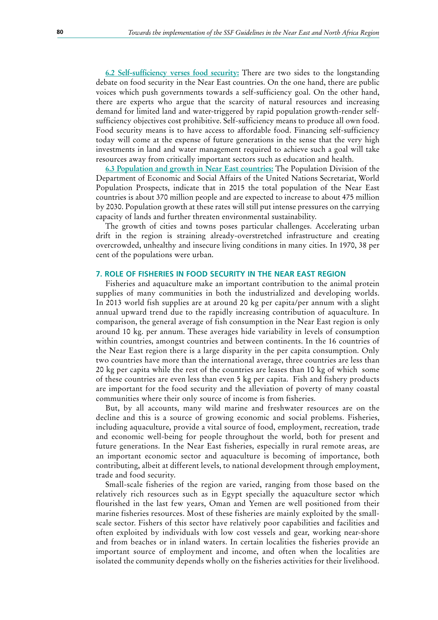**6.2 Self-sufficiency verses food security:** There are two sides to the longstanding debate on food security in the Near East countries. On the one hand, there are public voices which push governments towards a self-sufficiency goal. On the other hand, there are experts who argue that the scarcity of natural resources and increasing demand for limited land and water-triggered by rapid population growth-render selfsufficiency objectives cost prohibitive. Self-sufficiency means to produce all own food. Food security means is to have access to affordable food. Financing self-sufficiency today will come at the expense of future generations in the sense that the very high investments in land and water management required to achieve such a goal will take resources away from critically important sectors such as education and health.

**6.3 Population and growth in Near East countries:** The Population Division of the Department of Economic and Social Affairs of the United Nations Secretariat, World Population Prospects, indicate that in 2015 the total population of the Near East countries is about 370 million people and are expected to increase to about 475 million by 2030. Population growth at these rates will still put intense pressures on the carrying capacity of lands and further threaten environmental sustainability.

The growth of cities and towns poses particular challenges. Accelerating urban drift in the region is straining already-overstretched infrastructure and creating overcrowded, unhealthy and insecure living conditions in many cities. In 1970, 38 per cent of the populations were urban.

#### **7. ROLE OF FISHERIES IN FOOD SECURITY IN THE NEAR EAST REGION**

Fisheries and aquaculture make an important contribution to the animal protein supplies of many communities in both the industrialized and developing worlds. In 2013 world fish supplies are at around 20 kg per capita/per annum with a slight annual upward trend due to the rapidly increasing contribution of aquaculture. In comparison, the general average of fish consumption in the Near East region is only around 10 kg. per annum. These averages hide variability in levels of consumption within countries, amongst countries and between continents. In the 16 countries of the Near East region there is a large disparity in the per capita consumption. Only two countries have more than the international average, three countries are less than 20 kg per capita while the rest of the countries are leases than 10 kg of which some of these countries are even less than even 5 kg per capita. Fish and fishery products are important for the food security and the alleviation of poverty of many coastal communities where their only source of income is from fisheries.

But, by all accounts, many wild marine and freshwater resources are on the decline and this is a source of growing economic and social problems. Fisheries, including aquaculture, provide a vital source of food, employment, recreation, trade and economic well-being for people throughout the world, both for present and future generations. In the Near East fisheries, especially in rural remote areas, are an important economic sector and aquaculture is becoming of importance, both contributing, albeit at different levels, to national development through employment, trade and food security.

Small-scale fisheries of the region are varied, ranging from those based on the relatively rich resources such as in Egypt specially the aquaculture sector which flourished in the last few years, Oman and Yemen are well positioned from their marine fisheries resources. Most of these fisheries are mainly exploited by the smallscale sector. Fishers of this sector have relatively poor capabilities and facilities and often exploited by individuals with low cost vessels and gear, working near-shore and from beaches or in inland waters. In certain localities the fisheries provide an important source of employment and income, and often when the localities are isolated the community depends wholly on the fisheries activities for their livelihood.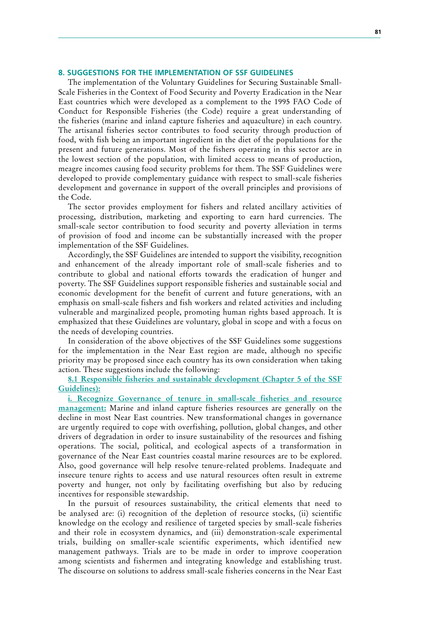#### **8. SUGGESTIONS FOR THE IMPLEMENTATION OF SSF GUIDELINES**

The implementation of the Voluntary Guidelines for Securing Sustainable Small-Scale Fisheries in the Context of Food Security and Poverty Eradication in the Near East countries which were developed as a complement to the 1995 FAO Code of Conduct for Responsible Fisheries (the Code) require a great understanding of the fisheries (marine and inland capture fisheries and aquaculture) in each country. The artisanal fisheries sector contributes to food security through production of food, with fish being an important ingredient in the diet of the populations for the present and future generations. Most of the fishers operating in this sector are in the lowest section of the population, with limited access to means of production, meagre incomes causing food security problems for them. The SSF Guidelines were developed to provide complementary guidance with respect to small-scale fisheries development and governance in support of the overall principles and provisions of the Code.

The sector provides employment for fishers and related ancillary activities of processing, distribution, marketing and exporting to earn hard currencies. The small-scale sector contribution to food security and poverty alleviation in terms of provision of food and income can be substantially increased with the proper implementation of the SSF Guidelines.

Accordingly, the SSF Guidelines are intended to support the visibility, recognition and enhancement of the already important role of small-scale fisheries and to contribute to global and national efforts towards the eradication of hunger and poverty. The SSF Guidelines support responsible fisheries and sustainable social and economic development for the benefit of current and future generations, with an emphasis on small-scale fishers and fish workers and related activities and including vulnerable and marginalized people, promoting human rights based approach. It is emphasized that these Guidelines are voluntary, global in scope and with a focus on the needs of developing countries.

In consideration of the above objectives of the SSF Guidelines some suggestions for the implementation in the Near East region are made, although no specific priority may be proposed since each country has its own consideration when taking action. These suggestions include the following:

**8.1 Responsible fisheries and sustainable development (Chapter 5 of the SSF Guidelines):**

**i. Recognize Governance of tenure in small-scale fisheries and resource management:** Marine and inland capture fisheries resources are generally on the decline in most Near East countries. New transformational changes in governance are urgently required to cope with overfishing, pollution, global changes, and other drivers of degradation in order to insure sustainability of the resources and fishing operations. The social, political, and ecological aspects of a transformation in governance of the Near East countries coastal marine resources are to be explored. Also, good governance will help resolve tenure-related problems. Inadequate and insecure tenure rights to access and use natural resources often result in extreme poverty and hunger, not only by facilitating overfishing but also by reducing incentives for responsible stewardship.

In the pursuit of resources sustainability, the critical elements that need to be analysed are: (i) recognition of the depletion of resource stocks, (ii) scientific knowledge on the ecology and resilience of targeted species by small-scale fisheries and their role in ecosystem dynamics, and (iii) demonstration-scale experimental trials, building on smaller-scale scientific experiments, which identified new management pathways. Trials are to be made in order to improve cooperation among scientists and fishermen and integrating knowledge and establishing trust. The discourse on solutions to address small-scale fisheries concerns in the Near East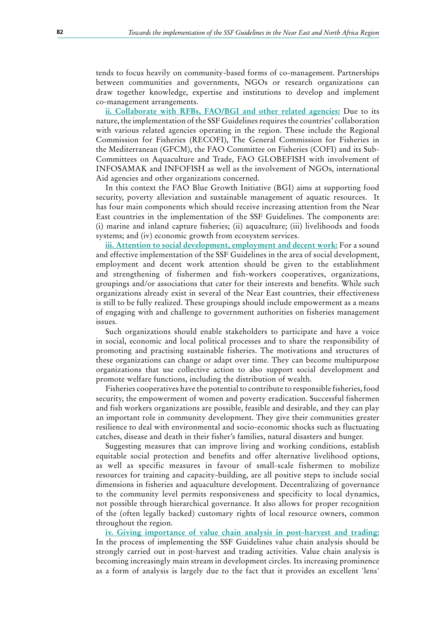tends to focus heavily on community-based forms of co-management. Partnerships between communities and governments, NGOs or research organizations can draw together knowledge, expertise and institutions to develop and implement co-management arrangements.

**ii. Collaborate with RFBs, FAO/BGI and other related agencies:** Due to its nature, the implementation of the SSF Guidelines requires the countries' collaboration with various related agencies operating in the region. These include the Regional Commission for Fisheries (RECOFI), The General Commission for Fisheries in the Mediterranean (GFCM), the FAO Committee on Fisheries (COFI) and its Sub-Committees on Aquaculture and Trade, FAO GLOBEFISH with involvement of INFOSAMAK and INFOFISH as well as the involvement of NGOs, international Aid agencies and other organizations concerned.

In this context the FAO Blue Growth Initiative (BGI) aims at supporting food security, poverty alleviation and sustainable management of aquatic resources. It has four main components which should receive increasing attention from the Near East countries in the implementation of the SSF Guidelines. The components are: (i) marine and inland capture fisheries; (ii) aquaculture; (iii) livelihoods and foods systems; and (iv) economic growth from ecosystem services.

**iii. Attention to social development, employment and decent work:** For a sound and effective implementation of the SSF Guidelines in the area of social development, employment and decent work attention should be given to the establishment and strengthening of fishermen and fish-workers cooperatives, organizations, groupings and/or associations that cater for their interests and benefits. While such organizations already exist in several of the Near East countries, their effectiveness is still to be fully realized. These groupings should include empowerment as a means of engaging with and challenge to government authorities on fisheries management issues.

Such organizations should enable stakeholders to participate and have a voice in social, economic and local political processes and to share the responsibility of promoting and practising sustainable fisheries. The motivations and structures of these organizations can change or adapt over time. They can become multipurpose organizations that use collective action to also support social development and promote welfare functions, including the distribution of wealth.

Fisheries cooperatives have the potential to contribute to responsible fisheries, food security, the empowerment of women and poverty eradication. Successful fishermen and fish workers organizations are possible, feasible and desirable, and they can play an important role in community development. They give their communities greater resilience to deal with environmental and socio-economic shocks such as fluctuating catches, disease and death in their fisher's families, natural disasters and hunger.

Suggesting measures that can improve living and working conditions, establish equitable social protection and benefits and offer alternative livelihood options, as well as specific measures in favour of small-scale fishermen to mobilize resources for training and capacity-building, are all positive steps to include social dimensions in fisheries and aquaculture development. Decentralizing of governance to the community level permits responsiveness and specificity to local dynamics, not possible through hierarchical governance. It also allows for proper recognition of the (often legally backed) customary rights of local resource owners, common throughout the region.

**iv. Giving importance of value chain analysis in post-harvest and trading:** In the process of implementing the SSF Guidelines value chain analysis should be strongly carried out in post-harvest and trading activities. Value chain analysis is becoming increasingly main stream in development circles. Its increasing prominence as a form of analysis is largely due to the fact that it provides an excellent 'lens'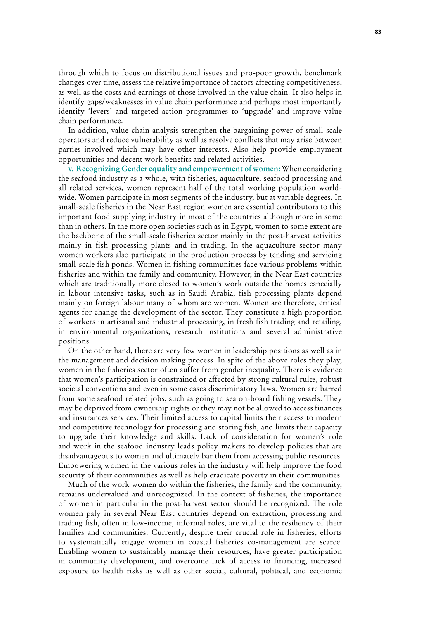through which to focus on distributional issues and pro-poor growth, benchmark changes over time, assess the relative importance of factors affecting competitiveness, as well as the costs and earnings of those involved in the value chain. It also helps in identify gaps/weaknesses in value chain performance and perhaps most importantly identify 'levers' and targeted action programmes to 'upgrade' and improve value chain performance.

In addition, value chain analysis strengthen the bargaining power of small-scale operators and reduce vulnerability as well as resolve conflicts that may arise between parties involved which may have other interests. Also help provide employment opportunities and decent work benefits and related activities.

**v. Recognizing Gender equality and empowerment of women:** When considering the seafood industry as a whole, with fisheries, aquaculture, seafood processing and all related services, women represent half of the total working population worldwide. Women participate in most segments of the industry, but at variable degrees. In small-scale fisheries in the Near East region women are essential contributors to this important food supplying industry in most of the countries although more in some than in others. In the more open societies such as in Egypt, women to some extent are the backbone of the small-scale fisheries sector mainly in the post-harvest activities mainly in fish processing plants and in trading. In the aquaculture sector many women workers also participate in the production process by tending and servicing small-scale fish ponds. Women in fishing communities face various problems within fisheries and within the family and community. However, in the Near East countries which are traditionally more closed to women's work outside the homes especially in labour intensive tasks, such as in Saudi Arabia, fish processing plants depend mainly on foreign labour many of whom are women. Women are therefore, critical agents for change the development of the sector. They constitute a high proportion of workers in artisanal and industrial processing, in fresh fish trading and retailing, in environmental organizations, research institutions and several administrative positions.

On the other hand, there are very few women in leadership positions as well as in the management and decision making process. In spite of the above roles they play, women in the fisheries sector often suffer from gender inequality. There is evidence that women's participation is constrained or affected by strong cultural rules, robust societal conventions and even in some cases discriminatory laws. Women are barred from some seafood related jobs, such as going to sea on-board fishing vessels. They may be deprived from ownership rights or they may not be allowed to access finances and insurances services. Their limited access to capital limits their access to modern and competitive technology for processing and storing fish, and limits their capacity to upgrade their knowledge and skills. Lack of consideration for women's role and work in the seafood industry leads policy makers to develop policies that are disadvantageous to women and ultimately bar them from accessing public resources. Empowering women in the various roles in the industry will help improve the food security of their communities as well as help eradicate poverty in their communities.

Much of the work women do within the fisheries, the family and the community, remains undervalued and unrecognized. In the context of fisheries, the importance of women in particular in the post-harvest sector should be recognized. The role women paly in several Near East countries depend on extraction, processing and trading fish, often in low-income, informal roles, are vital to the resiliency of their families and communities. Currently, despite their crucial role in fisheries, efforts to systematically engage women in coastal fisheries co-management are scarce. Enabling women to sustainably manage their resources, have greater participation in community development, and overcome lack of access to financing, increased exposure to health risks as well as other social, cultural, political, and economic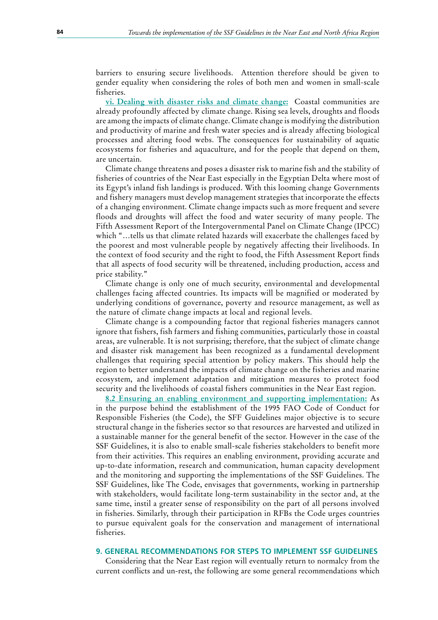barriers to ensuring secure livelihoods. Attention therefore should be given to gender equality when considering the roles of both men and women in small-scale fisheries.

**vi. Dealing with disaster risks and climate change:** Coastal communities are already profoundly affected by climate change. Rising sea levels, droughts and floods are among the impacts of climate change. Climate change is modifying the distribution and productivity of marine and fresh water species and is already affecting biological processes and altering food webs. The consequences for sustainability of aquatic ecosystems for fisheries and aquaculture, and for the people that depend on them, are uncertain.

Climate change threatens and poses a disaster risk to marine fish and the stability of fisheries of countries of the Near East especially in the Egyptian Delta where most of its Egypt's inland fish landings is produced. With this looming change Governments and fishery managers must develop management strategies that incorporate the effects of a changing environment. Climate change impacts such as more frequent and severe floods and droughts will affect the food and water security of many people. The Fifth Assessment Report of the Intergovernmental Panel on Climate Change (IPCC) which "…tells us that climate related hazards will exacerbate the challenges faced by the poorest and most vulnerable people by negatively affecting their livelihoods. In the context of food security and the right to food, the Fifth Assessment Report finds that all aspects of food security will be threatened, including production, access and price stability."

Climate change is only one of much security, environmental and developmental challenges facing affected countries. Its impacts will be magnified or moderated by underlying conditions of governance, poverty and resource management, as well as the nature of climate change impacts at local and regional levels.

Climate change is a compounding factor that regional fisheries managers cannot ignore that fishers, fish farmers and fishing communities, particularly those in coastal areas, are vulnerable. It is not surprising; therefore, that the subject of climate change and disaster risk management has been recognized as a fundamental development challenges that requiring special attention by policy makers. This should help the region to better understand the impacts of climate change on the fisheries and marine ecosystem, and implement adaptation and mitigation measures to protect food security and the livelihoods of coastal fishers communities in the Near East region.

**8.2 Ensuring an enabling environment and supporting implementation:** As in the purpose behind the establishment of the 1995 FAO Code of Conduct for Responsible Fisheries (the Code), the SFF Guidelines major objective is to secure structural change in the fisheries sector so that resources are harvested and utilized in a sustainable manner for the general benefit of the sector. However in the case of the SSF Guidelines, it is also to enable small-scale fisheries stakeholders to benefit more from their activities. This requires an enabling environment, providing accurate and up-to-date information, research and communication, human capacity development and the monitoring and supporting the implementations of the SSF Guidelines. The SSF Guidelines, like The Code, envisages that governments, working in partnership with stakeholders, would facilitate long-term sustainability in the sector and, at the same time, instil a greater sense of responsibility on the part of all persons involved in fisheries. Similarly, through their participation in RFBs the Code urges countries to pursue equivalent goals for the conservation and management of international fisheries.

#### **9. GENERAL RECOMMENDATIONS FOR STEPS TO IMPLEMENT SSF GUIDELINES**

Considering that the Near East region will eventually return to normalcy from the current conflicts and un-rest, the following are some general recommendations which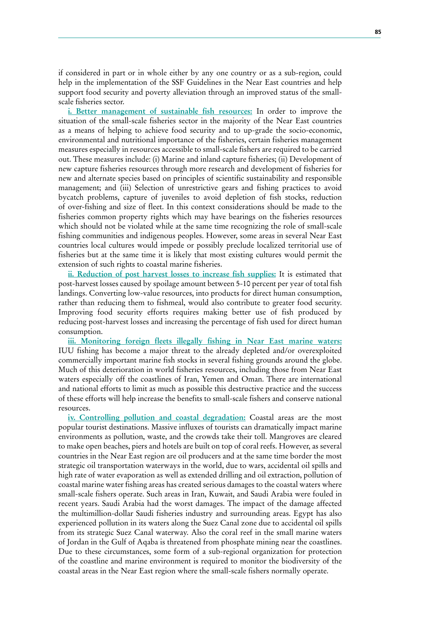if considered in part or in whole either by any one country or as a sub-region, could help in the implementation of the SSF Guidelines in the Near East countries and help support food security and poverty alleviation through an improved status of the smallscale fisheries sector.

**i. Better management of sustainable fish resources:** In order to improve the situation of the small-scale fisheries sector in the majority of the Near East countries as a means of helping to achieve food security and to up-grade the socio-economic, environmental and nutritional importance of the fisheries, certain fisheries management measures especially in resources accessible to small-scale fishers are required to be carried out. These measures include: (i) Marine and inland capture fisheries; (ii) Development of new capture fisheries resources through more research and development of fisheries for new and alternate species based on principles of scientific sustainability and responsible management; and (iii) Selection of unrestrictive gears and fishing practices to avoid bycatch problems, capture of juveniles to avoid depletion of fish stocks, reduction of over-fishing and size of fleet. In this context considerations should be made to the fisheries common property rights which may have bearings on the fisheries resources which should not be violated while at the same time recognizing the role of small-scale fishing communities and indigenous peoples. However, some areas in several Near East countries local cultures would impede or possibly preclude localized territorial use of fisheries but at the same time it is likely that most existing cultures would permit the extension of such rights to coastal marine fisheries.

**ii. Reduction of post harvest losses to increase fish supplies:** It is estimated that post-harvest losses caused by spoilage amount between 5-10 percent per year of total fish landings. Converting low-value resources, into products for direct human consumption, rather than reducing them to fishmeal, would also contribute to greater food security. Improving food security efforts requires making better use of fish produced by reducing post-harvest losses and increasing the percentage of fish used for direct human consumption.

**iii. Monitoring foreign fleets illegally fishing in Near East marine waters:** IUU fishing has become a major threat to the already depleted and/or overexploited commercially important marine fish stocks in several fishing grounds around the globe. Much of this deterioration in world fisheries resources, including those from Near East waters especially off the coastlines of Iran, Yemen and Oman. There are international and national efforts to limit as much as possible this destructive practice and the success of these efforts will help increase the benefits to small-scale fishers and conserve national resources.

**iv. Controlling pollution and coastal degradation:** Coastal areas are the most popular tourist destinations. Massive influxes of tourists can dramatically impact marine environments as pollution, waste, and the crowds take their toll. Mangroves are cleared to make open beaches, piers and hotels are built on top of coral reefs. However, as several countries in the Near East region are oil producers and at the same time border the most strategic oil transportation waterways in the world, due to wars, accidental oil spills and high rate of water evaporation as well as extended drilling and oil extraction, pollution of coastal marine water fishing areas has created serious damages to the coastal waters where small-scale fishers operate. Such areas in Iran, Kuwait, and Saudi Arabia were fouled in recent years. Saudi Arabia had the worst damages. The impact of the damage affected the multimillion-dollar Saudi fisheries industry and surrounding areas. Egypt has also experienced pollution in its waters along the Suez Canal zone due to accidental oil spills from its strategic Suez Canal waterway. Also the coral reef in the small marine waters of Jordan in the Gulf of Aqaba is threatened from phosphate mining near the coastlines. Due to these circumstances, some form of a sub-regional organization for protection of the coastline and marine environment is required to monitor the biodiversity of the coastal areas in the Near East region where the small-scale fishers normally operate.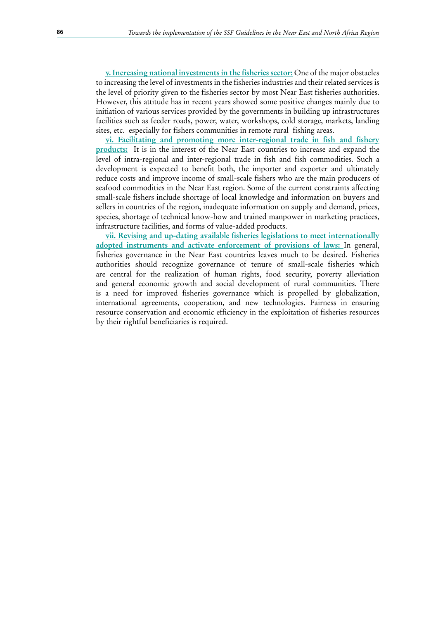**<u>v. Increasing national investments in the fisheries sector:</u> One of the major obstacles** to increasing the level of investments in the fisheries industries and their related services is the level of priority given to the fisheries sector by most Near East fisheries authorities. However, this attitude has in recent years showed some positive changes mainly due to initiation of various services provided by the governments in building up infrastructures facilities such as feeder roads, power, water, workshops, cold storage, markets, landing sites, etc. especially for fishers communities in remote rural fishing areas.

**vi. Facilitating and promoting more inter-regional trade in fish and fishery products:** It is in the interest of the Near East countries to increase and expand the level of intra-regional and inter-regional trade in fish and fish commodities. Such a development is expected to benefit both, the importer and exporter and ultimately reduce costs and improve income of small-scale fishers who are the main producers of seafood commodities in the Near East region. Some of the current constraints affecting small-scale fishers include shortage of local knowledge and information on buyers and sellers in countries of the region, inadequate information on supply and demand, prices, species, shortage of technical know-how and trained manpower in marketing practices, infrastructure facilities, and forms of value-added products.

**vii. Revising and up-dating available fisheries legislations to meet internationally adopted instruments and activate enforcement of provisions of laws:** In general, fisheries governance in the Near East countries leaves much to be desired. Fisheries authorities should recognize governance of tenure of small-scale fisheries which are central for the realization of human rights, food security, poverty alleviation and general economic growth and social development of rural communities. There is a need for improved fisheries governance which is propelled by globalization, international agreements, cooperation, and new technologies. Fairness in ensuring resource conservation and economic efficiency in the exploitation of fisheries resources by their rightful beneficiaries is required.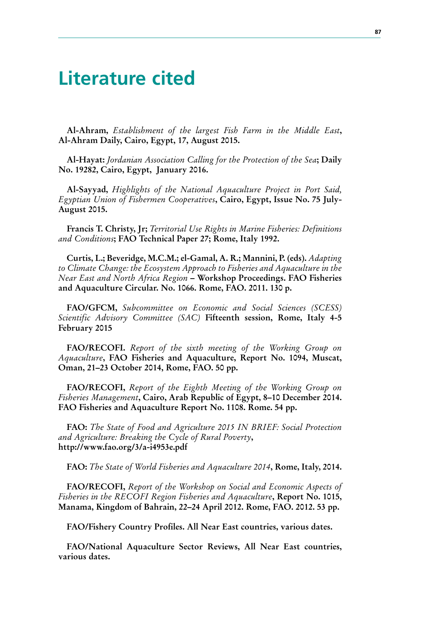### **Literature cited**

**Al-Ahram,** *Establishment of the largest Fish Farm in the Middle East*, Al-Ahram Daily, Cairo, Egypt, 17, August 2015.

**Al-Hayat:** *Jordanian Association Calling for the Protection of the Sea*; Daily No. 19282, Cairo, Egypt, January 2016.

**Al-Sayyad,**  *Highlights of the National Aquaculture Project in Port Said, Egyptian Union of Fishermen Cooperatives***, Cairo, Egypt, Issue No. 75 July-August 2015.**

**Francis T. Christy, Jr;** *Territorial Use Rights in Marine Fisheries: Definitions and Conditions***; FAO Technical Paper 27; Rome, Italy 1992.**

**Curtis, L.; Beveridge, M.C.M.; el-Gamal, A. R.; Mannini, P. (eds).** *Adapting to Climate Change: the Ecosystem Approach to Fisheries and Aquaculture in the Near East and North Africa Region* – **Workshop Proceedings. FAO Fisheries** and Aquaculture Circular. No. 1066. Rome, FAO. 2011. 130 p.

**FAO/GFCM,** Subcommittee on Economic and Social Sciences (SCESS) *Scientific Advisory Committee (SAC)* **Fifteenth session, Rome, Italy 4-5 February 2015**

**FAO/RECOFI.**  *Report of the sixth meeting of the Working Group on Aquaculture*, **FAO** Fisheries and Aquaculture, Report No. 1094, Muscat, Oman, 21-23 October 2014, Rome, FAO. 50 pp.

**FAO/RECOFI,** Report of the Eighth Meeting of the Working Group on *Fisheries Management*, Cairo, Arab Republic of Egypt, 8–10 December 2014. FAO Fisheries and Aquaculture Report No. 1108. Rome. 54 pp.

**FAO:** *The State of Food and Agriculture 2015 IN BRIEF: Social Protection*  and Agriculture: Breaking the Cycle of Rural Poverty**, http://www.fao.org/3/a-i4953e.pdf**

**FAO:** *The State of World Fisheries and Aquaculture 2014*, **Rome, Italy, 2014.** 

**FAO/RECOFI,** Report of the Workshop on Social and Economic Aspects of *Fisheries in the RECOFI Region Fisheries and Aquaculture***, Report No. 1015,**  Manama, Kingdom of Bahrain, 22-24 April 2012. Rome, FAO. 2012. 53 pp.

FAO/Fishery Country Profiles. All Near East countries, various dates.

**FAO/National Aquaculture Sector Reviews, All Near East countries,** various dates.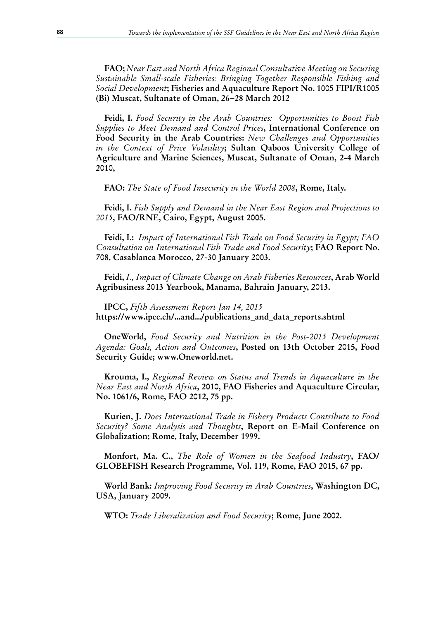**FAO;** *Near East and North Africa Regional Consultative Meeting on Securing Sustainable Small-scale Fisheries: Bringing Together Responsible Fishing and*  Social Development; Fisheries and Aquaculture Report No. 1005 FIPI/R1005 **(Bi) Muscat, Sultanate of Oman, 26−28 March 2012**

Feidi, I. Food Security in the Arab Countries: Opportunities to Boost Fish *Supplies to Meet Demand and Control Prices*, International Conference on **Food Security in the Arab Countries:** *New Challenges and Opportunities in the Context of Price Volatility*; Sultan Qaboos University College of Agriculture and Marine Sciences, Muscat, Sultanate of Oman, 2-4 March **2010,**

**FAO:** *The State of Food Insecurity in the World 2008*, **Rome**, Italy.

**Feidi, I.** *Fish Supply and Demand in the Near East Region and Projections to* 2015, FAO/RNE, Cairo, Egypt, August 2005.

Feidi, I.: *Impact of International Fish Trade on Food Security in Egypt; FAO* Consultation on International Fish Trade and Food Security**; FAO Report No. 708, Casablanca Morocco, 27-30 January 2003.**

Feidi, *I., Impact of Climate Change on Arab Fisheries Resources*, Arab World Agribusiness 2013 Yearbook, Manama, Bahrain January, 2013.

**IPCC,** Fifth Assessment Report Jan 14, 2015 **https://www.ipcc.ch/...and.../publications\_and\_data\_reports.shtml**

**OneWorld,** Food Security and Nutrition in the Post-2015 Development Agenda: Goals, Action and Outcomes, Posted on 13th October 2015, Food Security Guide; www.Oneworld.net.

**Krouma, I.,** *Regional Review on Status and Trends in Aquaculture in the Near East and North Africa*, 2010, FAO Fisheries and Aquaculture Circular, No. 1061/6, Rome, FAO 2012, 75 pp.

**Kurien, J.** *Does International Trade in Fishery Products Contribute to Food*  Security? Some Analysis and Thoughts, Report on E-Mail Conference on Globalization; Rome, Italy, December 1999.

**Monfort, Ma. C.,** *The Role of Women in the Seafood Industry*, **FAO/** GLOBEFISH Research Programme, Vol. 119, Rome, FAO 2015, 67 pp.

**World Bank:** Improving Food Security in Arab Countries, Washington DC, **USA, January 2009.**

**WTO:** *Trade Liberalization and Food Security***; Rome, June 2002.**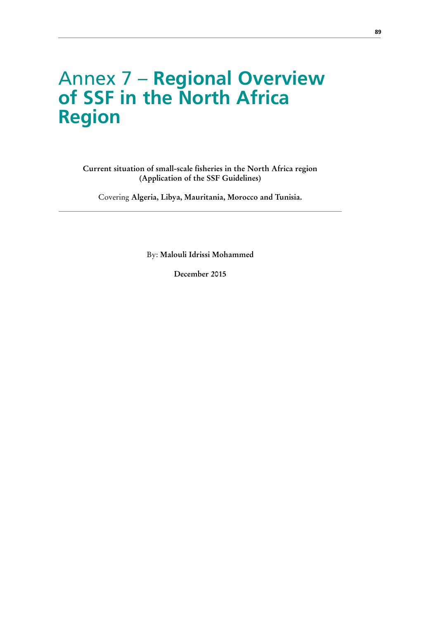## Annex 7 – **Regional Overview of SSF in the North Africa Region**

Current situation of small-scale fisheries in the North Africa region **(Application of the SSF Guidelines)**

Covering Algeria, Libya, Mauritania, Morocco and Tunisia.

By: Malouli Idrissi Mohammed

December 2015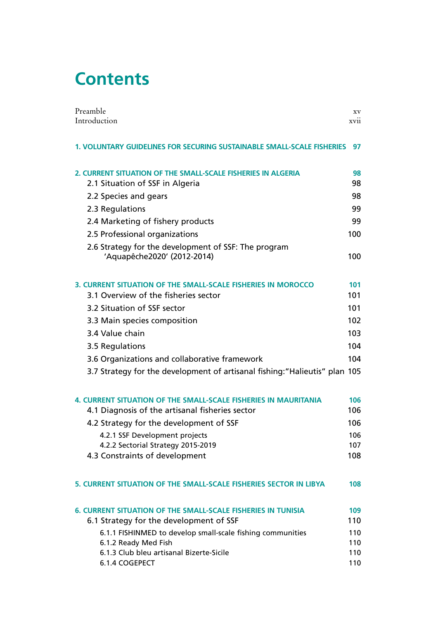# **Contents**

| Preamble                                                                            | XV          |
|-------------------------------------------------------------------------------------|-------------|
| Introduction                                                                        | <b>XV11</b> |
| 1. VOLUNTARY GUIDELINES FOR SECURING SUSTAINABLE SMALL-SCALE FISHERIES              | 97          |
| 2. CURRENT SITUATION OF THE SMALL-SCALE FISHERIES IN ALGERIA                        | 98          |
| 2.1 Situation of SSF in Algeria                                                     | 98          |
| 2.2 Species and gears                                                               | 98          |
| 2.3 Regulations                                                                     | 99          |
| 2.4 Marketing of fishery products                                                   | 99          |
| 2.5 Professional organizations                                                      | 100         |
| 2.6 Strategy for the development of SSF: The program<br>'Aquapêche2020' (2012-2014) | 100         |
| 3. CURRENT SITUATION OF THE SMALL-SCALE FISHERIES IN MOROCCO                        | 101         |
| 3.1 Overview of the fisheries sector                                                | 101         |
| 3.2 Situation of SSF sector                                                         | 101         |
| 3.3 Main species composition                                                        | 102         |
| 3.4 Value chain                                                                     | 103         |
| 3.5 Regulations                                                                     | 104         |
| 3.6 Organizations and collaborative framework                                       | 104         |
| 3.7 Strategy for the development of artisanal fishing: "Halieutis" plan 105         |             |
| <b>4. CURRENT SITUATION OF THE SMALL-SCALE FISHERIES IN MAURITANIA</b>              | 106         |
| 4.1 Diagnosis of the artisanal fisheries sector                                     | 106         |
| 4.2 Strategy for the development of SSF                                             | 106         |
| 4.2.1 SSF Development projects                                                      | 106         |
| 4.2.2 Sectorial Strategy 2015-2019<br>4.3 Constraints of development                | 107<br>108  |
|                                                                                     |             |
| 5. CURRENT SITUATION OF THE SMALL-SCALE FISHERIES SECTOR IN LIBYA                   | 108         |
| <b>6. CURRENT SITUATION OF THE SMALL-SCALE FISHERIES IN TUNISIA</b>                 | 109         |
| 6.1 Strategy for the development of SSF                                             | 110         |
| 6.1.1 FISHINMED to develop small-scale fishing communities                          | 110         |
| 6.1.2 Ready Med Fish<br>6.1.3 Club bleu artisanal Bizerte-Sicile                    | 110<br>110  |
| 6.1.4 COGEPECT                                                                      | 110         |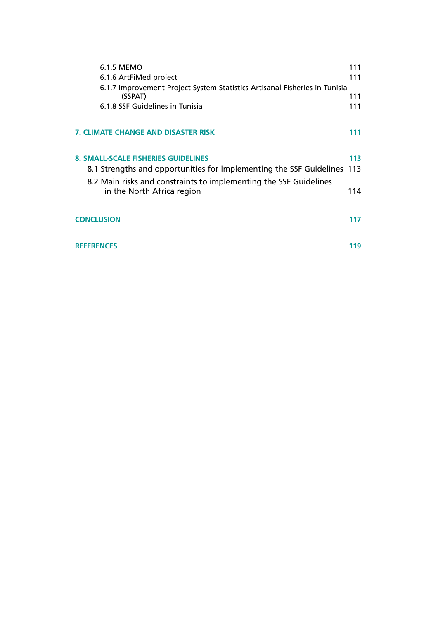| 6.1.5 MEMO                                                                 | 111 |
|----------------------------------------------------------------------------|-----|
|                                                                            |     |
| 6.1.6 ArtFiMed project                                                     | 111 |
| 6.1.7 Improvement Project System Statistics Artisanal Fisheries in Tunisia |     |
| (SSPAT)                                                                    | 111 |
| 6.1.8 SSF Guidelines in Tunisia                                            | 111 |
|                                                                            |     |
| <b>7. CLIMATE CHANGE AND DISASTER RISK</b>                                 | 111 |
|                                                                            |     |
| <b>8. SMALL-SCALE FISHERIES GUIDELINES</b>                                 | 113 |
| 8.1 Strengths and opportunities for implementing the SSF Guidelines 113    |     |
| 8.2 Main risks and constraints to implementing the SSF Guidelines          |     |
| in the North Africa region                                                 | 114 |
|                                                                            |     |
| <b>CONCLUSION</b>                                                          | 117 |
|                                                                            |     |
| <b>REFERENCES</b>                                                          | 119 |
|                                                                            |     |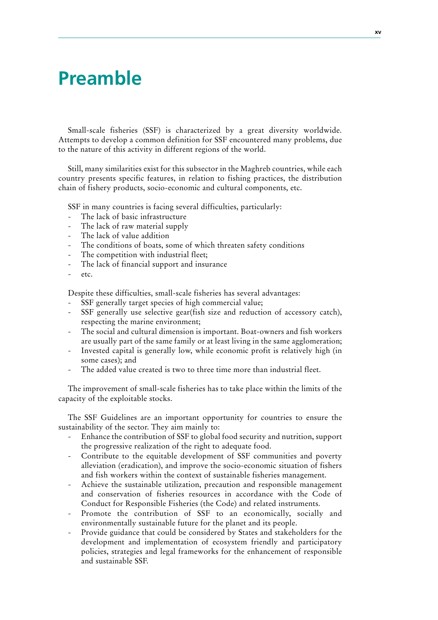# **Preamble**

Small-scale fisheries (SSF) is characterized by a great diversity worldwide. Attempts to develop a common definition for SSF encountered many problems, due to the nature of this activity in different regions of the world.

Still, many similarities exist for this subsector in the Maghreb countries, while each country presents specific features, in relation to fishing practices, the distribution chain of fishery products, socio-economic and cultural components, etc.

SSF in many countries is facing several difficulties, particularly:

- The lack of basic infrastructure
- The lack of raw material supply
- The lack of value addition
- The conditions of boats, some of which threaten safety conditions
- The competition with industrial fleet;
- The lack of financial support and insurance
- etc.

Despite these difficulties, small-scale fisheries has several advantages:

- SSF generally target species of high commercial value;
- SSF generally use selective gear(fish size and reduction of accessory catch), respecting the marine environment;
- The social and cultural dimension is important. Boat-owners and fish workers are usually part of the same family or at least living in the same agglomeration;
- Invested capital is generally low, while economic profit is relatively high (in some cases); and
- The added value created is two to three time more than industrial fleet.

The improvement of small-scale fisheries has to take place within the limits of the capacity of the exploitable stocks.

The SSF Guidelines are an important opportunity for countries to ensure the sustainability of the sector. They aim mainly to:

- Enhance the contribution of SSF to global food security and nutrition, support the progressive realization of the right to adequate food.
- Contribute to the equitable development of SSF communities and poverty alleviation (eradication), and improve the socio-economic situation of fishers and fish workers within the context of sustainable fisheries management.
- Achieve the sustainable utilization, precaution and responsible management and conservation of fisheries resources in accordance with the Code of Conduct for Responsible Fisheries (the Code) and related instruments.
- Promote the contribution of SSF to an economically, socially and environmentally sustainable future for the planet and its people.
- Provide guidance that could be considered by States and stakeholders for the development and implementation of ecosystem friendly and participatory policies, strategies and legal frameworks for the enhancement of responsible and sustainable SSF.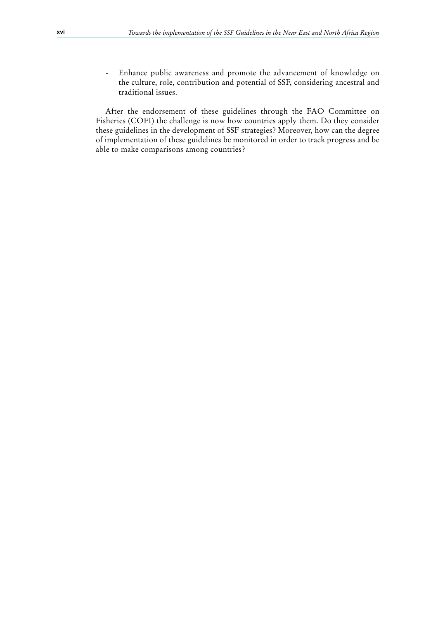- Enhance public awareness and promote the advancement of knowledge on the culture, role, contribution and potential of SSF, considering ancestral and traditional issues.

After the endorsement of these guidelines through the FAO Committee on Fisheries (COFI) the challenge is now how countries apply them. Do they consider these guidelines in the development of SSF strategies? Moreover, how can the degree of implementation of these guidelines be monitored in order to track progress and be able to make comparisons among countries?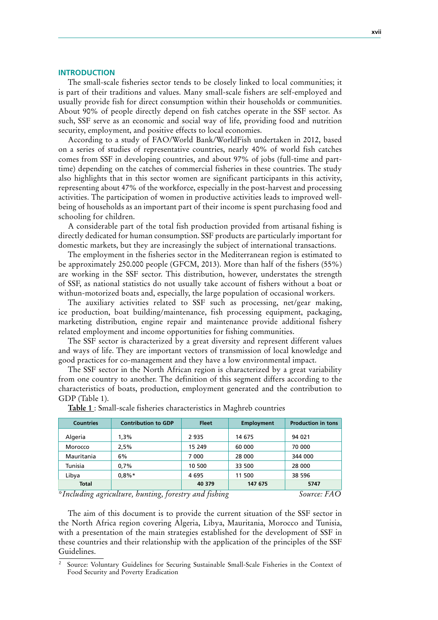#### **INTRODUCTION**

The small-scale fisheries sector tends to be closely linked to local communities; it is part of their traditions and values. Many small-scale fishers are self-employed and usually provide fish for direct consumption within their households or communities. About 90% of people directly depend on fish catches operate in the SSF sector. As such, SSF serve as an economic and social way of life, providing food and nutrition security, employment, and positive effects to local economies.

According to a study of FAO/World Bank/WorldFish undertaken in 2012, based on a series of studies of representative countries, nearly 40% of world fish catches comes from SSF in developing countries, and about 97% of jobs (full-time and parttime) depending on the catches of commercial fisheries in these countries. The study also highlights that in this sector women are significant participants in this activity, representing about 47% of the workforce, especially in the post-harvest and processing activities. The participation of women in productive activities leads to improved wellbeing of households as an important part of their income is spent purchasing food and schooling for children.

A considerable part of the total fish production provided from artisanal fishing is directly dedicated for human consumption. SSF products are particularly important for domestic markets, but they are increasingly the subject of international transactions.

The employment in the fisheries sector in the Mediterranean region is estimated to be approximately 250.000 people (GFCM, 2013). More than half of the fishers (55%) are working in the SSF sector. This distribution, however, understates the strength of SSF, as national statistics do not usually take account of fishers without a boat or withun-motorized boats and, especially, the large population of occasional workers.

The auxiliary activities related to SSF such as processing, net/gear making, ice production, boat building/maintenance, fish processing equipment, packaging, marketing distribution, engine repair and maintenance provide additional fishery related employment and income opportunities for fishing communities.

The SSF sector is characterized by a great diversity and represent different values and ways of life. They are important vectors of transmission of local knowledge and good practices for co-management and they have a low environmental impact.

The SSF sector in the North African region is characterized by a great variability from one country to another. The definition of this segment differs according to the characteristics of boats, production, employment generated and the contribution to GDP (Table 1).

| <b>Countries</b>        | <b>Contribution to GDP</b> | <b>Fleet</b>                | <b>Employment</b> | <b>Production in tons</b> |
|-------------------------|----------------------------|-----------------------------|-------------------|---------------------------|
|                         |                            |                             |                   |                           |
| Algeria                 | 1.3%                       | 2 9 3 5                     | 14 675            | 94 021                    |
| Morocco                 | 2.5%                       | 15 249                      | 60 000            | 70 000                    |
| Mauritania              | 6%                         | 7 000                       | 28 000            | 344 000                   |
| Tunisia                 | 0.7%                       | 10 500                      | 33 500            | 28 000                    |
| Libya                   | $0.8\%*$                   | 4695                        | 11 500            | 38 596                    |
| <b>Total</b>            |                            | 40 379                      | 147 675           | 5747                      |
| $\sim$ $\sim$<br>$\sim$ | $\sim$                     | $\sim$ $\sim$ $\sim$ $\sim$ |                   |                           |

**Table 1**: Small-scale fisheries characteristics in Maghreb countries

*\*Including agriculture, hunting, forestry and fishing Source: FAO*

The aim of this document is to provide the current situation of the SSF sector in the North Africa region covering Algeria, Libya, Mauritania, Morocco and Tunisia, with a presentation of the main strategies established for the development of SSF in these countries and their relationship with the application of the principles of the SSF Guidelines.

<sup>2</sup> Source: Voluntary Guidelines for Securing Sustainable Small-Scale Fisheries in the Context of Food Security and Poverty Eradication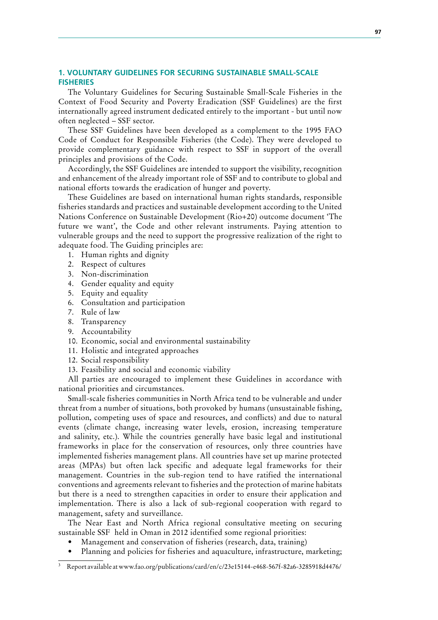# **1. VOLUNTARY GUIDELINES FOR SECURING SUSTAINABLE SMALL-SCALE FISHERIES**

The Voluntary Guidelines for Securing Sustainable Small-Scale Fisheries in the Context of Food Security and Poverty Eradication (SSF Guidelines) are the first internationally agreed instrument dedicated entirely to the important - but until now often neglected – SSF sector.

These SSF Guidelines have been developed as a complement to the 1995 FAO Code of Conduct for Responsible Fisheries (the Code). They were developed to provide complementary guidance with respect to SSF in support of the overall principles and provisions of the Code.

Accordingly, the SSF Guidelines are intended to support the visibility, recognition and enhancement of the already important role of SSF and to contribute to global and national efforts towards the eradication of hunger and poverty.

These Guidelines are based on international human rights standards, responsible fisheries standards and practices and sustainable development according to the United Nations Conference on Sustainable Development (Rio+20) outcome document 'The future we want', the Code and other relevant instruments. Paying attention to vulnerable groups and the need to support the progressive realization of the right to adequate food. The Guiding principles are:

- 1. Human rights and dignity
- 2. Respect of cultures
- 3. Non-discrimination
- 4. Gender equality and equity
- 5. Equity and equality
- 6. Consultation and participation
- 7. Rule of law
- 8. Transparency
- 9. Accountability
- 10. Economic, social and environmental sustainability
- 11. Holistic and integrated approaches
- 12. Social responsibility
- 13. Feasibility and social and economic viability

All parties are encouraged to implement these Guidelines in accordance with national priorities and circumstances.

Small-scale fisheries communities in North Africa tend to be vulnerable and under threat from a number of situations, both provoked by humans (unsustainable fishing, pollution, competing uses of space and resources, and conflicts) and due to natural events (climate change, increasing water levels, erosion, increasing temperature and salinity, etc.). While the countries generally have basic legal and institutional frameworks in place for the conservation of resources, only three countries have implemented fisheries management plans. All countries have set up marine protected areas (MPAs) but often lack specific and adequate legal frameworks for their management. Countries in the sub-region tend to have ratified the international conventions and agreements relevant to fisheries and the protection of marine habitats but there is a need to strengthen capacities in order to ensure their application and implementation. There is also a lack of sub-regional cooperation with regard to management, safety and surveillance.

The Near East and North Africa regional consultative meeting on securing sustainable SSF held in Oman in 2012 identified some regional priorities:

- Management and conservation of fisheries (research, data, training)
- Planning and policies for fisheries and aquaculture, infrastructure, marketing;

<sup>3</sup> Report available at www.fao.org/publications/card/en/c/23e15144-e468-567f-82a6-3285918d4476/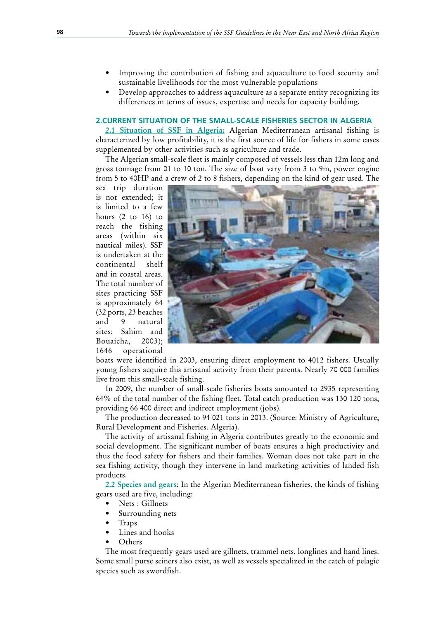- Improving the contribution of fishing and aquaculture to food security and sustainable livelihoods for the most vulnerable populations
- Develop approaches to address aquaculture as a separate entity recognizing its differences in terms of issues, expertise and needs for capacity building.

#### **2.CURRENT SITUATION OF THE SMALL-SCALE FISHERIES SECTOR IN ALGERIA**

2.1 Situation of SSF in Algeria: Algerian Mediterranean artisanal fishing is characterized by low profitability, it is the first source of life for fishers in some cases supplemented by other activities such as agriculture and trade.

The Algerian small-scale fleet is mainly composed of vessels less than 12m long and gross tonnage from 01 to 10 ton. The size of boat vary from 3 to 9m, power engine from 5 to 40HP and a crew of 2 to 8 fishers, depending on the kind of gear used. The

sea trip duration is not extended; it is limited to a few hours (2 to 16) to reach the fishing areas (within six nautical miles). SSF is undertaken at the continental shelf and in coastal areas. The total number of sites practicing SSF is approximately 64 (32 ports, 23 beaches and 9 natural sites; Sahim and Bouaicha, 2003); 1646 operational



boats were identified in 2003, ensuring direct employment to 4012 fishers. Usually young fishers acquire this artisanal activity from their parents. Nearly 70 000 families live from this small-scale fishing.

In 2009, the number of small-scale fisheries boats amounted to 2935 representing 64% of the total number of the fishing fleet. Total catch production was 130 120 tons, providing 66 400 direct and indirect employment (jobs).

The production decreased to 94 021 tons in 2013. (Source: Ministry of Agriculture, Rural Development and Fisheries. Algeria).

The activity of artisanal fishing in Algeria contributes greatly to the economic and social development. The significant number of boats ensures a high productivity and thus the food safety for fishers and their families. Woman does not take part in the sea fishing activity, though they intervene in land marketing activities of landed fish products.

2.2 Species and gears: In the Algerian Mediterranean fisheries, the kinds of fishing gears used are five, including:

- Nets : Gillnets
- Surrounding nets
- **Traps**
- Lines and hooks
- • Others

The most frequently gears used are gillnets, trammel nets, longlines and hand lines. Some small purse seiners also exist, as well as vessels specialized in the catch of pelagic species such as swordfish.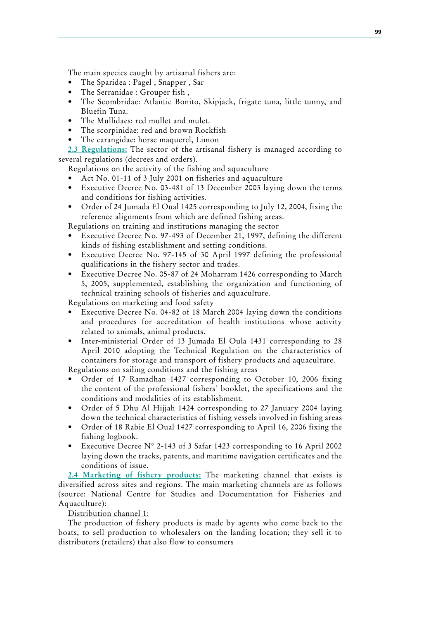The main species caught by artisanal fishers are:

- The Sparidea : Pagel, Snapper, Sar
- The Serranidae : Grouper fish,
- The Scombridae: Atlantic Bonito, Skipjack, frigate tuna, little tunny, and Bluefin Tuna.
- The Mullidaes: red mullet and mulet.
- The scorpinidae: red and brown Rockfish
- The carangidae: horse maquerel, Limon

**2.3 Regulations:** The sector of the artisanal fishery is managed according to several regulations (decrees and orders).

Regulations on the activity of the fishing and aquaculture

- Act No. 01-11 of 3 July 2001 on fisheries and aquaculture
- Executive Decree No. 03-481 of 13 December 2003 laying down the terms and conditions for fishing activities.
- Order of 24 Jumada El Oual 1425 corresponding to July 12, 2004, fixing the reference alignments from which are defined fishing areas.

Regulations on training and institutions managing the sector

- Executive Decree No. 97-493 of December 21, 1997, defining the different kinds of fishing establishment and setting conditions.
- Executive Decree No. 97-145 of 30 April 1997 defining the professional qualifications in the fishery sector and trades.
- Executive Decree No. 05-87 of 24 Moharram 1426 corresponding to March 5, 2005, supplemented, establishing the organization and functioning of technical training schools of fisheries and aquaculture.

Regulations on marketing and food safety

- Executive Decree No. 04-82 of 18 March 2004 laying down the conditions and procedures for accreditation of health institutions whose activity related to animals, animal products.
- Inter-ministerial Order of 13 Jumada El Oula 1431 corresponding to 28 April 2010 adopting the Technical Regulation on the characteristics of containers for storage and transport of fishery products and aquaculture.

Regulations on sailing conditions and the fishing areas

- Order of 17 Ramadhan 1427 corresponding to October 10, 2006 fixing the content of the professional fishers' booklet, the specifications and the conditions and modalities of its establishment.
- Order of 5 Dhu Al Hijjah 1424 corresponding to 27 January 2004 laying down the technical characteristics of fishing vessels involved in fishing areas
- Order of 18 Rabie El Oual 1427 corresponding to April 16, 2006 fixing the fishing logbook.
- Executive Decree N° 2-143 of 3 Safar 1423 corresponding to 16 April 2002 laying down the tracks, patents, and maritime navigation certificates and the conditions of issue.

**2.4 Marketing of fishery products:** The marketing channel that exists is diversified across sites and regions. The main marketing channels are as follows (source: National Centre for Studies and Documentation for Fisheries and Aquaculture):

Distribution channel 1:

The production of fishery products is made by agents who come back to the boats, to sell production to wholesalers on the landing location; they sell it to distributors (retailers) that also flow to consumers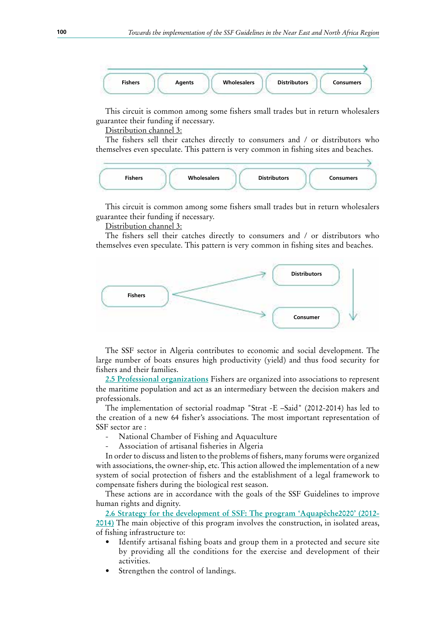

This circuit is common among some fishers small trades but in return wholesalers guarantee their funding if necessary.

Distribution channel 3:

The fishers sell their catches directly to consumers and / or distributors who themselves even speculate. This pattern is very common in fishing sites and beaches.



This circuit is common among some fishers small trades but in return wholesalers guarantee their funding if necessary.

Distribution channel 3:

The fishers sell their catches directly to consumers and / or distributors who themselves even speculate. This pattern is very common in fishing sites and beaches.



The SSF sector in Algeria contributes to economic and social development. The large number of boats ensures high productivity (yield) and thus food security for fishers and their families.

**2.5 Professional organizations** Fishers are organized into associations to represent the maritime population and act as an intermediary between the decision makers and professionals.

The implementation of sectorial roadmap "Strat -E –Said" (2012-2014) has led to the creation of a new 64 fisher's associations. The most important representation of SSF sector are :

- National Chamber of Fishing and Aquaculture
- Association of artisanal fisheries in Algeria

In order to discuss and listen to the problems of fishers, many forums were organized with associations, the owner-ship, etc. This action allowed the implementation of a new system of social protection of fishers and the establishment of a legal framework to compensate fishers during the biological rest season.

These actions are in accordance with the goals of the SSF Guidelines to improve human rights and dignity.

**2.6 Strategy for the development of SSF: The program 'Aquapêche2020' (2012-2014)** The main objective of this program involves the construction, in isolated areas, of fishing infrastructure to:

- Identify artisanal fishing boats and group them in a protected and secure site by providing all the conditions for the exercise and development of their activities.
- Strengthen the control of landings.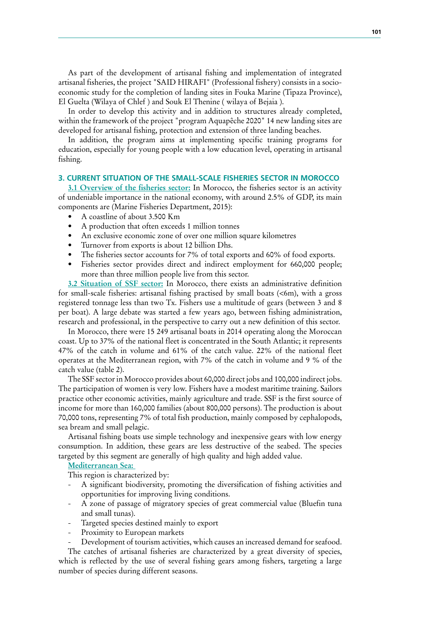As part of the development of artisanal fishing and implementation of integrated artisanal fisheries, the project "SAID HIRAFI" (Professional fishery) consists in a socioeconomic study for the completion of landing sites in Fouka Marine (Tipaza Province), El Guelta (Wilaya of Chlef ) and Souk El Thenine ( wilaya of Bejaia ).

In order to develop this activity and in addition to structures already completed, within the framework of the project "program Aquapêche 2020" 14 new landing sites are developed for artisanal fishing, protection and extension of three landing beaches.

In addition, the program aims at implementing specific training programs for education, especially for young people with a low education level, operating in artisanal fishing.

### **3. CURRENT SITUATION OF THE SMALL-SCALE FISHERIES SECTOR IN MOROCCO**

**3.1 Overview of the fisheries sector:** In Morocco, the fisheries sector is an activity of undeniable importance in the national economy, with around 2.5% of GDP, its main components are (Marine Fisheries Department, 2015):

- A coastline of about 3.500 Km
- A production that often exceeds 1 million tonnes
- An exclusive economic zone of over one million square kilometres
- Turnover from exports is about 12 billion Dhs.
- The fisheries sector accounts for 7% of total exports and 60% of food exports.
- Fisheries sector provides direct and indirect employment for 660,000 people; more than three million people live from this sector.

**3.2 Situation of SSF sector:** In Morocco, there exists an administrative definition for small-scale fisheries: artisanal fishing practised by small boats (<6m), with a gross registered tonnage less than two Tx. Fishers use a multitude of gears (between 3 and 8 per boat). A large debate was started a few years ago, between fishing administration, research and professional, in the perspective to carry out a new definition of this sector.

In Morocco, there were 15 249 artisanal boats in 2014 operating along the Moroccan coast. Up to 37% of the national fleet is concentrated in the South Atlantic; it represents 47% of the catch in volume and 61% of the catch value. 22% of the national fleet operates at the Mediterranean region, with 7% of the catch in volume and 9 % of the catch value (table 2).

The SSF sector in Morocco provides about 60,000 direct jobs and 100,000 indirect jobs. The participation of women is very low. Fishers have a modest maritime training. Sailors practice other economic activities, mainly agriculture and trade. SSF is the first source of income for more than 160,000 families (about 800,000 persons). The production is about 70,000 tons, representing 7% of total fish production, mainly composed by cephalopods, sea bream and small pelagic.

Artisanal fishing boats use simple technology and inexpensive gears with low energy consumption. In addition, these gears are less destructive of the seabed. The species targeted by this segment are generally of high quality and high added value.

# **Mediterranean Sea:**

This region is characterized by:

- A significant biodiversity, promoting the diversification of fishing activities and opportunities for improving living conditions.
- A zone of passage of migratory species of great commercial value (Bluefin tuna and small tunas).
- Targeted species destined mainly to export
- Proximity to European markets

Development of tourism activities, which causes an increased demand for seafood.

The catches of artisanal fisheries are characterized by a great diversity of species, which is reflected by the use of several fishing gears among fishers, targeting a large number of species during different seasons.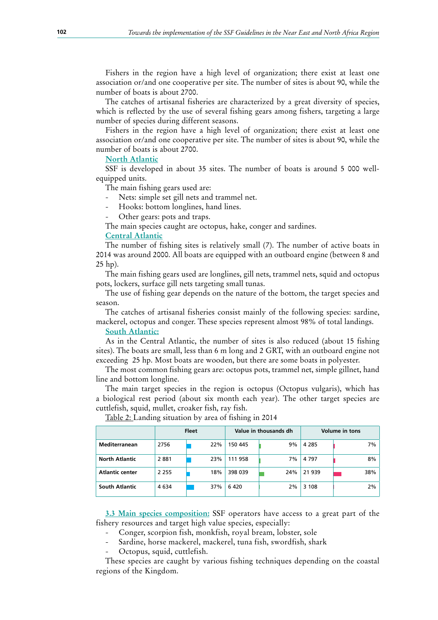Fishers in the region have a high level of organization; there exist at least one association or/and one cooperative per site. The number of sites is about 90, while the number of boats is about 2700.

The catches of artisanal fisheries are characterized by a great diversity of species, which is reflected by the use of several fishing gears among fishers, targeting a large number of species during different seasons.

Fishers in the region have a high level of organization; there exist at least one association or/and one cooperative per site. The number of sites is about 90, while the number of boats is about 2700.

#### **North Atlantic**

SSF is developed in about 35 sites. The number of boats is around 5 000 wellequipped units.

The main fishing gears used are:

- Nets: simple set gill nets and trammel net.
- Hooks: bottom longlines, hand lines.
- Other gears: pots and traps.

The main species caught are octopus, hake, conger and sardines.

#### **Central Atlantic**

The number of fishing sites is relatively small (7). The number of active boats in 2014 was around 2000. All boats are equipped with an outboard engine (between 8 and 25 hp).

The main fishing gears used are longlines, gill nets, trammel nets, squid and octopus pots, lockers, surface gill nets targeting small tunas.

The use of fishing gear depends on the nature of the bottom, the target species and season.

The catches of artisanal fisheries consist mainly of the following species: sardine, mackerel, octopus and conger. These species represent almost 98% of total landings.

#### **South Atlantic:**

As in the Central Atlantic, the number of sites is also reduced (about 15 fishing sites). The boats are small, less than 6 m long and 2 GRT, with an outboard engine not exceeding 25 hp. Most boats are wooden, but there are some boats in polyester.

The most common fishing gears are: octopus pots, trammel net, simple gillnet, hand line and bottom longline.

The main target species in the region is octopus (Octopus vulgaris), which has a biological rest period (about six month each year). The other target species are cuttlefish, squid, mullet, croaker fish, ray fish.

|                        |         | <b>Fleet</b> |         | Value in thousands dh | <b>Volume in tons</b> |     |  |
|------------------------|---------|--------------|---------|-----------------------|-----------------------|-----|--|
| <b>Mediterranean</b>   | 2756    | 22%          | 150 445 | 9%                    | 4 2 8 5               | 7%  |  |
| <b>North Atlantic</b>  | 2881    | 23%          | 111 958 | 7%                    | 4 7 9 7               | 8%  |  |
| <b>Atlantic center</b> | 2 2 5 5 | 18%          | 398 039 | 24%                   | 21 939                | 38% |  |
| <b>South Atlantic</b>  | 4 6 3 4 | 37%          | 6420    | 2%                    | 3 1 0 8               | 2%  |  |

Table 2: Landing situation by area of fishing in 2014

**3.3 Main species composition:** SSF operators have access to a great part of the fishery resources and target high value species, especially:

- Conger, scorpion fish, monkfish, royal bream, lobster, sole
- Sardine, horse mackerel, mackerel, tuna fish, swordfish, shark
- Octopus, squid, cuttlefish.

These species are caught by various fishing techniques depending on the coastal regions of the Kingdom.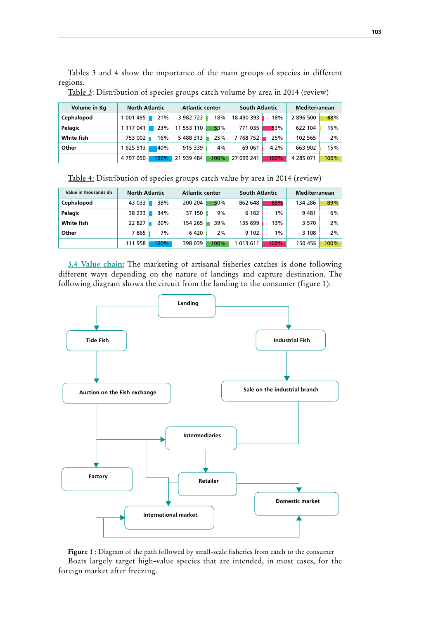Tables 3 and 4 show the importance of the main groups of species in different regions.

| Volume in Kg | <b>North Atlantic</b> |      | <b>Atlantic center</b> |      | <b>South Atlantic</b> |      | <b>Mediterranean</b> |       |
|--------------|-----------------------|------|------------------------|------|-----------------------|------|----------------------|-------|
| Cephalopod   | 1 001 495             | 21%  | 3 982 723              | 18%  | 18 490 393            | 18%  | 2 896 500            | 68%   |
| Pelagic      | 1 117 041             | 23%  | 11 553 110             | 53%  | 771 035               | 53%  | 622 104              | 15%   |
| White fish   | 753 002               | 16%  | 5 488 313              | 25%  | 7 768 752             | 25%  | 102 565              | $2\%$ |
| Other        | 1925 513              | 40%  | 915 339                | 4%   | 69 061                | 4.2% | 663 902              | 15%   |
|              | 4 797 050             | 100% | 21 939 484             | 100% | 27 099 241            | 100% | 4 2 8 5 0 7 1        | 100%  |

Table 3: Distribution of species groups catch volume by area in 2014 (review)

| Table 4: Distribution of species groups catch value by area in 2014 (review) |  |  |  |  |  |
|------------------------------------------------------------------------------|--|--|--|--|--|
|                                                                              |  |  |  |  |  |

| Value in thousands dh | <b>North Atlantic</b> |         | <b>Atlantic center</b> |      | <b>South Atlantic</b> |       | <b>Mediterranean</b> |       |
|-----------------------|-----------------------|---------|------------------------|------|-----------------------|-------|----------------------|-------|
| Cephalopod            | 43 033                | 38%     | 200 204                | 50%  | 862 648               | 85%   | 134 286              | 89%   |
| Pelagic               | 38 233                | 34%     | 37 150                 | 9%   | 6 1 6 2               | $1\%$ | 9481                 | $6\%$ |
| White fish            | 22 827                | 20%     | 154 265                | 39%  | 135 699               | 13%   | 3 5 7 0              | 2%    |
| Other                 | 7865                  | 7%      | 6420                   | 2%   | 9 1 0 2               | $1\%$ | 3 108                | 2%    |
|                       | 111 958               | $100\%$ | 398 039                | 100% | 1 013 611             | 100%  | 150 455              | 100%  |

**3.4 Value chain:** The marketing of artisanal fisheries catches is done following different ways depending on the nature of landings and capture destination. The following diagram shows the circuit from the landing to the consumer (figure 1):



Figure 1 : Diagram of the path followed by small-scale fisheries from catch to the consumer Boats largely target high-value species that are intended, in most cases, for the foreign market after freezing.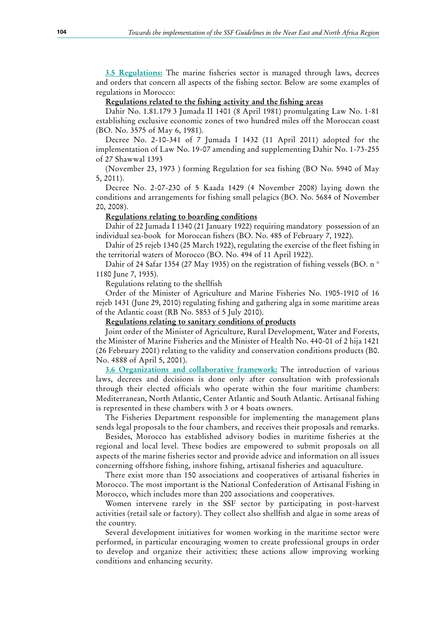**3.5 Regulations:** The marine fisheries sector is managed through laws, decrees and orders that concern all aspects of the fishing sector. Below are some examples of regulations in Morocco:

#### **Regulations related to the fishing activity and the fishing areas**

Dahir No. 1.81.179 3 Jumada II 1401 (8 April 1981) promulgating Law No. 1-81 establishing exclusive economic zones of two hundred miles off the Moroccan coast (BO. No. 3575 of May 6, 1981).

Decree No. 2-10-341 of 7 Jumada I 1432 (11 April 2011) adopted for the implementation of Law No. 19-07 amending and supplementing Dahir No. 1-73-255 of 27 Shawwal 1393

(November 23, 1973 ) forming Regulation for sea fishing (BO No. 5940 of May 5, 2011).

Decree No. 2-07-230 of 5 Kaada 1429 (4 November 2008) laying down the conditions and arrangements for fishing small pelagics (BO. No. 5684 of November 20, 2008).

#### **Regulations relating to boarding conditions**

Dahir of 22 Jumada I 1340 (21 January 1922) requiring mandatory possession of an individual sea-book for Moroccan fishers (BO. No. 485 of February 7, 1922).

Dahir of 25 rejeb 1340 (25 March 1922), regulating the exercise of the fleet fishing in the territorial waters of Morocco (BO. No. 494 of 11 April 1922).

Dahir of 24 Safar 1354 (27 May 1935) on the registration of fishing vessels (BO. n ° 1180 June 7, 1935).

Regulations relating to the shellfish

Order of the Minister of Agriculture and Marine Fisheries No. 1905-1910 of 16 rejeb 1431 (June 29, 2010) regulating fishing and gathering alga in some maritime areas of the Atlantic coast (RB No. 5853 of 5 July 2010).

#### **Regulations relating to sanitary conditions of products**

Joint order of the Minister of Agriculture, Rural Development, Water and Forests, the Minister of Marine Fisheries and the Minister of Health No. 440-01 of 2 hija 1421 (26 February 2001) relating to the validity and conservation conditions products (B0. No. 4888 of April 5, 2001).

**3.6** Organizations and collaborative framework: The introduction of various laws, decrees and decisions is done only after consultation with professionals through their elected officials who operate within the four maritime chambers: Mediterranean, North Atlantic, Center Atlantic and South Atlantic. Artisanal fishing is represented in these chambers with 3 or 4 boats owners.

The Fisheries Department responsible for implementing the management plans sends legal proposals to the four chambers, and receives their proposals and remarks.

Besides, Morocco has established advisory bodies in maritime fisheries at the regional and local level. These bodies are empowered to submit proposals on all aspects of the marine fisheries sector and provide advice and information on all issues concerning offshore fishing, inshore fishing, artisanal fisheries and aquaculture.

There exist more than 150 associations and cooperatives of artisanal fisheries in Morocco. The most important is the National Confederation of Artisanal Fishing in Morocco, which includes more than 200 associations and cooperatives.

Women intervene rarely in the SSF sector by participating in post-harvest activities (retail sale or factory). They collect also shellfish and algae in some areas of the country.

Several development initiatives for women working in the maritime sector were performed, in particular encouraging women to create professional groups in order to develop and organize their activities; these actions allow improving working conditions and enhancing security.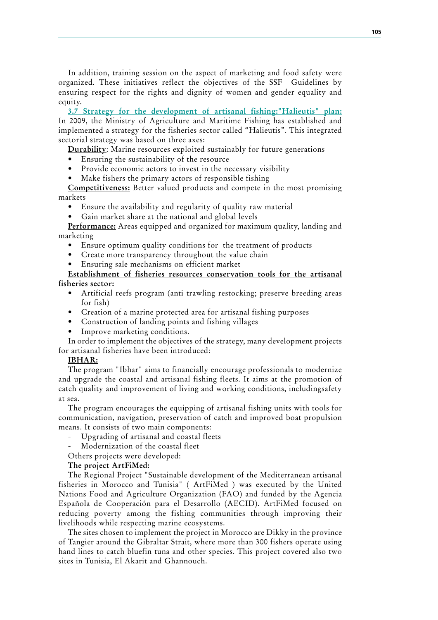In addition, training session on the aspect of marketing and food safety were organized. These initiatives reflect the objectives of the SSF Guidelines by ensuring respect for the rights and dignity of women and gender equality and equity.

**3.7 Strategy for the development of artisanal fishing:"Halieutis" plan:** In 2009, the Ministry of Agriculture and Maritime Fishing has established and implemented a strategy for the fisheries sector called "Halieutis". This integrated sectorial strategy was based on three axes:

**Durability**: Marine resources exploited sustainably for future generations

- Ensuring the sustainability of the resource
- Provide economic actors to invest in the necessary visibility
- Make fishers the primary actors of responsible fishing

**Competitiveness:** Better valued products and compete in the most promising markets

- Ensure the availability and regularity of quality raw material
- Gain market share at the national and global levels

**Performance:** Areas equipped and organized for maximum quality, landing and marketing

- Ensure optimum quality conditions for the treatment of products
- Create more transparency throughout the value chain
- Ensuring sale mechanisms on efficient market

# **Establishment of fisheries resources conservation tools for the artisanal fisheries sector:**

- Artificial reefs program (anti trawling restocking; preserve breeding areas for fish)
- Creation of a marine protected area for artisanal fishing purposes
- Construction of landing points and fishing villages
- Improve marketing conditions.

In order to implement the objectives of the strategy, many development projects for artisanal fisheries have been introduced:

### **IBHAR:**

The program "Ibhar" aims to financially encourage professionals to modernize and upgrade the coastal and artisanal fishing fleets. It aims at the promotion of catch quality and improvement of living and working conditions, includingsafety at sea.

The program encourages the equipping of artisanal fishing units with tools for communication, navigation, preservation of catch and improved boat propulsion means. It consists of two main components:

- Upgrading of artisanal and coastal fleets
- Modernization of the coastal fleet

Others projects were developed:

#### **The project ArtFiMed:**

The Regional Project "Sustainable development of the Mediterranean artisanal fisheries in Morocco and Tunisia" ( ArtFiMed ) was executed by the United Nations Food and Agriculture Organization (FAO) and funded by the Agencia Española de Cooperación para el Desarrollo (AECID). ArtFiMed focused on reducing poverty among the fishing communities through improving their livelihoods while respecting marine ecosystems.

The sites chosen to implement the project in Morocco are Dikky in the province of Tangier around the Gibraltar Strait, where more than 300 fishers operate using hand lines to catch bluefin tuna and other species. This project covered also two sites in Tunisia, El Akarit and Ghannouch.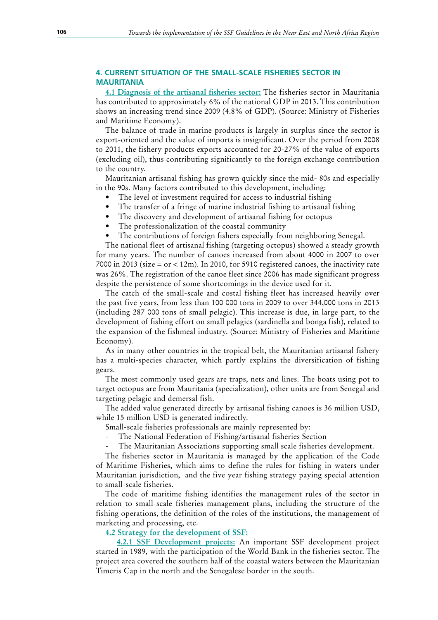# **4. CURRENT SITUATION OF THE SMALL-SCALE FISHERIES SECTOR IN MAURITANIA**

**4.1 Diagnosis of the artisanal fisheries sector:** The fisheries sector in Mauritania has contributed to approximately 6% of the national GDP in 2013. This contribution shows an increasing trend since 2009 (4.8% of GDP). (Source: Ministry of Fisheries and Maritime Economy).

The balance of trade in marine products is largely in surplus since the sector is export-oriented and the value of imports is insignificant. Over the period from 2008 to 2011, the fishery products exports accounted for 20-27% of the value of exports (excluding oil), thus contributing significantly to the foreign exchange contribution to the country.

Mauritanian artisanal fishing has grown quickly since the mid- 80s and especially in the 90s. Many factors contributed to this development, including:

- The level of investment required for access to industrial fishing
- The transfer of a fringe of marine industrial fishing to artisanal fishing
- The discovery and development of artisanal fishing for octopus
- The professionalization of the coastal community
- The contributions of foreign fishers especially from neighboring Senegal.

The national fleet of artisanal fishing (targeting octopus) showed a steady growth for many years. The number of canoes increased from about 4000 in 2007 to over 7000 in 2013 (size = or < 12m). In 2010, for 5910 registered canoes, the inactivity rate was 26%. The registration of the canoe fleet since 2006 has made significant progress despite the persistence of some shortcomings in the device used for it.

The catch of the small-scale and costal fishing fleet has increased heavily over the past five years, from less than 100 000 tons in 2009 to over 344,000 tons in 2013 (including 287 000 tons of small pelagic). This increase is due, in large part, to the development of fishing effort on small pelagics (sardinella and bonga fish), related to the expansion of the fishmeal industry. (Source: Ministry of Fisheries and Maritime Economy).

As in many other countries in the tropical belt, the Mauritanian artisanal fishery has a multi-species character, which partly explains the diversification of fishing gears.

The most commonly used gears are traps, nets and lines. The boats using pot to target octopus are from Mauritania (specialization), other units are from Senegal and targeting pelagic and demersal fish.

The added value generated directly by artisanal fishing canoes is 36 million USD, while 15 million USD is generated indirectly.

Small-scale fisheries professionals are mainly represented by:

- The National Federation of Fishing/artisanal fisheries Section
- The Mauritanian Associations supporting small scale fisheries development.

The fisheries sector in Mauritania is managed by the application of the Code of Maritime Fisheries, which aims to define the rules for fishing in waters under Mauritanian jurisdiction, and the five year fishing strategy paying special attention to small-scale fisheries.

The code of maritime fishing identifies the management rules of the sector in relation to small-scale fisheries management plans, including the structure of the fishing operations, the definition of the roles of the institutions, the management of marketing and processing, etc.

### **4.2 Strategy for the development of SSF:**

**4.2.1 SSF Development projects:** An important SSF development project started in 1989, with the participation of the World Bank in the fisheries sector. The project area covered the southern half of the coastal waters between the Mauritanian Timeris Cap in the north and the Senegalese border in the south.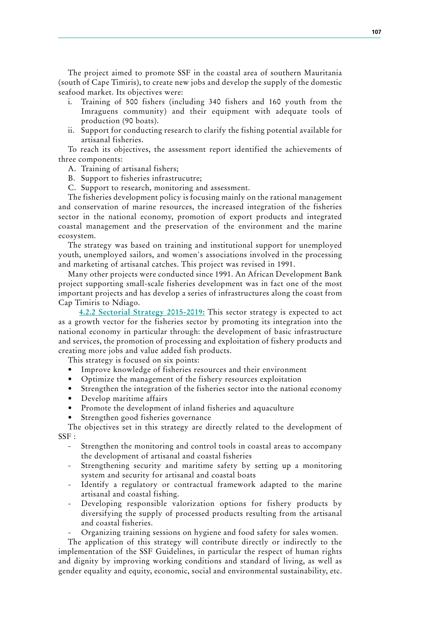The project aimed to promote SSF in the coastal area of southern Mauritania (south of Cape Timiris), to create new jobs and develop the supply of the domestic seafood market. Its objectives were:

- i. Training of 500 fishers (including 340 fishers and 160 youth from the Imraguens community) and their equipment with adequate tools of production (90 boats).
- ii. Support for conducting research to clarify the fishing potential available for artisanal fisheries.

To reach its objectives, the assessment report identified the achievements of three components:

- A. Training of artisanal fishers;
- B. Support to fisheries infrastrucutre;
- C. Support to research, monitoring and assessment.

The fisheries development policy is focusing mainly on the rational management and conservation of marine resources, the increased integration of the fisheries sector in the national economy, promotion of export products and integrated coastal management and the preservation of the environment and the marine ecosystem.

The strategy was based on training and institutional support for unemployed youth, unemployed sailors, and women's associations involved in the processing and marketing of artisanal catches. This project was revised in 1991.

Many other projects were conducted since 1991. An African Development Bank project supporting small-scale fisheries development was in fact one of the most important projects and has develop a series of infrastructures along the coast from Cap Timiris to Ndiago.

**4.2.2 Sectorial Strategy 2015-2019:** This sector strategy is expected to act as a growth vector for the fisheries sector by promoting its integration into the national economy in particular through: the development of basic infrastructure and services, the promotion of processing and exploitation of fishery products and creating more jobs and value added fish products.

This strategy is focused on six points:

- Improve knowledge of fisheries resources and their environment
- Optimize the management of the fishery resources exploitation
- Strengthen the integration of the fisheries sector into the national economy
- Develop maritime affairs
- Promote the development of inland fisheries and aquaculture
- Strengthen good fisheries governance

The objectives set in this strategy are directly related to the development of SSF :

- Strengthen the monitoring and control tools in coastal areas to accompany the development of artisanal and coastal fisheries
- Strengthening security and maritime safety by setting up a monitoring system and security for artisanal and coastal boats
- Identify a regulatory or contractual framework adapted to the marine artisanal and coastal fishing.
- Developing responsible valorization options for fishery products by diversifying the supply of processed products resulting from the artisanal and coastal fisheries.
- Organizing training sessions on hygiene and food safety for sales women.

The application of this strategy will contribute directly or indirectly to the implementation of the SSF Guidelines, in particular the respect of human rights and dignity by improving working conditions and standard of living, as well as gender equality and equity, economic, social and environmental sustainability, etc.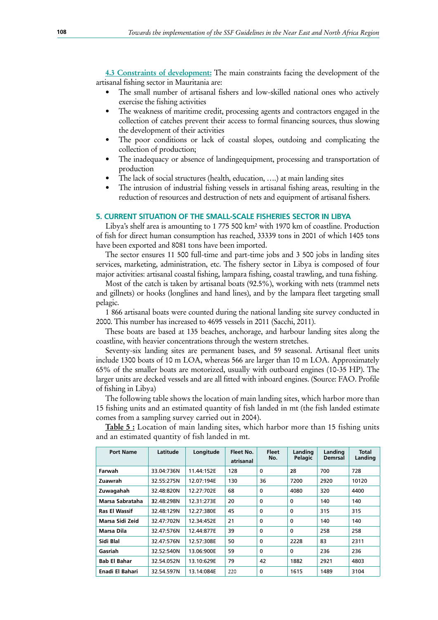**4.3 Constraints of development:** The main constraints facing the development of the artisanal fishing sector in Mauritania are:

- The small number of artisanal fishers and low-skilled national ones who actively exercise the fishing activities
- The weakness of maritime credit, processing agents and contractors engaged in the collection of catches prevent their access to formal financing sources, thus slowing the development of their activities
- The poor conditions or lack of coastal slopes, outdoing and complicating the collection of production;
- The inadequacy or absence of landingequipment, processing and transportation of production
- The lack of social structures (health, education, ....) at main landing sites
- The intrusion of industrial fishing vessels in artisanal fishing areas, resulting in the reduction of resources and destruction of nets and equipment of artisanal fishers.

#### **5. CURRENT SITUATION OF THE SMALL-SCALE FISHERIES SECTOR IN LIBYA**

Libya's shelf area is amounting to 1 775 500 km² with 1970 km of coastline. Production of fish for direct human consumption has reached, 33339 tons in 2001 of which 1405 tons have been exported and 8081 tons have been imported.

The sector ensures 11 500 full-time and part-time jobs and 3 500 jobs in landing sites services, marketing, administration, etc. The fishery sector in Libya is composed of four major activities: artisanal coastal fishing, lampara fishing, coastal trawling, and tuna fishing.

Most of the catch is taken by artisanal boats (92.5%), working with nets (trammel nets and gillnets) or hooks (longlines and hand lines), and by the lampara fleet targeting small pelagic.

1 866 artisanal boats were counted during the national landing site survey conducted in 2000. This number has increased to 4695 vessels in 2011 (Sacchi, 2011).

These boats are based at 135 beaches, anchorage, and harbour landing sites along the coastline, with heavier concentrations through the western stretches.

Seventy-six landing sites are permanent bases, and 59 seasonal. Artisanal fleet units include 1300 boats of 10 m LOA, whereas 566 are larger than 10 m LOA. Approximately 65% of the smaller boats are motorized, usually with outboard engines (10-35 HP). The larger units are decked vessels and are all fitted with inboard engines. (Source: FAO. Profile of fishing in Libya)

The following table shows the location of main landing sites, which harbor more than 15 fishing units and an estimated quantity of fish landed in mt (the fish landed estimate comes from a sampling survey carried out in 2004).

**Table 5**: Location of main landing sites, which harbor more than 15 fishing units and an estimated quantity of fish landed in mt.

| <b>Port Name</b>     | Latitude   | Longitude  | Fleet No.<br>atrisanal | <b>Fleet</b><br>No. | Landing<br>Pelagic | Landing<br><b>Demrsal</b> | <b>Total</b><br>Landing |
|----------------------|------------|------------|------------------------|---------------------|--------------------|---------------------------|-------------------------|
| Farwah               | 33.04:736N | 11.44:152E | 128                    | $\Omega$            | 28                 | 700                       | 728                     |
| Zuawrah              | 32.55:275N | 12.07:194E | 130                    | 36                  | 7200               | 2920                      | 10120                   |
| Zuwagahah            | 32.48:820N | 12.27:702E | 68                     | $\mathbf 0$         | 4080               | 320                       | 4400                    |
| Marsa Sabrataha      | 32.48:298N | 12.31:273E | 20                     | $\mathbf{0}$        | $\mathbf 0$        | 140                       | 140                     |
| <b>Ras El Wassif</b> | 32.48:129N | 12.27:380E | 45                     | $\mathbf{0}$        | $\mathbf 0$        | 315                       | 315                     |
| Marsa Sidi Zeid      | 32.47:702N | 12.34:452E | 21                     | $\mathbf{0}$        | $\mathbf 0$        | 140                       | 140                     |
| Marsa Dila           | 32.47:576N | 12.44:877E | 39                     | $\Omega$            | $\Omega$           | 258                       | 258                     |
| Sidi Blal            | 32.47:576N | 12.57:308E | 50                     | $\Omega$            | 2228               | 83                        | 2311                    |
| Gasriah              | 32.52:540N | 13.06:900E | 59                     | $\Omega$            | $\Omega$           | 236                       | 236                     |
| <b>Bab El Bahar</b>  | 32.54.052N | 13.10:629E | 79                     | 42                  | 1882               | 2921                      | 4803                    |
| Enadi El Bahari      | 32.54.597N | 13.14:084E | 220                    | 0                   | 1615               | 1489                      | 3104                    |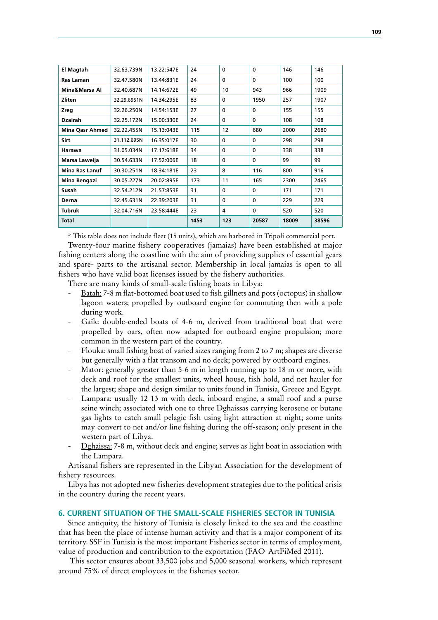| El Magtah              | 32.63.739N  | 13.22:547E | 24   | $\mathbf{0}$ | $\Omega$     | 146   | 146   |
|------------------------|-------------|------------|------|--------------|--------------|-------|-------|
| Ras Laman              | 32.47.580N  | 13.44:831E | 24   | $\Omega$     | $\Omega$     | 100   | 100   |
| Mina&Marsa Al          | 32.40.687N  | 14.14:672E | 49   | 10           | 943          | 966   | 1909  |
| Zliten                 | 32.29.6951N | 14.34:295E | 83   | $\Omega$     | 1950         | 257   | 1907  |
| Zreg                   | 32.26.250N  | 14.54:153E | 27   | $\mathbf{0}$ | $\mathbf{0}$ | 155   | 155   |
| Dzairah                | 32.25.172N  | 15.00:330E | 24   | $\mathbf{0}$ | $\Omega$     | 108   | 108   |
| <b>Mina Qasr Ahmed</b> | 32.22.455N  | 15.13:043E | 115  | 12           | 680          | 2000  | 2680  |
| Sirt                   | 31.112.695N | 16.35:017E | 30   | $\mathbf{0}$ | $\mathbf{0}$ | 298   | 298   |
| Harawa                 | 31.05.034N  | 17.17:618E | 34   | $\mathbf{0}$ | $\Omega$     | 338   | 338   |
| Marsa Laweija          | 30.54.633N  | 17.52:006E | 18   | $\mathbf{0}$ | $\Omega$     | 99    | 99    |
| <b>Mina Ras Lanuf</b>  | 30.30.251N  | 18.34:181E | 23   | 8            | 116          | 800   | 916   |
| Mina Bengazi           | 30.05.227N  | 20.02:895E | 173  | 11           | 165          | 2300  | 2465  |
| Susah                  | 32.54.212N  | 21.57:853E | 31   | $\Omega$     | $\Omega$     | 171   | 171   |
| Derna                  | 32.45.631N  | 22.39:203E | 31   | $\mathbf{0}$ | $\Omega$     | 229   | 229   |
| <b>Tubruk</b>          | 32.04.716N  | 23.58:444E | 23   | 4            | $\Omega$     | 520   | 520   |
| <b>Total</b>           |             |            | 1453 | 123          | 20587        | 18009 | 38596 |

\* This table does not include fleet (15 units), which are harbored in Tripoli commercial port.

Twenty-four marine fishery cooperatives (jamaias) have been established at major fishing centers along the coastline with the aim of providing supplies of essential gears and spare- parts to the artisanal sector. Membership in local jamaias is open to all fishers who have valid boat licenses issued by the fishery authorities.

There are many kinds of small-scale fishing boats in Libya:

- Batah: 7-8 m flat-bottomed boat used to fish gillnets and pots (octopus) in shallow lagoon waters; propelled by outboard engine for commuting then with a pole during work.
- Gaïk: double-ended boats of 4-6 m, derived from traditional boat that were propelled by oars, often now adapted for outboard engine propulsion; more common in the western part of the country.
- Flouka: small fishing boat of varied sizes ranging from 2 to 7 m; shapes are diverse but generally with a flat transom and no deck; powered by outboard engines.
- Mator: generally greater than 5-6 m in length running up to 18 m or more, with deck and roof for the smallest units, wheel house, fish hold, and net hauler for the largest; shape and design similar to units found in Tunisia, Greece and Egypt.
- Lampara: usually 12-13 m with deck, inboard engine, a small roof and a purse seine winch; associated with one to three Dghaissas carrying kerosene or butane gas lights to catch small pelagic fish using light attraction at night; some units may convert to net and/or line fishing during the off-season; only present in the western part of Libya.
- Dghaissa: 7-8 m, without deck and engine; serves as light boat in association with the Lampara.

Artisanal fishers are represented in the Libyan Association for the development of fishery resources.

Libya has not adopted new fisheries development strategies due to the political crisis in the country during the recent years.

# **6. CURRENT SITUATION OF THE SMALL-SCALE FISHERIES SECTOR IN TUNISIA**

Since antiquity, the history of Tunisia is closely linked to the sea and the coastline that has been the place of intense human activity and that is a major component of its territory. SSF in Tunisia is the most important Fisheries sector in terms of employment, value of production and contribution to the exportation (FAO-ArtFiMed 2011).

 This sector ensures about 33,500 jobs and 5,000 seasonal workers, which represent around 75% of direct employees in the fisheries sector.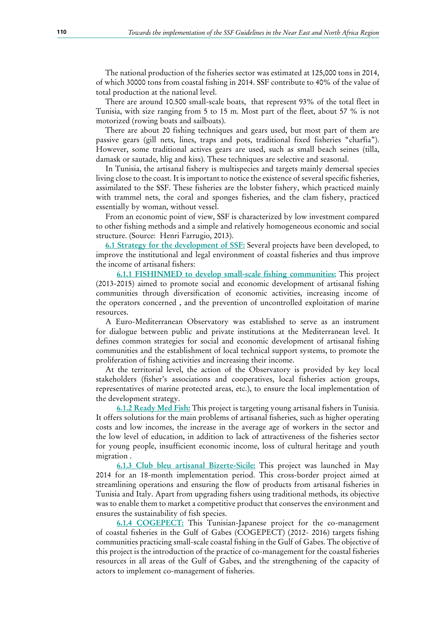The national production of the fisheries sector was estimated at 125,000 tons in 2014, of which 30000 tons from coastal fishing in 2014. SSF contribute to 40% of the value of total production at the national level.

There are around 10.500 small-scale boats, that represent 93% of the total fleet in Tunisia, with size ranging from 5 to 15 m. Most part of the fleet, about 57 % is not motorized (rowing boats and sailboats).

There are about 20 fishing techniques and gears used, but most part of them are passive gears (gill nets, lines, traps and pots, traditional fixed fisheries "charfia"). However, some traditional actives gears are used, such as small beach seines (tilla, damask or sautade, hlig and kiss). These techniques are selective and seasonal.

In Tunisia, the artisanal fishery is multispecies and targets mainly demersal species living close to the coast. It is important to notice the existence of several specific fisheries, assimilated to the SSF. These fisheries are the lobster fishery, which practiced mainly with trammel nets, the coral and sponges fisheries, and the clam fishery, practiced essentially by woman, without vessel.

From an economic point of view, SSF is characterized by low investment compared to other fishing methods and a simple and relatively homogeneous economic and social structure. (Source: Henri Farrugio, 2013).

**6.1 Strategy for the development of SSF:** Several projects have been developed, to improve the institutional and legal environment of coastal fisheries and thus improve the income of artisanal fishers:

**6.1.1 FISHINMED to develop small-scale fishing communities:** This project (2013-2015) aimed to promote social and economic development of artisanal fishing communities through diversification of economic activities, increasing income of the operators concerned , and the prevention of uncontrolled exploitation of marine resources.

A Euro-Mediterranean Observatory was established to serve as an instrument for dialogue between public and private institutions at the Mediterranean level. It defines common strategies for social and economic development of artisanal fishing communities and the establishment of local technical support systems, to promote the proliferation of fishing activities and increasing their income.

At the territorial level, the action of the Observatory is provided by key local stakeholders (fisher's associations and cooperatives, local fisheries action groups, representatives of marine protected areas, etc.), to ensure the local implementation of the development strategy.

**6.1.2 Ready Med Fish:** This project is targeting young artisanal fishers in Tunisia. It offers solutions for the main problems of artisanal fisheries, such as higher operating costs and low incomes, the increase in the average age of workers in the sector and the low level of education, in addition to lack of attractiveness of the fisheries sector for young people, insufficient economic income, loss of cultural heritage and youth migration .

**6.1.3 Club bleu artisanal Bizerte-Sicile:** This project was launched in May 2014 for an 18-month implementation period. This cross-border project aimed at streamlining operations and ensuring the flow of products from artisanal fisheries in Tunisia and Italy. Apart from upgrading fishers using traditional methods, its objective was to enable them to market a competitive product that conserves the environment and ensures the sustainability of fish species.

**6.1.4 COGEPECT:** This Tunisian-Japanese project for the co-management of coastal fisheries in the Gulf of Gabes (COGEPECT) (2012- 2016) targets fishing communities practicing small-scale coastal fishing in the Gulf of Gabes. The objective of this project is the introduction of the practice of co-management for the coastal fisheries resources in all areas of the Gulf of Gabes, and the strengthening of the capacity of actors to implement co-management of fisheries.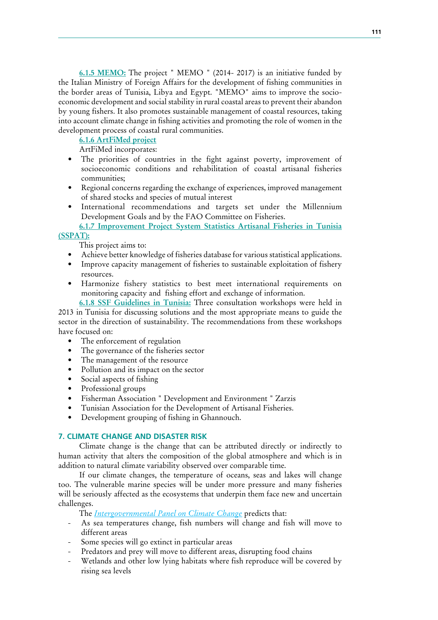**6.1.5 MEMO:** The project " MEMO " (2014- 2017) is an initiative funded by the Italian Ministry of Foreign Affairs for the development of fishing communities in the border areas of Tunisia, Libya and Egypt. "MEMO" aims to improve the socioeconomic development and social stability in rural coastal areas to prevent their abandon by young fishers. It also promotes sustainable management of coastal resources, taking into account climate change in fishing activities and promoting the role of women in the development process of coastal rural communities.

**6.1.6 ArtFiMed project**

ArtFiMed incorporates:

- The priorities of countries in the fight against poverty, improvement of socioeconomic conditions and rehabilitation of coastal artisanal fisheries communities;
- Regional concerns regarding the exchange of experiences, improved management of shared stocks and species of mutual interest
- International recommendations and targets set under the Millennium Development Goals and by the FAO Committee on Fisheries.

**6.1.7 Improvement Project System Statistics Artisanal Fisheries in Tunisia (SSPAT):**

This project aims to:

- Achieve better knowledge of fisheries database for various statistical applications.
- Improve capacity management of fisheries to sustainable exploitation of fishery resources.
- Harmonize fishery statistics to best meet international requirements on monitoring capacity and fishing effort and exchange of information.

**6.1.8 SSF Guidelines in Tunisia:** Three consultation workshops were held in 2013 in Tunisia for discussing solutions and the most appropriate means to guide the sector in the direction of sustainability. The recommendations from these workshops have focused on:

- The enforcement of regulation
- The governance of the fisheries sector
- The management of the resource
- Pollution and its impact on the sector
- Social aspects of fishing
- Professional groups
- Fisherman Association " Development and Environment " Zarzis
- Tunisian Association for the Development of Artisanal Fisheries.
- Development grouping of fishing in Ghannouch.

# **7. CLIMATE CHANGE AND DISASTER RISK**

Climate change is the change that can be attributed directly or indirectly to human activity that alters the composition of the global atmosphere and which is in addition to natural climate variability observed over comparable time.

If our climate changes, the temperature of oceans, seas and lakes will change too. The vulnerable marine species will be under more pressure and many fisheries will be seriously affected as the ecosystems that underpin them face new and uncertain challenges.

The *Intergovernmental Panel on Climate Change* predicts that:

- As sea temperatures change, fish numbers will change and fish will move to different areas
- Some species will go extinct in particular areas
- Predators and prey will move to different areas, disrupting food chains
- Wetlands and other low lying habitats where fish reproduce will be covered by rising sea levels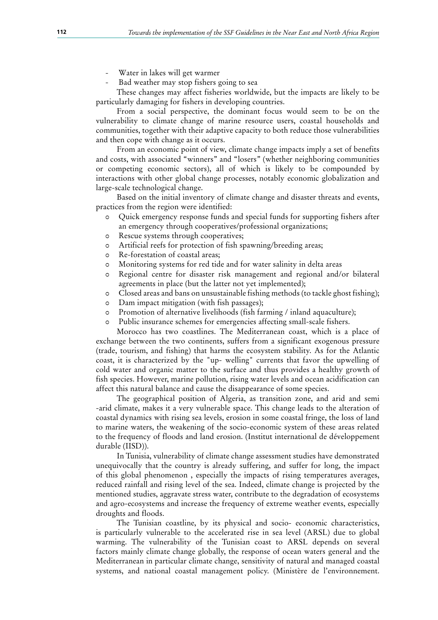- Water in lakes will get warmer
- Bad weather may stop fishers going to sea

These changes may affect fisheries worldwide, but the impacts are likely to be particularly damaging for fishers in developing countries.

From a social perspective, the dominant focus would seem to be on the vulnerability to climate change of marine resource users, coastal households and communities, together with their adaptive capacity to both reduce those vulnerabilities and then cope with change as it occurs.

From an economic point of view, climate change impacts imply a set of benefits and costs, with associated "winners" and "losers" (whether neighboring communities or competing economic sectors), all of which is likely to be compounded by interactions with other global change processes, notably economic globalization and large-scale technological change.

Based on the initial inventory of climate change and disaster threats and events, practices from the region were identified:

- 0 Quick emergency response funds and special funds for supporting fishers after an emergency through cooperatives/professional organizations;
- 0 Rescue systems through cooperatives;
- 0 Artificial reefs for protection of fish spawning/breeding areas;
- 0 Re-forestation of coastal areas;
- 0 Monitoring systems for red tide and for water salinity in delta areas
- 0 Regional centre for disaster risk management and regional and/or bilateral agreements in place (but the latter not yet implemented);
- 0 Closed areas and bans on unsustainable fishing methods (to tackle ghost fishing);
- 0 Dam impact mitigation (with fish passages);
- 0 Promotion of alternative livelihoods (fish farming / inland aquaculture);
- 0 Public insurance schemes for emergencies affecting small-scale fishers.

Morocco has two coastlines. The Mediterranean coast, which is a place of exchange between the two continents, suffers from a significant exogenous pressure (trade, tourism, and fishing) that harms the ecosystem stability. As for the Atlantic coast, it is characterized by the "up- welling" currents that favor the upwelling of cold water and organic matter to the surface and thus provides a healthy growth of fish species. However, marine pollution, rising water levels and ocean acidification can affect this natural balance and cause the disappearance of some species.

The geographical position of Algeria, as transition zone, and arid and semi -arid climate, makes it a very vulnerable space. This change leads to the alteration of coastal dynamics with rising sea levels, erosion in some coastal fringe, the loss of land to marine waters, the weakening of the socio-economic system of these areas related to the frequency of floods and land erosion. (Institut international de développement durable (IISD)).

In Tunisia, vulnerability of climate change assessment studies have demonstrated unequivocally that the country is already suffering, and suffer for long, the impact of this global phenomenon , especially the impacts of rising temperatures averages, reduced rainfall and rising level of the sea. Indeed, climate change is projected by the mentioned studies, aggravate stress water, contribute to the degradation of ecosystems and agro-ecosystems and increase the frequency of extreme weather events, especially droughts and floods.

The Tunisian coastline, by its physical and socio- economic characteristics, is particularly vulnerable to the accelerated rise in sea level (ARSL) due to global warming. The vulnerability of the Tunisian coast to ARSL depends on several factors mainly climate change globally, the response of ocean waters general and the Mediterranean in particular climate change, sensitivity of natural and managed coastal systems, and national coastal management policy. (Ministère de l'environnement.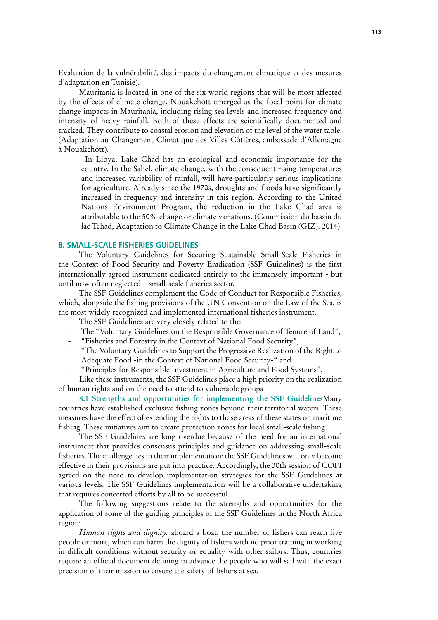Evaluation de la vulnérabilité, des impacts du changement climatique et des mesures d'adaptation en Tunisie).

Mauritania is located in one of the six world regions that will be most affected by the effects of climate change. Nouakchott emerged as the focal point for climate change impacts in Mauritania, including rising sea levels and increased frequency and intensity of heavy rainfall. Both of these effects are scientifically documented and tracked. They contribute to coastal erosion and elevation of the level of the water table. (Adaptation au Changement Climatique des Villes Côtières, ambassade d'Allemagne à Nouakchott).

 - - In Libya, Lake Chad has an ecological and economic importance for the country. In the Sahel, climate change, with the consequent rising temperatures and increased variability of rainfall, will have particularly serious implications for agriculture. Already since the 1970s, droughts and floods have significantly increased in frequency and intensity in this region. According to the United Nations Environment Program, the reduction in the Lake Chad area is attributable to the 50% change or climate variations. (Commission du bassin du lac Tchad, Adaptation to Climate Change in the Lake Chad Basin (GIZ). 2014).

## **8. SMALL-SCALE FISHERIES GUIDELINES**

The Voluntary Guidelines for Securing Sustainable Small-Scale Fisheries in the Context of Food Security and Poverty Eradication (SSF Guidelines) is the first internationally agreed instrument dedicated entirely to the immensely important - but until now often neglected – small-scale fisheries sector.

The SSF Guidelines complement the Code of Conduct for Responsible Fisheries, which, alongside the fishing provisions of the UN Convention on the Law of the Sea, is the most widely recognized and implemented international fisheries instrument.

The SSF Guidelines are very closely related to the:

- The "Voluntary Guidelines on the Responsible Governance of Tenure of Land",
- "Fisheries and Forestry in the Context of National Food Security",
- "The Voluntary Guidelines to Support the Progressive Realization of the Right to Adequate Food -in the Context of National Food Security-" and
- "Principles for Responsible Investment in Agriculture and Food Systems".

Like these instruments, the SSF Guidelines place a high priority on the realization of human rights and on the need to attend to vulnerable groups

**8.1 Strengths and opportunities for implementing the SSF Guidelines**Many countries have established exclusive fishing zones beyond their territorial waters. These measures have the effect of extending the rights to those areas of these states on maritime fishing. These initiatives aim to create protection zones for local small-scale fishing.

The SSF Guidelines are long overdue because of the need for an international instrument that provides consensus principles and guidance on addressing small-scale fisheries. The challenge lies in their implementation: the SSF Guidelines will only become effective in their provisions are put into practice. Accordingly, the 30th session of COFI agreed on the need to develop implementation strategies for the SSF Guidelines at various levels. The SSF Guidelines implementation will be a collaborative undertaking that requires concerted efforts by all to be successful.

The following suggestions relate to the strengths and opportunities for the application of some of the guiding principles of the SSF Guidelines in the North Africa region:

*Human rights and dignity:* aboard a boat, the number of fishers can reach five people or more, which can harm the dignity of fishers with no prior training in working in difficult conditions without security or equality with other sailors. Thus, countries require an official document defining in advance the people who will sail with the exact precision of their mission to ensure the safety of fishers at sea.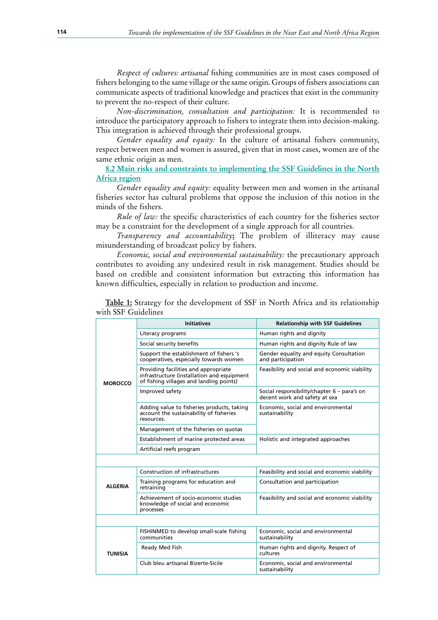*Respect of cultures: artisanal* fishing communities are in most cases composed of fishers belonging to the same village or the same origin. Groups of fishers associations can communicate aspects of traditional knowledge and practices that exist in the community to prevent the no-respect of their culture.

*Non-discrimination, consultation and participation:* It is recommended to introduce the participatory approach to fishers to integrate them into decision-making. This integration is achieved through their professional groups.

*Gender equality and equity:* In the culture of artisanal fishers community, respect between men and women is assured, given that in most cases, women are of the same ethnic origin as men.

**8.2 Main risks and constraints to implementing the SSF Guidelines in the North Africa region**

*Gender equality and equity:* equality between men and women in the artisanal fisheries sector has cultural problems that oppose the inclusion of this notion in the minds of the fishers.

*Rule of law:* the specific characteristics of each country for the fisheries sector may be a constraint for the development of a single approach for all countries.

*Transparency and accountability***:** The problem of illiteracy may cause misunderstanding of broadcast policy by fishers.

*Economic, social and environmental sustainability:* the precautionary approach contributes to avoiding any undesired result in risk management. Studies should be based on credible and consistent information but extracting this information has known difficulties, especially in relation to production and income.

|                | <b>Initiatives</b>                                                                                                            | <b>Relationship with SSF Guidelines</b>                                      |
|----------------|-------------------------------------------------------------------------------------------------------------------------------|------------------------------------------------------------------------------|
|                | Literacy programs                                                                                                             | Human rights and dignity                                                     |
|                | Social security benefits                                                                                                      | Human rights and dignity Rule of law                                         |
|                | Support the establishment of fishers 's<br>cooperatives, especially towards women                                             | Gender equality and equity Consultation<br>and participation                 |
| <b>MOROCCO</b> | Providing facilities and appropriate<br>infrastructure (installation and equipment<br>of fishing villages and landing points) | Feasibility and social and economic viability                                |
|                | Improved safety                                                                                                               | Social responsibility/chapter 6 – para's on<br>decent work and safety at sea |
|                | Adding value to fisheries products, taking<br>account the sustainability of fisheries<br>resources.                           | Economic, social and environmental<br>sustainability                         |
|                | Management of the fisheries on quotas                                                                                         |                                                                              |
|                | Establishment of marine protected areas                                                                                       | Holistic and integrated approaches                                           |
|                | Artificial reefs program                                                                                                      |                                                                              |
|                |                                                                                                                               |                                                                              |
|                | Construction of infrastructures                                                                                               | Feasibility and social and economic viability                                |
| <b>ALGERIA</b> | Training programs for education and<br>retraining                                                                             | Consultation and participation                                               |
|                | Achievement of socio-economic studies<br>knowledge of social and economic<br>processes                                        | Feasibility and social and economic viability                                |
|                |                                                                                                                               |                                                                              |
|                | FISHINMED to develop small-scale fishing<br>communities                                                                       | Economic, social and environmental<br>sustainability                         |
| TUNISIA        | Ready Med Fish                                                                                                                | Human rights and dignity. Respect of<br>cultures                             |
|                | Club bleu artisanal Bizerte-Sicile                                                                                            | Economic, social and environmental<br>sustainability                         |

**Table 1:** Strategy for the development of SSF in North Africa and its relationship with SSF Guidelines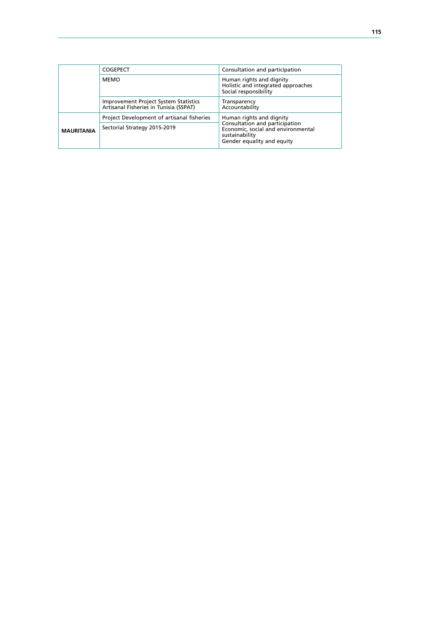|                   | <b>COGEPECT</b>                                                                        | Consultation and participation                                                                                       |  |  |
|-------------------|----------------------------------------------------------------------------------------|----------------------------------------------------------------------------------------------------------------------|--|--|
|                   | <b>MEMO</b>                                                                            | Human rights and dignity<br>Holistic and integrated approaches<br>Social responsibility                              |  |  |
|                   | <b>Improvement Project System Statistics</b><br>Artisanal Fisheries in Tunisia (SSPAT) | Transparency<br>Accountability                                                                                       |  |  |
|                   | Project Development of artisanal fisheries                                             | Human rights and dignity                                                                                             |  |  |
| <b>MAURITANIA</b> | Sectorial Strategy 2015-2019                                                           | Consultation and participation<br>Economic, social and environmental<br>sustainability<br>Gender equality and equity |  |  |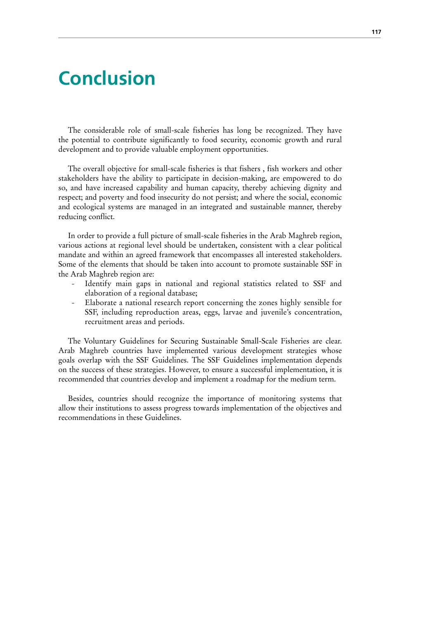# **Conclusion**

The considerable role of small-scale fisheries has long be recognized. They have the potential to contribute significantly to food security, economic growth and rural development and to provide valuable employment opportunities.

The overall objective for small-scale fisheries is that fishers , fish workers and other stakeholders have the ability to participate in decision-making, are empowered to do so, and have increased capability and human capacity, thereby achieving dignity and respect; and poverty and food insecurity do not persist; and where the social, economic and ecological systems are managed in an integrated and sustainable manner, thereby reducing conflict.

In order to provide a full picture of small-scale fisheries in the Arab Maghreb region, various actions at regional level should be undertaken, consistent with a clear political mandate and within an agreed framework that encompasses all interested stakeholders. Some of the elements that should be taken into account to promote sustainable SSF in the Arab Maghreb region are:

- Identify main gaps in national and regional statistics related to SSF and elaboration of a regional database;
- Elaborate a national research report concerning the zones highly sensible for SSF, including reproduction areas, eggs, larvae and juvenile's concentration, recruitment areas and periods.

The Voluntary Guidelines for Securing Sustainable Small-Scale Fisheries are clear. Arab Maghreb countries have implemented various development strategies whose goals overlap with the SSF Guidelines. The SSF Guidelines implementation depends on the success of these strategies. However, to ensure a successful implementation, it is recommended that countries develop and implement a roadmap for the medium term.

Besides, countries should recognize the importance of monitoring systems that allow their institutions to assess progress towards implementation of the objectives and recommendations in these Guidelines.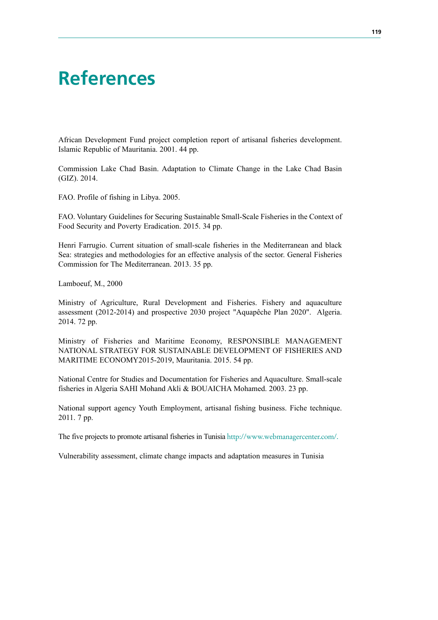# **References**

African Development Fund project completion report of artisanal fisheries development. Islamic Republic of Mauritania. 2001. 44 pp.

Commission Lake Chad Basin. Adaptation to Climate Change in the Lake Chad Basin (GIZ). 2014.

FAO. Profile of fishing in Libya. 2005.

FAO. Voluntary Guidelines for Securing Sustainable Small-Scale Fisheries in the Context of Food Security and Poverty Eradication. 2015. 34 pp.

Henri Farrugio. Current situation of small-scale fisheries in the Mediterranean and black Sea: strategies and methodologies for an effective analysis of the sector. General Fisheries Commission for The Mediterranean. 2013. 35 pp.

Lamboeuf, M., 2000

Ministry of Agriculture, Rural Development and Fisheries. Fishery and aquaculture assessment (2012-2014) and prospective 2030 project "Aquapêche Plan 2020". Algeria. 2014. 72 pp.

Ministry of Fisheries and Maritime Economy, RESPONSIBLE MANAGEMENT NATIONAL STRATEGY FOR SUSTAINABLE DEVELOPMENT OF FISHERIES AND MARITIME ECONOMY2015-2019, Mauritania. 2015. 54 pp.

National Centre for Studies and Documentation for Fisheries and Aquaculture. Small-scale fisheries in Algeria SAHI Mohand Akli & BOUAICHA Mohamed. 2003. 23 pp.

National support agency Youth Employment, artisanal fishing business. Fiche technique. 2011. 7 pp.

The five projects to promote artisanal fisheries in Tunisia http://www.webmanagercenter.com/.

Vulnerability assessment, climate change impacts and adaptation measures in Tunisia